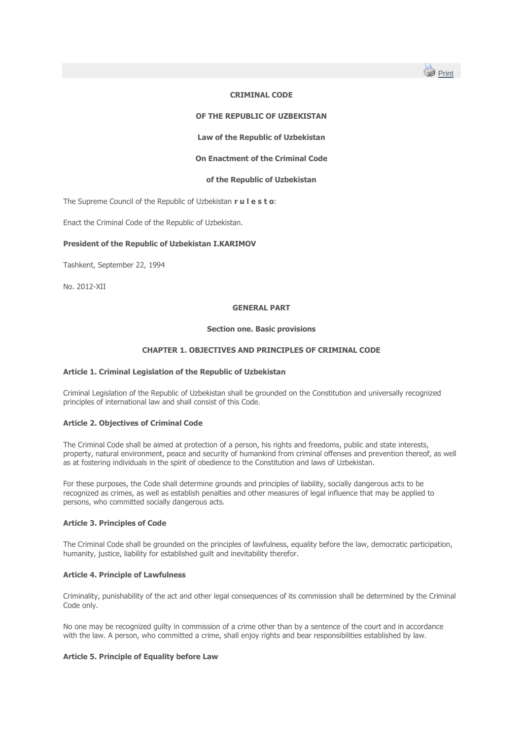

# **CRIMINAL CODE**

## **OF THE REPUBLIC OF UZBEKISTAN**

**Law of the Republic of Uzbekistan**

## **On Enactment of the Criminal Code**

## **of the Republic of Uzbekistan**

The Supreme Council of the Republic of Uzbekistan **r u l e s t o**:

Enact the Criminal Code of the Republic of Uzbekistan.

## **President of the Republic of Uzbekistan I.KARIMOV**

Tashkent, September 22, 1994

No. 2012-XII

### **GENERAL PART**

### **Section one. Basic provisions**

## **CHAPTER 1. OBJECTIVES AND PRINCIPLES OF CRIMINAL CODE**

#### **Article 1. Criminal Legislation of the Republic of Uzbekistan**

Criminal Legislation of the Republic of Uzbekistan shall be grounded on the Constitution and universally recognized principles of international law and shall consist of this Code.

#### **Article 2. Objectives of Criminal Code**

The Criminal Code shall be aimed at protection of a person, his rights and freedoms, public and state interests, property, natural environment, peace and security of humankind from criminal offenses and prevention thereof, as well as at fostering individuals in the spirit of obedience to the Constitution and laws of Uzbekistan.

For these purposes, the Code shall determine grounds and principles of liability, socially dangerous acts to be recognized as crimes, as well as establish penalties and other measures of legal influence that may be applied to persons, who committed socially dangerous acts.

## **Article 3. Principles of Code**

The Criminal Code shall be grounded on the principles of lawfulness, equality before the law, democratic participation, humanity, justice, liability for established quilt and inevitability therefor.

## **Article 4. Principle of Lawfulness**

Criminality, punishability of the act and other legal consequences of its commission shall be determined by the Criminal Code only.

No one may be recognized guilty in commission of a crime other than by a sentence of the court and in accordance with the law. A person, who committed a crime, shall enjoy rights and bear responsibilities established by law.

## **Article 5. Principle of Equality before Law**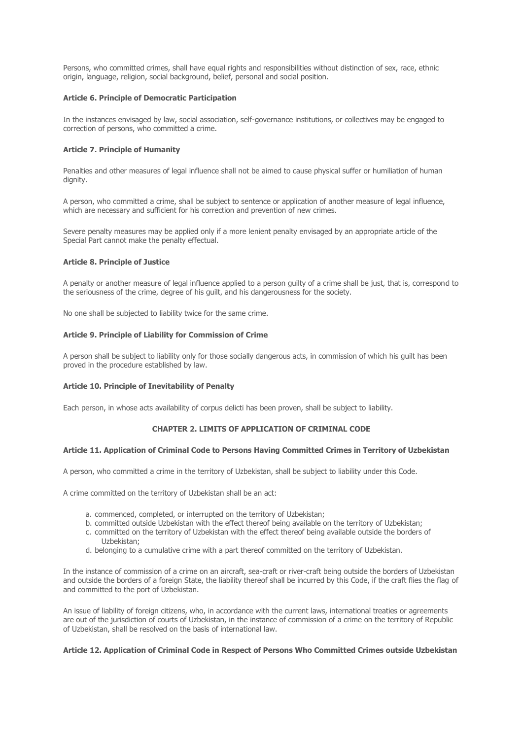Persons, who committed crimes, shall have equal rights and responsibilities without distinction of sex, race, ethnic origin, language, religion, social background, belief, personal and social position.

### **Article 6. Principle of Democratic Participation**

In the instances envisaged by law, social association, self-governance institutions, or collectives may be engaged to correction of persons, who committed a crime.

## **Article 7. Principle of Humanity**

Penalties and other measures of legal influence shall not be aimed to cause physical suffer or humiliation of human dignity.

A person, who committed a crime, shall be subject to sentence or application of another measure of legal influence, which are necessary and sufficient for his correction and prevention of new crimes.

Severe penalty measures may be applied only if a more lenient penalty envisaged by an appropriate article of the Special Part cannot make the penalty effectual.

### **Article 8. Principle of Justice**

A penalty or another measure of legal influence applied to a person guilty of a crime shall be just, that is, correspond to the seriousness of the crime, degree of his guilt, and his dangerousness for the society.

No one shall be subjected to liability twice for the same crime.

### **Article 9. Principle of Liability for Commission of Crime**

A person shall be subject to liability only for those socially dangerous acts, in commission of which his guilt has been proved in the procedure established by law.

## **Article 10. Principle of Inevitability of Penalty**

Each person, in whose acts availability of corpus delicti has been proven, shall be subject to liability.

## **CHAPTER 2. LIMITS OF APPLICATION OF CRIMINAL CODE**

#### **Article 11. Application of Criminal Code to Persons Having Committed Crimes in Territory of Uzbekistan**

A person, who committed a crime in the territory of Uzbekistan, shall be subject to liability under this Code.

A crime committed on the territory of Uzbekistan shall be an act:

- a. commenced, completed, or interrupted on the territory of Uzbekistan;
- b. committed outside Uzbekistan with the effect thereof being available on the territory of Uzbekistan;
- c. committed on the territory of Uzbekistan with the effect thereof being available outside the borders of Uzbekistan;
- d. belonging to a cumulative crime with a part thereof committed on the territory of Uzbekistan.

In the instance of commission of a crime on an aircraft, sea-craft or river-craft being outside the borders of Uzbekistan and outside the borders of a foreign State, the liability thereof shall be incurred by this Code, if the craft flies the flag of and committed to the port of Uzbekistan.

An issue of liability of foreign citizens, who, in accordance with the current laws, international treaties or agreements are out of the jurisdiction of courts of Uzbekistan, in the instance of commission of a crime on the territory of Republic of Uzbekistan, shall be resolved on the basis of international law.

### **Article 12. Application of Criminal Code in Respect of Persons Who Committed Crimes outside Uzbekistan**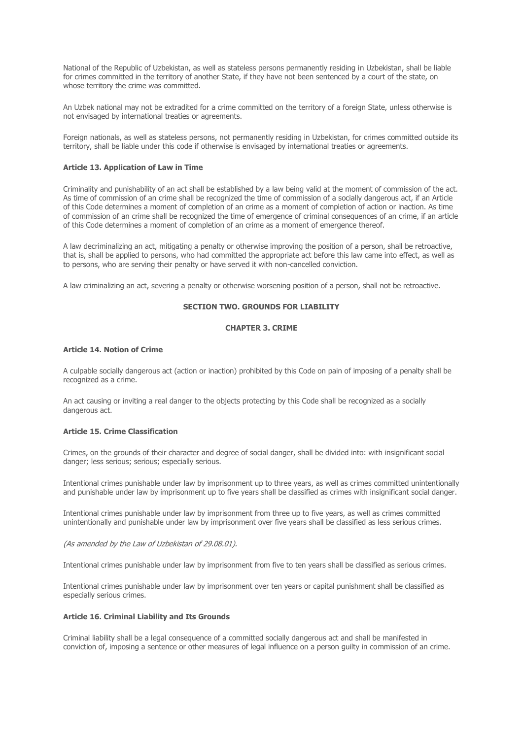National of the Republic of Uzbekistan, as well as stateless persons permanently residing in Uzbekistan, shall be liable for crimes committed in the territory of another State, if they have not been sentenced by a court of the state, on whose territory the crime was committed.

An Uzbek national may not be extradited for a crime committed on the territory of a foreign State, unless otherwise is not envisaged by international treaties or agreements.

Foreign nationals, as well as stateless persons, not permanently residing in Uzbekistan, for crimes committed outside its territory, shall be liable under this code if otherwise is envisaged by international treaties or agreements.

## **Article 13. Application of Law in Time**

Criminality and punishability of an act shall be established by a law being valid at the moment of commission of the act. As time of commission of an crime shall be recognized the time of commission of a socially dangerous act, if an Article of this Code determines a moment of completion of an crime as a moment of completion of action or inaction. As time of commission of an crime shall be recognized the time of emergence of criminal consequences of an crime, if an article of this Code determines a moment of completion of an crime as a moment of emergence thereof.

A law decriminalizing an act, mitigating a penalty or otherwise improving the position of a person, shall be retroactive, that is, shall be applied to persons, who had committed the appropriate act before this law came into effect, as well as to persons, who are serving their penalty or have served it with non-cancelled conviction.

A law criminalizing an act, severing a penalty or otherwise worsening position of a person, shall not be retroactive.

## **SECTION TWO. GROUNDS FOR LIABILITY**

### **CHAPTER 3. CRIME**

### **Article 14. Notion of Crime**

A culpable socially dangerous act (action or inaction) prohibited by this Code on pain of imposing of a penalty shall be recognized as a crime.

An act causing or inviting a real danger to the objects protecting by this Code shall be recognized as a socially dangerous act.

## **Article 15. Crime Classification**

Crimes, on the grounds of their character and degree of social danger, shall be divided into: with insignificant social danger; less serious; serious; especially serious.

Intentional crimes punishable under law by imprisonment up to three years, as well as crimes committed unintentionally and punishable under law by imprisonment up to five years shall be classified as crimes with insignificant social danger.

Intentional crimes punishable under law by imprisonment from three up to five years, as well as crimes committed unintentionally and punishable under law by imprisonment over five years shall be classified as less serious crimes.

(As amended by the Law of Uzbekistan of 29.08.01).

Intentional crimes punishable under law by imprisonment from five to ten years shall be classified as serious crimes.

Intentional crimes punishable under law by imprisonment over ten years or capital punishment shall be classified as especially serious crimes.

### **Article 16. Criminal Liability and Its Grounds**

Criminal liability shall be a legal consequence of a committed socially dangerous act and shall be manifested in conviction of, imposing a sentence or other measures of legal influence on a person guilty in commission of an crime.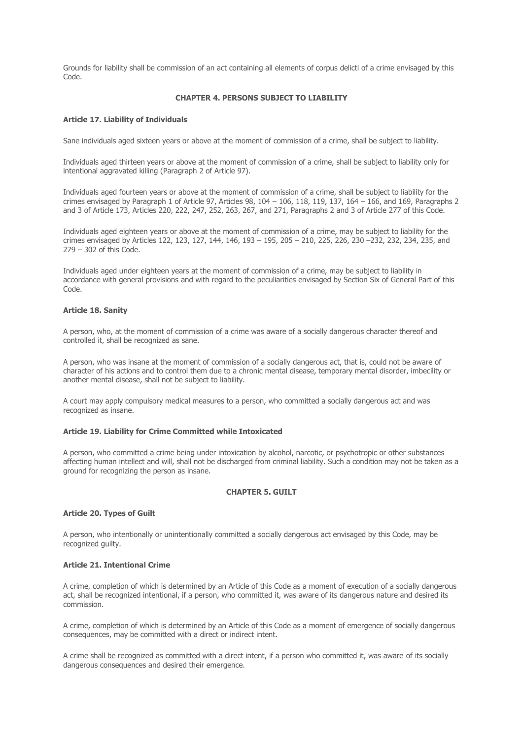Grounds for liability shall be commission of an act containing all elements of corpus delicti of a crime envisaged by this Code.

## **CHAPTER 4. PERSONS SUBJECT TO LIABILITY**

# **Article 17. Liability of Individuals**

Sane individuals aged sixteen years or above at the moment of commission of a crime, shall be subject to liability.

Individuals aged thirteen years or above at the moment of commission of a crime, shall be subject to liability only for intentional aggravated killing (Paragraph 2 of Article 97).

Individuals aged fourteen years or above at the moment of commission of a crime, shall be subject to liability for the crimes envisaged by Paragraph 1 of Article 97, Articles 98,  $104 - 106$ ,  $118$ ,  $119$ ,  $137$ ,  $164 - 166$ , and 169, Paragraphs 2 and 3 of Article 173, Articles 220, 222, 247, 252, 263, 267, and 271, Paragraphs 2 and 3 of Article 277 of this Code.

Individuals aged eighteen years or above at the moment of commission of a crime, may be subject to liability for the crimes envisaged by Articles 122, 123, 127, 144, 146, 193 – 195, 205 – 210, 225, 226, 230 –232, 232, 234, 235, and 279 – 302 of this Code.

Individuals aged under eighteen years at the moment of commission of a crime, may be subject to liability in accordance with general provisions and with regard to the peculiarities envisaged by Section Six of General Part of this Code.

### **Article 18. Sanity**

A person, who, at the moment of commission of a crime was aware of a socially dangerous character thereof and controlled it, shall be recognized as sane.

A person, who was insane at the moment of commission of a socially dangerous act, that is, could not be aware of character of his actions and to control them due to a chronic mental disease, temporary mental disorder, imbecility or another mental disease, shall not be subject to liability.

A court may apply compulsory medical measures to a person, who committed a socially dangerous act and was recognized as insane.

#### **Article 19. Liability for Crime Committed while Intoxicated**

A person, who committed a crime being under intoxication by alcohol, narcotic, or psychotropic or other substances affecting human intellect and will, shall not be discharged from criminal liability. Such a condition may not be taken as a ground for recognizing the person as insane.

#### **CHAPTER 5. GUILT**

## **Article 20. Types of Guilt**

A person, who intentionally or unintentionally committed a socially dangerous act envisaged by this Code, may be recognized guilty.

## **Article 21. Intentional Crime**

A crime, completion of which is determined by an Article of this Code as a moment of execution of a socially dangerous act, shall be recognized intentional, if a person, who committed it, was aware of its dangerous nature and desired its commission.

A crime, completion of which is determined by an Article of this Code as a moment of emergence of socially dangerous consequences, may be committed with a direct or indirect intent.

A crime shall be recognized as committed with a direct intent, if a person who committed it, was aware of its socially dangerous consequences and desired their emergence.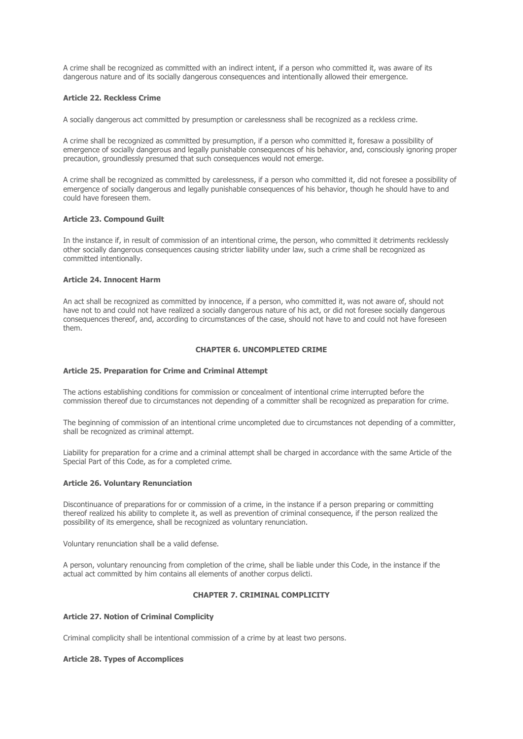A crime shall be recognized as committed with an indirect intent, if a person who committed it, was aware of its dangerous nature and of its socially dangerous consequences and intentionally allowed their emergence.

### **Article 22. Reckless Crime**

A socially dangerous act committed by presumption or carelessness shall be recognized as a reckless crime.

A crime shall be recognized as committed by presumption, if a person who committed it, foresaw a possibility of emergence of socially dangerous and legally punishable consequences of his behavior, and, consciously ignoring proper precaution, groundlessly presumed that such consequences would not emerge.

A crime shall be recognized as committed by carelessness, if a person who committed it, did not foresee a possibility of emergence of socially dangerous and legally punishable consequences of his behavior, though he should have to and could have foreseen them.

### **Article 23. Compound Guilt**

In the instance if, in result of commission of an intentional crime, the person, who committed it detriments recklessly other socially dangerous consequences causing stricter liability under law, such a crime shall be recognized as committed intentionally.

### **Article 24. Innocent Harm**

An act shall be recognized as committed by innocence, if a person, who committed it, was not aware of, should not have not to and could not have realized a socially dangerous nature of his act, or did not foresee socially dangerous consequences thereof, and, according to circumstances of the case, should not have to and could not have foreseen them.

### **CHAPTER 6. UNCOMPLETED CRIME**

#### **Article 25. Preparation for Crime and Criminal Attempt**

The actions establishing conditions for commission or concealment of intentional crime interrupted before the commission thereof due to circumstances not depending of a committer shall be recognized as preparation for crime.

The beginning of commission of an intentional crime uncompleted due to circumstances not depending of a committer, shall be recognized as criminal attempt.

Liability for preparation for a crime and a criminal attempt shall be charged in accordance with the same Article of the Special Part of this Code, as for a completed crime.

## **Article 26. Voluntary Renunciation**

Discontinuance of preparations for or commission of a crime, in the instance if a person preparing or committing thereof realized his ability to complete it, as well as prevention of criminal consequence, if the person realized the possibility of its emergence, shall be recognized as voluntary renunciation.

Voluntary renunciation shall be a valid defense.

A person, voluntary renouncing from completion of the crime, shall be liable under this Code, in the instance if the actual act committed by him contains all elements of another corpus delicti.

## **CHAPTER 7. CRIMINAL COMPLICITY**

### **Article 27. Notion of Criminal Complicity**

Criminal complicity shall be intentional commission of a crime by at least two persons.

#### **Article 28. Types of Accomplices**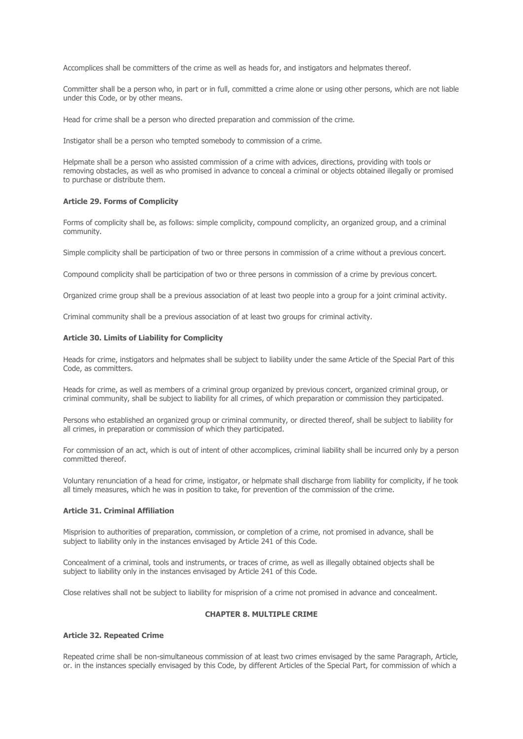Accomplices shall be committers of the crime as well as heads for, and instigators and helpmates thereof.

Committer shall be a person who, in part or in full, committed a crime alone or using other persons, which are not liable under this Code, or by other means.

Head for crime shall be a person who directed preparation and commission of the crime.

Instigator shall be a person who tempted somebody to commission of a crime.

Helpmate shall be a person who assisted commission of a crime with advices, directions, providing with tools or removing obstacles, as well as who promised in advance to conceal a criminal or objects obtained illegally or promised to purchase or distribute them.

#### **Article 29. Forms of Complicity**

Forms of complicity shall be, as follows: simple complicity, compound complicity, an organized group, and a criminal community.

Simple complicity shall be participation of two or three persons in commission of a crime without a previous concert.

Compound complicity shall be participation of two or three persons in commission of a crime by previous concert.

Organized crime group shall be a previous association of at least two people into a group for a joint criminal activity.

Criminal community shall be a previous association of at least two groups for criminal activity.

#### **Article 30. Limits of Liability for Complicity**

Heads for crime, instigators and helpmates shall be subject to liability under the same Article of the Special Part of this Code, as committers.

Heads for crime, as well as members of a criminal group organized by previous concert, organized criminal group, or criminal community, shall be subject to liability for all crimes, of which preparation or commission they participated.

Persons who established an organized group or criminal community, or directed thereof, shall be subject to liability for all crimes, in preparation or commission of which they participated.

For commission of an act, which is out of intent of other accomplices, criminal liability shall be incurred only by a person committed thereof.

Voluntary renunciation of a head for crime, instigator, or helpmate shall discharge from liability for complicity, if he took all timely measures, which he was in position to take, for prevention of the commission of the crime.

## **Article 31. Criminal Affiliation**

Misprision to authorities of preparation, commission, or completion of a crime, not promised in advance, shall be subject to liability only in the instances envisaged by Article 241 of this Code.

Concealment of a criminal, tools and instruments, or traces of crime, as well as illegally obtained objects shall be subject to liability only in the instances envisaged by Article 241 of this Code.

Close relatives shall not be subject to liability for misprision of a crime not promised in advance and concealment.

## **CHAPTER 8. MULTIPLE CRIME**

### **Article 32. Repeated Crime**

Repeated crime shall be non-simultaneous commission of at least two crimes envisaged by the same Paragraph, Article, or. in the instances specially envisaged by this Code, by different Articles of the Special Part, for commission of which a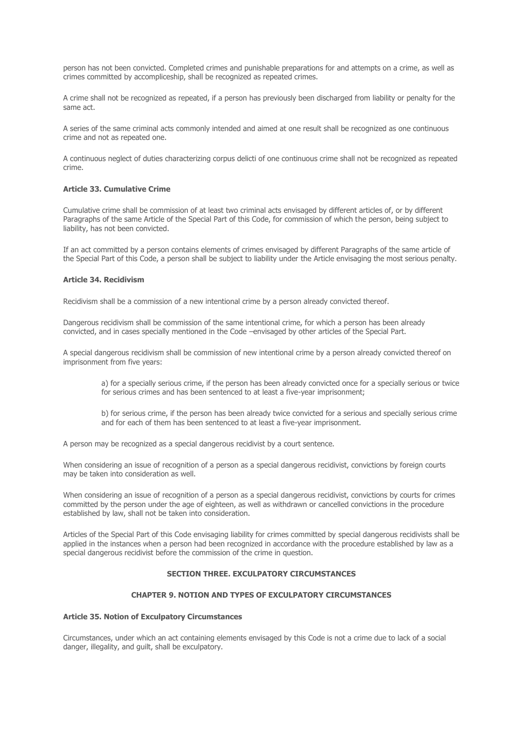person has not been convicted. Completed crimes and punishable preparations for and attempts on a crime, as well as crimes committed by accompliceship, shall be recognized as repeated crimes.

A crime shall not be recognized as repeated, if a person has previously been discharged from liability or penalty for the same act.

A series of the same criminal acts commonly intended and aimed at one result shall be recognized as one continuous crime and not as repeated one.

A continuous neglect of duties characterizing corpus delicti of one continuous crime shall not be recognized as repeated crime.

## **Article 33. Cumulative Crime**

Cumulative crime shall be commission of at least two criminal acts envisaged by different articles of, or by different Paragraphs of the same Article of the Special Part of this Code, for commission of which the person, being subject to liability, has not been convicted.

If an act committed by a person contains elements of crimes envisaged by different Paragraphs of the same article of the Special Part of this Code, a person shall be subject to liability under the Article envisaging the most serious penalty.

### **Article 34. Recidivism**

Recidivism shall be a commission of a new intentional crime by a person already convicted thereof.

Dangerous recidivism shall be commission of the same intentional crime, for which a person has been already convicted, and in cases specially mentioned in the Code –envisaged by other articles of the Special Part.

A special dangerous recidivism shall be commission of new intentional crime by a person already convicted thereof on imprisonment from five years:

a) for a specially serious crime, if the person has been already convicted once for a specially serious or twice for serious crimes and has been sentenced to at least a five-year imprisonment;

b) for serious crime, if the person has been already twice convicted for a serious and specially serious crime and for each of them has been sentenced to at least a five-year imprisonment.

A person may be recognized as a special dangerous recidivist by a court sentence.

When considering an issue of recognition of a person as a special dangerous recidivist, convictions by foreign courts may be taken into consideration as well.

When considering an issue of recognition of a person as a special dangerous recidivist, convictions by courts for crimes committed by the person under the age of eighteen, as well as withdrawn or cancelled convictions in the procedure established by law, shall not be taken into consideration.

Articles of the Special Part of this Code envisaging liability for crimes committed by special dangerous recidivists shall be applied in the instances when a person had been recognized in accordance with the procedure established by law as a special dangerous recidivist before the commission of the crime in question.

## **SECTION THREE. EXCULPATORY CIRCUMSTANCES**

## **CHAPTER 9. NOTION AND TYPES OF EXCULPATORY CIRCUMSTANCES**

#### **Article 35. Notion of Exculpatory Circumstances**

Circumstances, under which an act containing elements envisaged by this Code is not a crime due to lack of a social danger, illegality, and guilt, shall be exculpatory.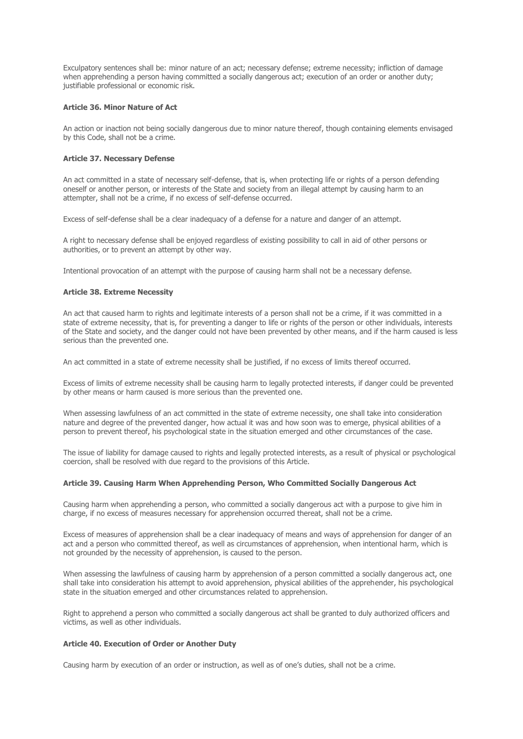Exculpatory sentences shall be: minor nature of an act; necessary defense; extreme necessity; infliction of damage when apprehending a person having committed a socially dangerous act; execution of an order or another duty; justifiable professional or economic risk.

## **Article 36. Minor Nature of Act**

An action or inaction not being socially dangerous due to minor nature thereof, though containing elements envisaged by this Code, shall not be a crime.

## **Article 37. Necessary Defense**

An act committed in a state of necessary self-defense, that is, when protecting life or rights of a person defending oneself or another person, or interests of the State and society from an illegal attempt by causing harm to an attempter, shall not be a crime, if no excess of self-defense occurred.

Excess of self-defense shall be a clear inadequacy of a defense for a nature and danger of an attempt.

A right to necessary defense shall be enjoyed regardless of existing possibility to call in aid of other persons or authorities, or to prevent an attempt by other way.

Intentional provocation of an attempt with the purpose of causing harm shall not be a necessary defense.

### **Article 38. Extreme Necessity**

An act that caused harm to rights and legitimate interests of a person shall not be a crime, if it was committed in a state of extreme necessity, that is, for preventing a danger to life or rights of the person or other individuals, interests of the State and society, and the danger could not have been prevented by other means, and if the harm caused is less serious than the prevented one.

An act committed in a state of extreme necessity shall be justified, if no excess of limits thereof occurred.

Excess of limits of extreme necessity shall be causing harm to legally protected interests, if danger could be prevented by other means or harm caused is more serious than the prevented one.

When assessing lawfulness of an act committed in the state of extreme necessity, one shall take into consideration nature and degree of the prevented danger, how actual it was and how soon was to emerge, physical abilities of a person to prevent thereof, his psychological state in the situation emerged and other circumstances of the case.

The issue of liability for damage caused to rights and legally protected interests, as a result of physical or psychological coercion, shall be resolved with due regard to the provisions of this Article.

#### **Article 39. Causing Harm When Apprehending Person, Who Committed Socially Dangerous Act**

Causing harm when apprehending a person, who committed a socially dangerous act with a purpose to give him in charge, if no excess of measures necessary for apprehension occurred thereat, shall not be a crime.

Excess of measures of apprehension shall be a clear inadequacy of means and ways of apprehension for danger of an act and a person who committed thereof, as well as circumstances of apprehension, when intentional harm, which is not grounded by the necessity of apprehension, is caused to the person.

When assessing the lawfulness of causing harm by apprehension of a person committed a socially dangerous act, one shall take into consideration his attempt to avoid apprehension, physical abilities of the apprehender, his psychological state in the situation emerged and other circumstances related to apprehension.

Right to apprehend a person who committed a socially dangerous act shall be granted to duly authorized officers and victims, as well as other individuals.

## **Article 40. Execution of Order or Another Duty**

Causing harm by execution of an order or instruction, as well as of one's duties, shall not be a crime.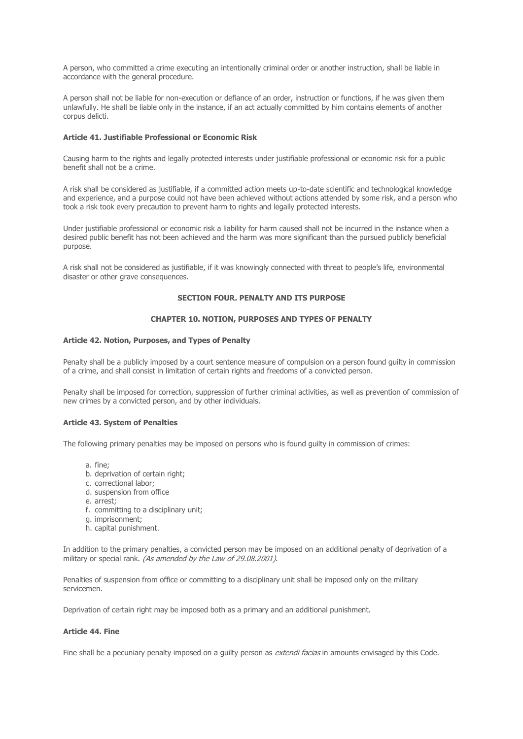A person, who committed a crime executing an intentionally criminal order or another instruction, shall be liable in accordance with the general procedure.

A person shall not be liable for non-execution or defiance of an order, instruction or functions, if he was given them unlawfully. He shall be liable only in the instance, if an act actually committed by him contains elements of another corpus delicti.

### **Article 41. Justifiable Professional or Economic Risk**

Causing harm to the rights and legally protected interests under justifiable professional or economic risk for a public benefit shall not be a crime.

A risk shall be considered as justifiable, if a committed action meets up-to-date scientific and technological knowledge and experience, and a purpose could not have been achieved without actions attended by some risk, and a person who took a risk took every precaution to prevent harm to rights and legally protected interests.

Under justifiable professional or economic risk a liability for harm caused shall not be incurred in the instance when a desired public benefit has not been achieved and the harm was more significant than the pursued publicly beneficial purpose.

A risk shall not be considered as justifiable, if it was knowingly connected with threat to people's life, environmental disaster or other grave consequences.

### **SECTION FOUR. PENALTY AND ITS PURPOSE**

## **CHAPTER 10. NOTION, PURPOSES AND TYPES OF PENALTY**

## **Article 42. Notion, Purposes, and Types of Penalty**

Penalty shall be a publicly imposed by a court sentence measure of compulsion on a person found guilty in commission of a crime, and shall consist in limitation of certain rights and freedoms of a convicted person.

Penalty shall be imposed for correction, suppression of further criminal activities, as well as prevention of commission of new crimes by a convicted person, and by other individuals.

## **Article 43. System of Penalties**

The following primary penalties may be imposed on persons who is found guilty in commission of crimes:

- a. fine;
- b. deprivation of certain right;
- c. correctional labor;
- d. suspension from office
- e. arrest;
- f. committing to a disciplinary unit;
- g. imprisonment;
- h. capital punishment.

In addition to the primary penalties, a convicted person may be imposed on an additional penalty of deprivation of a military or special rank. (As amended by the Law of 29.08.2001).

Penalties of suspension from office or committing to a disciplinary unit shall be imposed only on the military servicemen.

Deprivation of certain right may be imposed both as a primary and an additional punishment.

## **Article 44. Fine**

Fine shall be a pecuniary penalty imposed on a quilty person as extendi facias in amounts envisaged by this Code.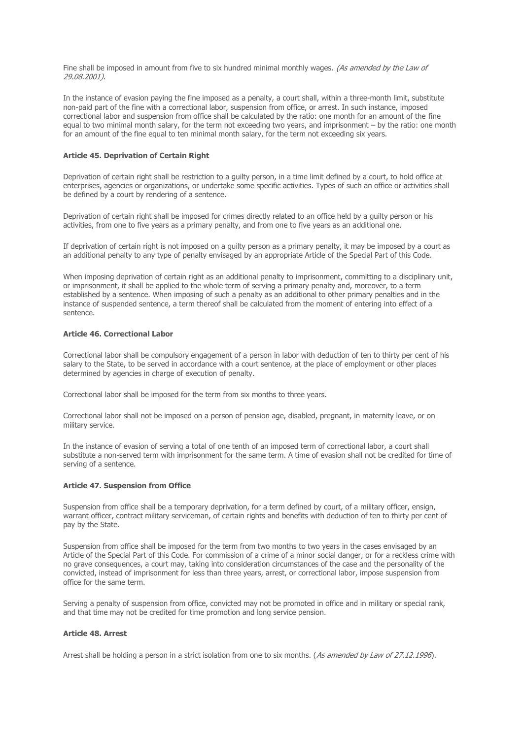Fine shall be imposed in amount from five to six hundred minimal monthly wages. (As amended by the Law of 29.08.2001).

In the instance of evasion paying the fine imposed as a penalty, a court shall, within a three-month limit, substitute non-paid part of the fine with a correctional labor, suspension from office, or arrest. In such instance, imposed correctional labor and suspension from office shall be calculated by the ratio: one month for an amount of the fine equal to two minimal month salary, for the term not exceeding two years, and imprisonment – by the ratio: one month for an amount of the fine equal to ten minimal month salary, for the term not exceeding six years.

### **Article 45. Deprivation of Certain Right**

Deprivation of certain right shall be restriction to a guilty person, in a time limit defined by a court, to hold office at enterprises, agencies or organizations, or undertake some specific activities. Types of such an office or activities shall be defined by a court by rendering of a sentence.

Deprivation of certain right shall be imposed for crimes directly related to an office held by a guilty person or his activities, from one to five years as a primary penalty, and from one to five years as an additional one.

If deprivation of certain right is not imposed on a quilty person as a primary penalty, it may be imposed by a court as an additional penalty to any type of penalty envisaged by an appropriate Article of the Special Part of this Code.

When imposing deprivation of certain right as an additional penalty to imprisonment, committing to a disciplinary unit, or imprisonment, it shall be applied to the whole term of serving a primary penalty and, moreover, to a term established by a sentence. When imposing of such a penalty as an additional to other primary penalties and in the instance of suspended sentence, a term thereof shall be calculated from the moment of entering into effect of a sentence.

## **Article 46. Correctional Labor**

Correctional labor shall be compulsory engagement of a person in labor with deduction of ten to thirty per cent of his salary to the State, to be served in accordance with a court sentence, at the place of employment or other places determined by agencies in charge of execution of penalty.

Correctional labor shall be imposed for the term from six months to three years.

Correctional labor shall not be imposed on a person of pension age, disabled, pregnant, in maternity leave, or on military service.

In the instance of evasion of serving a total of one tenth of an imposed term of correctional labor, a court shall substitute a non-served term with imprisonment for the same term. A time of evasion shall not be credited for time of serving of a sentence.

## **Article 47. Suspension from Office**

Suspension from office shall be a temporary deprivation, for a term defined by court, of a military officer, ensign, warrant officer, contract military serviceman, of certain rights and benefits with deduction of ten to thirty per cent of pay by the State.

Suspension from office shall be imposed for the term from two months to two years in the cases envisaged by an Article of the Special Part of this Code. For commission of a crime of a minor social danger, or for a reckless crime with no grave consequences, a court may, taking into consideration circumstances of the case and the personality of the convicted, instead of imprisonment for less than three years, arrest, or correctional labor, impose suspension from office for the same term.

Serving a penalty of suspension from office, convicted may not be promoted in office and in military or special rank, and that time may not be credited for time promotion and long service pension.

## **Article 48. Arrest**

Arrest shall be holding a person in a strict isolation from one to six months. (As amended by Law of 27.12.1996).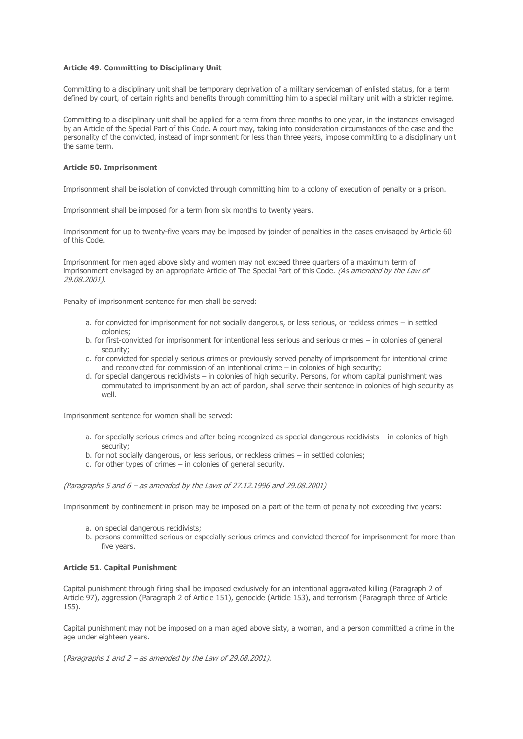### **Article 49. Committing to Disciplinary Unit**

Committing to a disciplinary unit shall be temporary deprivation of a military serviceman of enlisted status, for a term defined by court, of certain rights and benefits through committing him to a special military unit with a stricter regime.

Committing to a disciplinary unit shall be applied for a term from three months to one year, in the instances envisaged by an Article of the Special Part of this Code. A court may, taking into consideration circumstances of the case and the personality of the convicted, instead of imprisonment for less than three years, impose committing to a disciplinary unit the same term.

## **Article 50. Imprisonment**

Imprisonment shall be isolation of convicted through committing him to a colony of execution of penalty or a prison.

Imprisonment shall be imposed for a term from six months to twenty years.

Imprisonment for up to twenty-five years may be imposed by joinder of penalties in the cases envisaged by Article 60 of this Code.

Imprisonment for men aged above sixty and women may not exceed three quarters of a maximum term of imprisonment envisaged by an appropriate Article of The Special Part of this Code. (As amended by the Law of 29.08.2001).

Penalty of imprisonment sentence for men shall be served:

- a. for convicted for imprisonment for not socially dangerous, or less serious, or reckless crimes in settled colonies;
- b. for first-convicted for imprisonment for intentional less serious and serious crimes in colonies of general security;
- c. for convicted for specially serious crimes or previously served penalty of imprisonment for intentional crime and reconvicted for commission of an intentional crime – in colonies of high security;
- d. for special dangerous recidivists in colonies of high security. Persons, for whom capital punishment was commutated to imprisonment by an act of pardon, shall serve their sentence in colonies of high security as well.

Imprisonment sentence for women shall be served:

- a. for specially serious crimes and after being recognized as special dangerous recidivists in colonies of high security;
- b. for not socially dangerous, or less serious, or reckless crimes in settled colonies;
- c. for other types of crimes in colonies of general security.

(Paragraphs 5 and 6 – as amended by the Laws of 27.12.1996 and 29.08.2001)

Imprisonment by confinement in prison may be imposed on a part of the term of penalty not exceeding five years:

- a. on special dangerous recidivists;
- b. persons committed serious or especially serious crimes and convicted thereof for imprisonment for more than five years.

## **Article 51. Capital Punishment**

Capital punishment through firing shall be imposed exclusively for an intentional aggravated killing (Paragraph 2 of Article 97), aggression (Paragraph 2 of Article 151), genocide (Article 153), and terrorism (Paragraph three of Article 155).

Capital punishment may not be imposed on a man aged above sixty, a woman, and a person committed a crime in the age under eighteen years.

(Paragraphs 1 and 2 – as amended by the Law of 29.08.2001).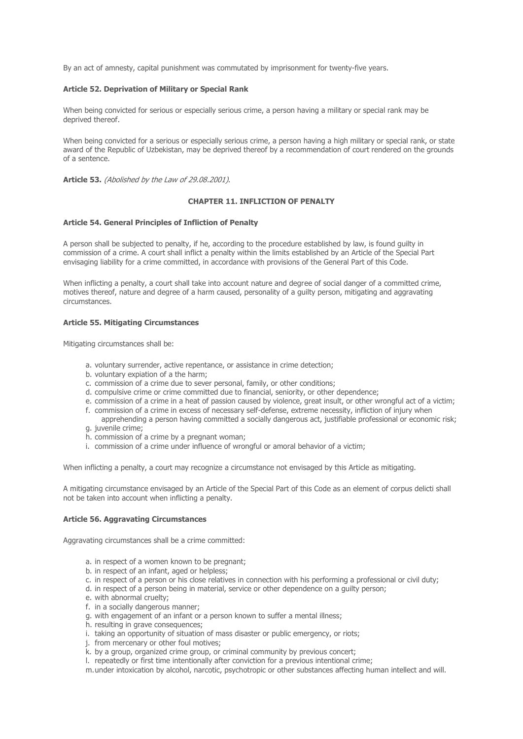By an act of amnesty, capital punishment was commutated by imprisonment for twenty-five years.

## **Article 52. Deprivation of Military or Special Rank**

When being convicted for serious or especially serious crime, a person having a military or special rank may be deprived thereof.

When being convicted for a serious or especially serious crime, a person having a high military or special rank, or state award of the Republic of Uzbekistan, may be deprived thereof by a recommendation of court rendered on the grounds of a sentence.

**Article 53.** (Abolished by the Law of 29.08.2001).

## **CHAPTER 11. INFLICTION OF PENALTY**

#### **Article 54. General Principles of Infliction of Penalty**

A person shall be subjected to penalty, if he, according to the procedure established by law, is found guilty in commission of a crime. A court shall inflict a penalty within the limits established by an Article of the Special Part envisaging liability for a crime committed, in accordance with provisions of the General Part of this Code.

When inflicting a penalty, a court shall take into account nature and degree of social danger of a committed crime, motives thereof, nature and degree of a harm caused, personality of a guilty person, mitigating and aggravating circumstances.

### **Article 55. Mitigating Circumstances**

Mitigating circumstances shall be:

- a. voluntary surrender, active repentance, or assistance in crime detection;
- b. voluntary expiation of a the harm;
- c. commission of a crime due to sever personal, family, or other conditions;
- d. compulsive crime or crime committed due to financial, seniority, or other dependence;
- e. commission of a crime in a heat of passion caused by violence, great insult, or other wrongful act of a victim;
- f. commission of a crime in excess of necessary self-defense, extreme necessity, infliction of injury when apprehending a person having committed a socially dangerous act, justifiable professional or economic risk;
- g. juvenile crime;
- h. commission of a crime by a pregnant woman;
- i. commission of a crime under influence of wrongful or amoral behavior of a victim;

When inflicting a penalty, a court may recognize a circumstance not envisaged by this Article as mitigating.

A mitigating circumstance envisaged by an Article of the Special Part of this Code as an element of corpus delicti shall not be taken into account when inflicting a penalty.

#### **Article 56. Aggravating Circumstances**

Aggravating circumstances shall be a crime committed:

- a. in respect of a women known to be pregnant;
- b. in respect of an infant, aged or helpless;
- c. in respect of a person or his close relatives in connection with his performing a professional or civil duty;
- d. in respect of a person being in material, service or other dependence on a guilty person;
- e. with abnormal cruelty;
- f. in a socially dangerous manner;
- g. with engagement of an infant or a person known to suffer a mental illness;
- h. resulting in grave consequences;
- i. taking an opportunity of situation of mass disaster or public emergency, or riots;
- j. from mercenary or other foul motives;
- k. by a group, organized crime group, or criminal community by previous concert;
- l. repeatedly or first time intentionally after conviction for a previous intentional crime;
- m.under intoxication by alcohol, narcotic, psychotropic or other substances affecting human intellect and will.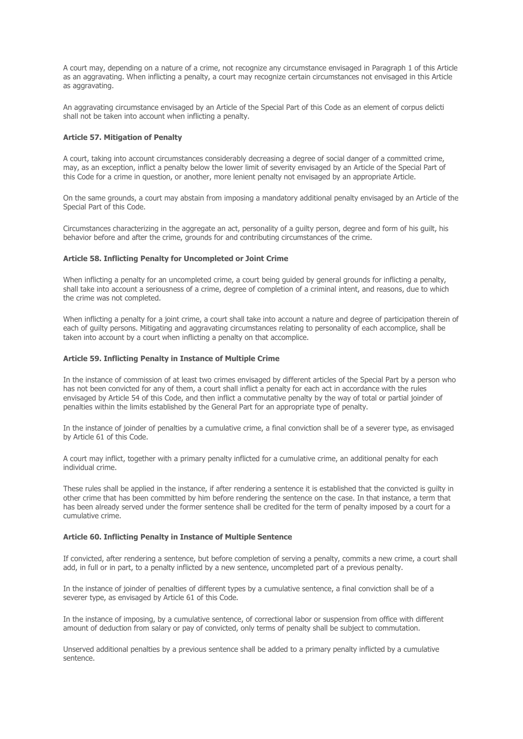A court may, depending on a nature of a crime, not recognize any circumstance envisaged in Paragraph 1 of this Article as an aggravating. When inflicting a penalty, a court may recognize certain circumstances not envisaged in this Article as aggravating.

An aggravating circumstance envisaged by an Article of the Special Part of this Code as an element of corpus delicti shall not be taken into account when inflicting a penalty.

### **Article 57. Mitigation of Penalty**

A court, taking into account circumstances considerably decreasing a degree of social danger of a committed crime, may, as an exception, inflict a penalty below the lower limit of severity envisaged by an Article of the Special Part of this Code for a crime in question, or another, more lenient penalty not envisaged by an appropriate Article.

On the same grounds, a court may abstain from imposing a mandatory additional penalty envisaged by an Article of the Special Part of this Code.

Circumstances characterizing in the aggregate an act, personality of a guilty person, degree and form of his guilt, his behavior before and after the crime, grounds for and contributing circumstances of the crime.

### **Article 58. Inflicting Penalty for Uncompleted or Joint Crime**

When inflicting a penalty for an uncompleted crime, a court being guided by general grounds for inflicting a penalty, shall take into account a seriousness of a crime, degree of completion of a criminal intent, and reasons, due to which the crime was not completed.

When inflicting a penalty for a joint crime, a court shall take into account a nature and degree of participation therein of each of guilty persons. Mitigating and aggravating circumstances relating to personality of each accomplice, shall be taken into account by a court when inflicting a penalty on that accomplice.

### **Article 59. Inflicting Penalty in Instance of Multiple Crime**

In the instance of commission of at least two crimes envisaged by different articles of the Special Part by a person who has not been convicted for any of them, a court shall inflict a penalty for each act in accordance with the rules envisaged by Article 54 of this Code, and then inflict a commutative penalty by the way of total or partial joinder of penalties within the limits established by the General Part for an appropriate type of penalty.

In the instance of joinder of penalties by a cumulative crime, a final conviction shall be of a severer type, as envisaged by Article 61 of this Code.

A court may inflict, together with a primary penalty inflicted for a cumulative crime, an additional penalty for each individual crime.

These rules shall be applied in the instance, if after rendering a sentence it is established that the convicted is guilty in other crime that has been committed by him before rendering the sentence on the case. In that instance, a term that has been already served under the former sentence shall be credited for the term of penalty imposed by a court for a cumulative crime.

#### **Article 60. Inflicting Penalty in Instance of Multiple Sentence**

If convicted, after rendering a sentence, but before completion of serving a penalty, commits a new crime, a court shall add, in full or in part, to a penalty inflicted by a new sentence, uncompleted part of a previous penalty.

In the instance of joinder of penalties of different types by a cumulative sentence, a final conviction shall be of a severer type, as envisaged by Article 61 of this Code.

In the instance of imposing, by a cumulative sentence, of correctional labor or suspension from office with different amount of deduction from salary or pay of convicted, only terms of penalty shall be subject to commutation.

Unserved additional penalties by a previous sentence shall be added to a primary penalty inflicted by a cumulative sentence.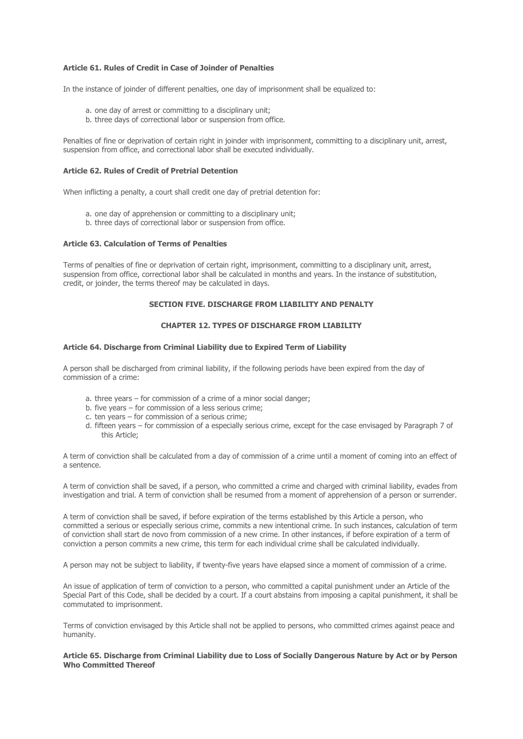## **Article 61. Rules of Credit in Case of Joinder of Penalties**

In the instance of joinder of different penalties, one day of imprisonment shall be equalized to:

- a. one day of arrest or committing to a disciplinary unit;
- b. three days of correctional labor or suspension from office.

Penalties of fine or deprivation of certain right in joinder with imprisonment, committing to a disciplinary unit, arrest, suspension from office, and correctional labor shall be executed individually.

## **Article 62. Rules of Credit of Pretrial Detention**

When inflicting a penalty, a court shall credit one day of pretrial detention for:

- a. one day of apprehension or committing to a disciplinary unit;
- b. three days of correctional labor or suspension from office.

## **Article 63. Calculation of Terms of Penalties**

Terms of penalties of fine or deprivation of certain right, imprisonment, committing to a disciplinary unit, arrest, suspension from office, correctional labor shall be calculated in months and years. In the instance of substitution, credit, or joinder, the terms thereof may be calculated in days.

# **SECTION FIVE. DISCHARGE FROM LIABILITY AND PENALTY**

## **CHAPTER 12. TYPES OF DISCHARGE FROM LIABILITY**

### **Article 64. Discharge from Criminal Liability due to Expired Term of Liability**

A person shall be discharged from criminal liability, if the following periods have been expired from the day of commission of a crime:

- a. three years for commission of a crime of a minor social danger;
- b. five years for commission of a less serious crime;
- c. ten years for commission of a serious crime;
- d. fifteen years for commission of a especially serious crime, except for the case envisaged by Paragraph 7 of this Article;

A term of conviction shall be calculated from a day of commission of a crime until a moment of coming into an effect of a sentence.

A term of conviction shall be saved, if a person, who committed a crime and charged with criminal liability, evades from investigation and trial. A term of conviction shall be resumed from a moment of apprehension of a person or surrender.

A term of conviction shall be saved, if before expiration of the terms established by this Article a person, who committed a serious or especially serious crime, commits a new intentional crime. In such instances, calculation of term of conviction shall start de novo from commission of a new crime. In other instances, if before expiration of a term of conviction a person commits a new crime, this term for each individual crime shall be calculated individually.

A person may not be subject to liability, if twenty-five years have elapsed since a moment of commission of a crime.

An issue of application of term of conviction to a person, who committed a capital punishment under an Article of the Special Part of this Code, shall be decided by a court. If a court abstains from imposing a capital punishment, it shall be commutated to imprisonment.

Terms of conviction envisaged by this Article shall not be applied to persons, who committed crimes against peace and humanity.

### **Article 65. Discharge from Criminal Liability due to Loss of Socially Dangerous Nature by Act or by Person Who Committed Thereof**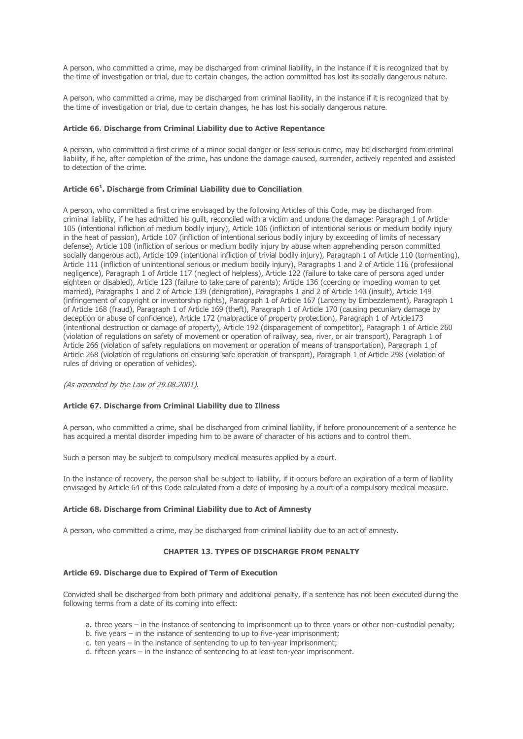A person, who committed a crime, may be discharged from criminal liability, in the instance if it is recognized that by the time of investigation or trial, due to certain changes, the action committed has lost its socially dangerous nature.

A person, who committed a crime, may be discharged from criminal liability, in the instance if it is recognized that by the time of investigation or trial, due to certain changes, he has lost his socially dangerous nature.

### **Article 66. Discharge from Criminal Liability due to Active Repentance**

A person, who committed a first crime of a minor social danger or less serious crime, may be discharged from criminal liability, if he, after completion of the crime, has undone the damage caused, surrender, actively repented and assisted to detection of the crime.

## **Article 66<sup>1</sup> . Discharge from Criminal Liability due to Conciliation**

A person, who committed a first crime envisaged by the following Articles of this Code, may be discharged from criminal liability, if he has admitted his guilt, reconciled with a victim and undone the damage: Paragraph 1 of Article 105 (intentional infliction of medium bodily injury), Article 106 (infliction of intentional serious or medium bodily injury in the heat of passion), Article 107 (infliction of intentional serious bodily injury by exceeding of limits of necessary defense), Article 108 (infliction of serious or medium bodily injury by abuse when apprehending person committed socially dangerous act), Article 109 (intentional infliction of trivial bodily injury), Paragraph 1 of Article 110 (tormenting), Article 111 (infliction of unintentional serious or medium bodily injury), Paragraphs 1 and 2 of Article 116 (professional negligence), Paragraph 1 of Article 117 (neglect of helpless), Article 122 (failure to take care of persons aged under eighteen or disabled), Article 123 (failure to take care of parents); Article 136 (coercing or impeding woman to get married), Paragraphs 1 and 2 of Article 139 (denigration), Paragraphs 1 and 2 of Article 140 (insult), Article 149 (infringement of copyright or inventorship rights), Paragraph 1 of Article 167 (Larceny by Embezzlement), Paragraph 1 of Article 168 (fraud), Paragraph 1 of Article 169 (theft), Paragraph 1 of Article 170 (causing pecuniary damage by deception or abuse of confidence), Article 172 (malpractice of property protection), Paragraph 1 of Article173 (intentional destruction or damage of property), Article 192 (disparagement of competitor), Paragraph 1 of Article 260 (violation of regulations on safety of movement or operation of railway, sea, river, or air transport), Paragraph 1 of Article 266 (violation of safety regulations on movement or operation of means of transportation), Paragraph 1 of Article 268 (violation of regulations on ensuring safe operation of transport), Paragraph 1 of Article 298 (violation of rules of driving or operation of vehicles).

(As amended by the Law of 29.08.2001).

## **Article 67. Discharge from Criminal Liability due to Illness**

A person, who committed a crime, shall be discharged from criminal liability, if before pronouncement of a sentence he has acquired a mental disorder impeding him to be aware of character of his actions and to control them.

Such a person may be subject to compulsory medical measures applied by a court.

In the instance of recovery, the person shall be subject to liability, if it occurs before an expiration of a term of liability envisaged by Article 64 of this Code calculated from a date of imposing by a court of a compulsory medical measure.

#### **Article 68. Discharge from Criminal Liability due to Act of Amnesty**

A person, who committed a crime, may be discharged from criminal liability due to an act of amnesty.

# **CHAPTER 13. TYPES OF DISCHARGE FROM PENALTY**

#### **Article 69. Discharge due to Expired of Term of Execution**

Convicted shall be discharged from both primary and additional penalty, if a sentence has not been executed during the following terms from a date of its coming into effect:

- a. three years in the instance of sentencing to imprisonment up to three years or other non-custodial penalty;
- b. five years in the instance of sentencing to up to five-year imprisonment;
- c. ten years in the instance of sentencing to up to ten-year imprisonment;
- d. fifteen years in the instance of sentencing to at least ten-year imprisonment.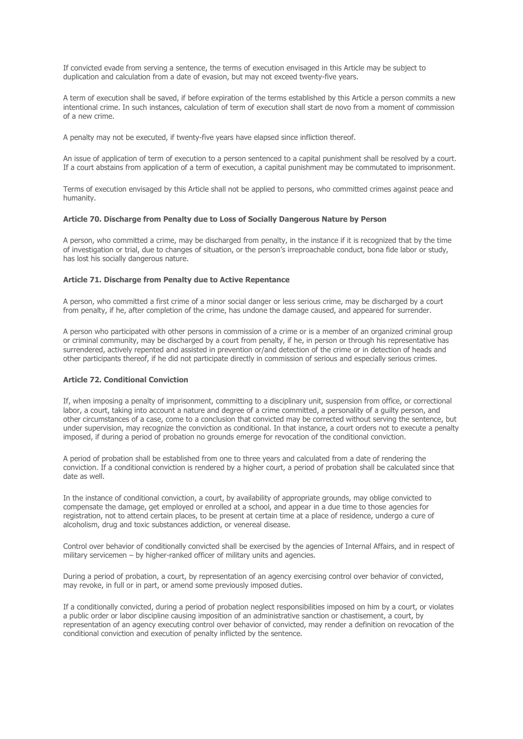If convicted evade from serving a sentence, the terms of execution envisaged in this Article may be subject to duplication and calculation from a date of evasion, but may not exceed twenty-five years.

A term of execution shall be saved, if before expiration of the terms established by this Article a person commits a new intentional crime. In such instances, calculation of term of execution shall start de novo from a moment of commission of a new crime.

A penalty may not be executed, if twenty-five years have elapsed since infliction thereof.

An issue of application of term of execution to a person sentenced to a capital punishment shall be resolved by a court. If a court abstains from application of a term of execution, a capital punishment may be commutated to imprisonment.

Terms of execution envisaged by this Article shall not be applied to persons, who committed crimes against peace and humanity.

### **Article 70. Discharge from Penalty due to Loss of Socially Dangerous Nature by Person**

A person, who committed a crime, may be discharged from penalty, in the instance if it is recognized that by the time of investigation or trial, due to changes of situation, or the person's irreproachable conduct, bona fide labor or study, has lost his socially dangerous nature.

### **Article 71. Discharge from Penalty due to Active Repentance**

A person, who committed a first crime of a minor social danger or less serious crime, may be discharged by a court from penalty, if he, after completion of the crime, has undone the damage caused, and appeared for surrender.

A person who participated with other persons in commission of a crime or is a member of an organized criminal group or criminal community, may be discharged by a court from penalty, if he, in person or through his representative has surrendered, actively repented and assisted in prevention or/and detection of the crime or in detection of heads and other participants thereof, if he did not participate directly in commission of serious and especially serious crimes.

## **Article 72. Conditional Conviction**

If, when imposing a penalty of imprisonment, committing to a disciplinary unit, suspension from office, or correctional labor, a court, taking into account a nature and degree of a crime committed, a personality of a guilty person, and other circumstances of a case, come to a conclusion that convicted may be corrected without serving the sentence, but under supervision, may recognize the conviction as conditional. In that instance, a court orders not to execute a penalty imposed, if during a period of probation no grounds emerge for revocation of the conditional conviction.

A period of probation shall be established from one to three years and calculated from a date of rendering the conviction. If a conditional conviction is rendered by a higher court, a period of probation shall be calculated since that date as well.

In the instance of conditional conviction, a court, by availability of appropriate grounds, may oblige convicted to compensate the damage, get employed or enrolled at a school, and appear in a due time to those agencies for registration, not to attend certain places, to be present at certain time at a place of residence, undergo a cure of alcoholism, drug and toxic substances addiction, or venereal disease.

Control over behavior of conditionally convicted shall be exercised by the agencies of Internal Affairs, and in respect of military servicemen – by higher-ranked officer of military units and agencies.

During a period of probation, a court, by representation of an agency exercising control over behavior of convicted, may revoke, in full or in part, or amend some previously imposed duties.

If a conditionally convicted, during a period of probation neglect responsibilities imposed on him by a court, or violates a public order or labor discipline causing imposition of an administrative sanction or chastisement, a court, by representation of an agency executing control over behavior of convicted, may render a definition on revocation of the conditional conviction and execution of penalty inflicted by the sentence.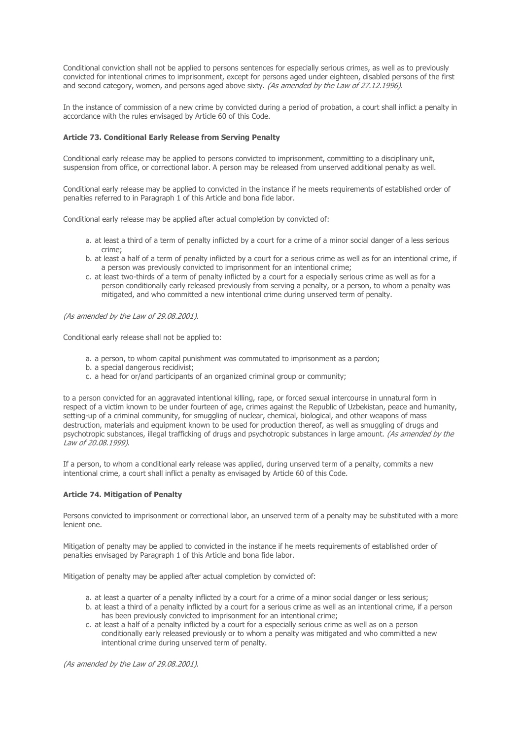Conditional conviction shall not be applied to persons sentences for especially serious crimes, as well as to previously convicted for intentional crimes to imprisonment, except for persons aged under eighteen, disabled persons of the first and second category, women, and persons aged above sixty. (As amended by the Law of 27.12.1996).

In the instance of commission of a new crime by convicted during a period of probation, a court shall inflict a penalty in accordance with the rules envisaged by Article 60 of this Code.

## **Article 73. Conditional Early Release from Serving Penalty**

Conditional early release may be applied to persons convicted to imprisonment, committing to a disciplinary unit, suspension from office, or correctional labor. A person may be released from unserved additional penalty as well.

Conditional early release may be applied to convicted in the instance if he meets requirements of established order of penalties referred to in Paragraph 1 of this Article and bona fide labor.

Conditional early release may be applied after actual completion by convicted of:

- a. at least a third of a term of penalty inflicted by a court for a crime of a minor social danger of a less serious crime;
- b. at least a half of a term of penalty inflicted by a court for a serious crime as well as for an intentional crime, if a person was previously convicted to imprisonment for an intentional crime;
- c. at least two-thirds of a term of penalty inflicted by a court for a especially serious crime as well as for a person conditionally early released previously from serving a penalty, or a person, to whom a penalty was mitigated, and who committed a new intentional crime during unserved term of penalty.

(As amended by the Law of 29.08.2001).

Conditional early release shall not be applied to:

- a. a person, to whom capital punishment was commutated to imprisonment as a pardon;
- b. a special dangerous recidivist;
- c. a head for or/and participants of an organized criminal group or community;

to a person convicted for an aggravated intentional killing, rape, or forced sexual intercourse in unnatural form in respect of a victim known to be under fourteen of age, crimes against the Republic of Uzbekistan, peace and humanity, setting-up of a criminal community, for smuggling of nuclear, chemical, biological, and other weapons of mass destruction, materials and equipment known to be used for production thereof, as well as smuggling of drugs and psychotropic substances, illegal trafficking of drugs and psychotropic substances in large amount. (As amended by the Law of 20.08.1999).

If a person, to whom a conditional early release was applied, during unserved term of a penalty, commits a new intentional crime, a court shall inflict a penalty as envisaged by Article 60 of this Code.

### **Article 74. Mitigation of Penalty**

Persons convicted to imprisonment or correctional labor, an unserved term of a penalty may be substituted with a more lenient one.

Mitigation of penalty may be applied to convicted in the instance if he meets requirements of established order of penalties envisaged by Paragraph 1 of this Article and bona fide labor.

Mitigation of penalty may be applied after actual completion by convicted of:

- a. at least a quarter of a penalty inflicted by a court for a crime of a minor social danger or less serious;
- b. at least a third of a penalty inflicted by a court for a serious crime as well as an intentional crime, if a person has been previously convicted to imprisonment for an intentional crime;
- c. at least a half of a penalty inflicted by a court for a especially serious crime as well as on a person conditionally early released previously or to whom a penalty was mitigated and who committed a new intentional crime during unserved term of penalty.

(As amended by the Law of 29.08.2001).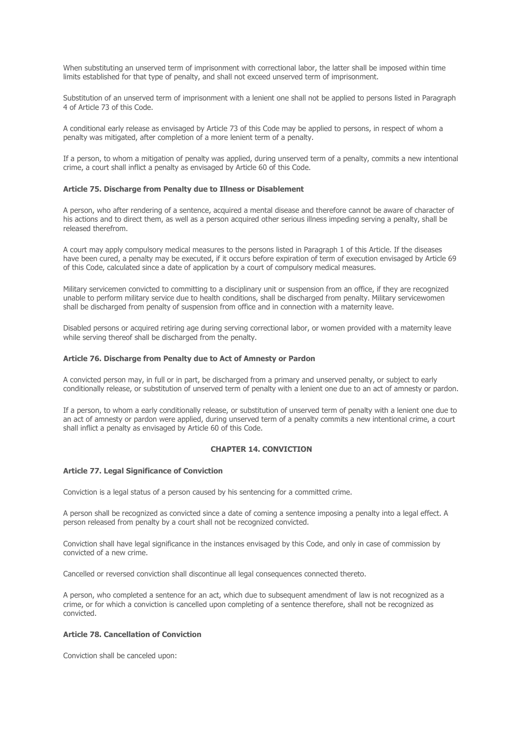When substituting an unserved term of imprisonment with correctional labor, the latter shall be imposed within time limits established for that type of penalty, and shall not exceed unserved term of imprisonment.

Substitution of an unserved term of imprisonment with a lenient one shall not be applied to persons listed in Paragraph 4 of Article 73 of this Code.

A conditional early release as envisaged by Article 73 of this Code may be applied to persons, in respect of whom a penalty was mitigated, after completion of a more lenient term of a penalty.

If a person, to whom a mitigation of penalty was applied, during unserved term of a penalty, commits a new intentional crime, a court shall inflict a penalty as envisaged by Article 60 of this Code.

#### **Article 75. Discharge from Penalty due to Illness or Disablement**

A person, who after rendering of a sentence, acquired a mental disease and therefore cannot be aware of character of his actions and to direct them, as well as a person acquired other serious illness impeding serving a penalty, shall be released therefrom.

A court may apply compulsory medical measures to the persons listed in Paragraph 1 of this Article. If the diseases have been cured, a penalty may be executed, if it occurs before expiration of term of execution envisaged by Article 69 of this Code, calculated since a date of application by a court of compulsory medical measures.

Military servicemen convicted to committing to a disciplinary unit or suspension from an office, if they are recognized unable to perform military service due to health conditions, shall be discharged from penalty. Military servicewomen shall be discharged from penalty of suspension from office and in connection with a maternity leave.

Disabled persons or acquired retiring age during serving correctional labor, or women provided with a maternity leave while serving thereof shall be discharged from the penalty.

#### **Article 76. Discharge from Penalty due to Act of Amnesty or Pardon**

A convicted person may, in full or in part, be discharged from a primary and unserved penalty, or subject to early conditionally release, or substitution of unserved term of penalty with a lenient one due to an act of amnesty or pardon.

If a person, to whom a early conditionally release, or substitution of unserved term of penalty with a lenient one due to an act of amnesty or pardon were applied, during unserved term of a penalty commits a new intentional crime, a court shall inflict a penalty as envisaged by Article 60 of this Code.

## **CHAPTER 14. CONVICTION**

## **Article 77. Legal Significance of Conviction**

Conviction is a legal status of a person caused by his sentencing for a committed crime.

A person shall be recognized as convicted since a date of coming a sentence imposing a penalty into a legal effect. A person released from penalty by a court shall not be recognized convicted.

Conviction shall have legal significance in the instances envisaged by this Code, and only in case of commission by convicted of a new crime.

Cancelled or reversed conviction shall discontinue all legal consequences connected thereto.

A person, who completed a sentence for an act, which due to subsequent amendment of law is not recognized as a crime, or for which a conviction is cancelled upon completing of a sentence therefore, shall not be recognized as convicted.

# **Article 78. Cancellation of Conviction**

Conviction shall be canceled upon: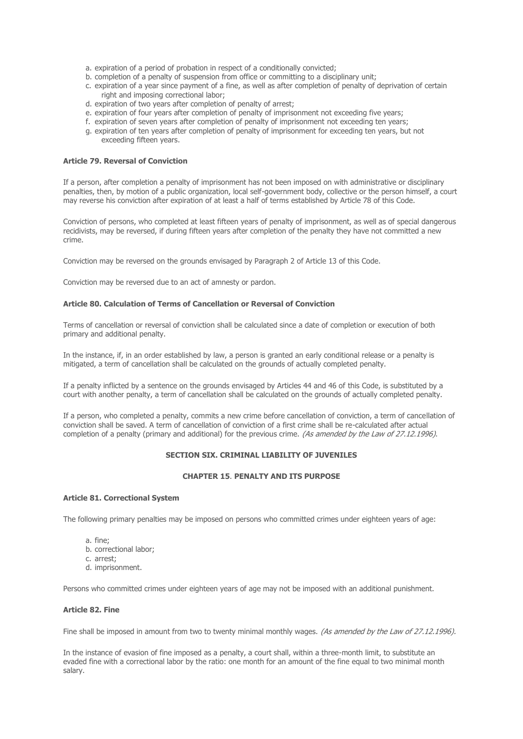- a. expiration of a period of probation in respect of a conditionally convicted;
- b. completion of a penalty of suspension from office or committing to a disciplinary unit;
- c. expiration of a year since payment of a fine, as well as after completion of penalty of deprivation of certain right and imposing correctional labor;
- d. expiration of two years after completion of penalty of arrest;
- e. expiration of four years after completion of penalty of imprisonment not exceeding five years;
- f. expiration of seven years after completion of penalty of imprisonment not exceeding ten years;
- g. expiration of ten years after completion of penalty of imprisonment for exceeding ten years, but not exceeding fifteen years.

## **Article 79. Reversal of Conviction**

If a person, after completion a penalty of imprisonment has not been imposed on with administrative or disciplinary penalties, then, by motion of a public organization, local self-government body, collective or the person himself, a court may reverse his conviction after expiration of at least a half of terms established by Article 78 of this Code.

Conviction of persons, who completed at least fifteen years of penalty of imprisonment, as well as of special dangerous recidivists, may be reversed, if during fifteen years after completion of the penalty they have not committed a new crime.

Conviction may be reversed on the grounds envisaged by Paragraph 2 of Article 13 of this Code.

Conviction may be reversed due to an act of amnesty or pardon.

## **Article 80. Calculation of Terms of Cancellation or Reversal of Conviction**

Terms of cancellation or reversal of conviction shall be calculated since a date of completion or execution of both primary and additional penalty.

In the instance, if, in an order established by law, a person is granted an early conditional release or a penalty is mitigated, a term of cancellation shall be calculated on the grounds of actually completed penalty.

If a penalty inflicted by a sentence on the grounds envisaged by Articles 44 and 46 of this Code, is substituted by a court with another penalty, a term of cancellation shall be calculated on the grounds of actually completed penalty.

If a person, who completed a penalty, commits a new crime before cancellation of conviction, a term of cancellation of conviction shall be saved. A term of cancellation of conviction of a first crime shall be re-calculated after actual completion of a penalty (primary and additional) for the previous crime. (As amended by the Law of 27.12.1996).

## **SECTION SIX. CRIMINAL LIABILITY OF JUVENILES**

## **CHAPTER 15**. **PENALTY AND ITS PURPOSE**

#### **Article 81. Correctional System**

The following primary penalties may be imposed on persons who committed crimes under eighteen years of age:

- a. fine;
- b. correctional labor;
- c. arrest;
- d. imprisonment.

Persons who committed crimes under eighteen years of age may not be imposed with an additional punishment.

## **Article 82. Fine**

Fine shall be imposed in amount from two to twenty minimal monthly wages. (As amended by the Law of 27.12.1996).

In the instance of evasion of fine imposed as a penalty, a court shall, within a three-month limit, to substitute an evaded fine with a correctional labor by the ratio: one month for an amount of the fine equal to two minimal month salary.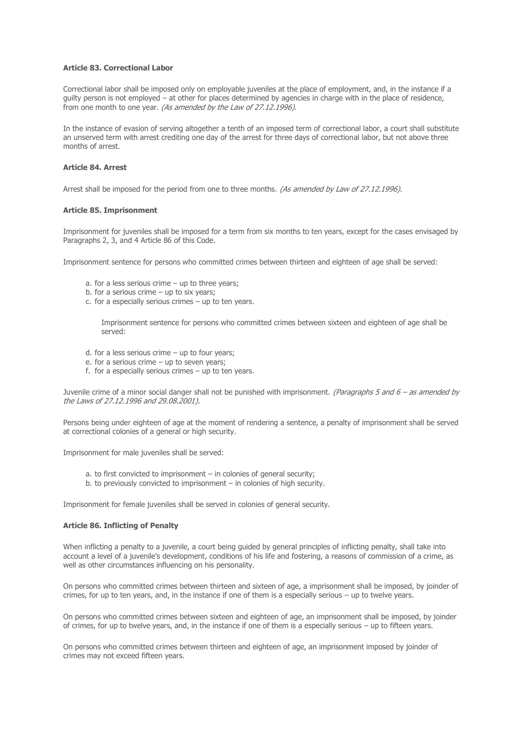## **Article 83. Correctional Labor**

Correctional labor shall be imposed only on employable juveniles at the place of employment, and, in the instance if a guilty person is not employed – at other for places determined by agencies in charge with in the place of residence, from one month to one year. (As amended by the Law of 27.12.1996).

In the instance of evasion of serving altogether a tenth of an imposed term of correctional labor, a court shall substitute an unserved term with arrest crediting one day of the arrest for three days of correctional labor, but not above three months of arrest.

## **Article 84. Arrest**

Arrest shall be imposed for the period from one to three months. (As amended by Law of 27.12.1996).

### **Article 85. Imprisonment**

Imprisonment for juveniles shall be imposed for a term from six months to ten years, except for the cases envisaged by Paragraphs 2, 3, and 4 Article 86 of this Code.

Imprisonment sentence for persons who committed crimes between thirteen and eighteen of age shall be served:

- a. for a less serious crime up to three years;
- b. for a serious crime  $-$  up to six years;
- c. for a especially serious crimes up to ten years.

Imprisonment sentence for persons who committed crimes between sixteen and eighteen of age shall be served:

- d. for a less serious crime up to four years;
- e. for a serious crime up to seven years;
- f. for a especially serious crimes up to ten years.

Juvenile crime of a minor social danger shall not be punished with imprisonment. (Paragraphs 5 and  $6 -$  as amended by the Laws of 27.12.1996 and 29.08.2001).

Persons being under eighteen of age at the moment of rendering a sentence, a penalty of imprisonment shall be served at correctional colonies of a general or high security.

Imprisonment for male juveniles shall be served:

- a. to first convicted to imprisonment in colonies of general security;
- b. to previously convicted to imprisonment in colonies of high security.

Imprisonment for female juveniles shall be served in colonies of general security.

## **Article 86. Inflicting of Penalty**

When inflicting a penalty to a juvenile, a court being guided by general principles of inflicting penalty, shall take into account a level of a juvenile's development, conditions of his life and fostering, a reasons of commission of a crime, as well as other circumstances influencing on his personality.

On persons who committed crimes between thirteen and sixteen of age, a imprisonment shall be imposed, by joinder of crimes, for up to ten years, and, in the instance if one of them is a especially serious – up to twelve years.

On persons who committed crimes between sixteen and eighteen of age, an imprisonment shall be imposed, by joinder of crimes, for up to twelve years, and, in the instance if one of them is a especially serious – up to fifteen years.

On persons who committed crimes between thirteen and eighteen of age, an imprisonment imposed by joinder of crimes may not exceed fifteen years.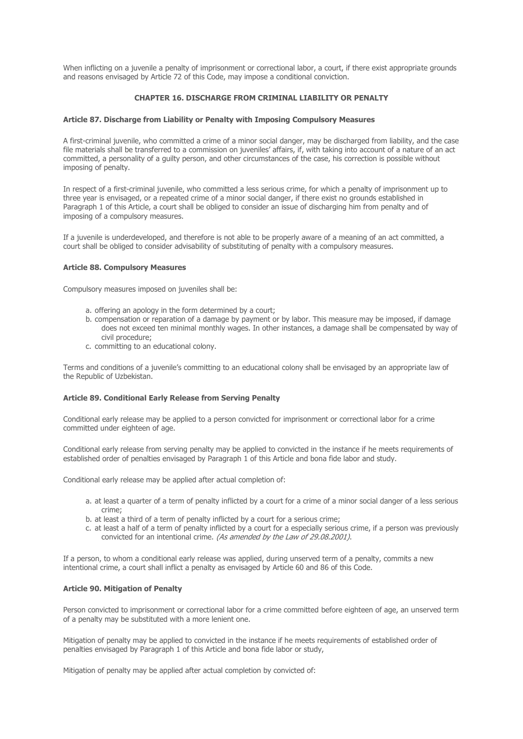When inflicting on a juvenile a penalty of imprisonment or correctional labor, a court, if there exist appropriate grounds and reasons envisaged by Article 72 of this Code, may impose a conditional conviction.

## **CHAPTER 16. DISCHARGE FROM CRIMINAL LIABILITY OR PENALTY**

## **Article 87. Discharge from Liability or Penalty with Imposing Compulsory Measures**

A first-criminal juvenile, who committed a crime of a minor social danger, may be discharged from liability, and the case file materials shall be transferred to a commission on juveniles' affairs, if, with taking into account of a nature of an act committed, a personality of a guilty person, and other circumstances of the case, his correction is possible without imposing of penalty.

In respect of a first-criminal juvenile, who committed a less serious crime, for which a penalty of imprisonment up to three year is envisaged, or a repeated crime of a minor social danger, if there exist no grounds established in Paragraph 1 of this Article, a court shall be obliged to consider an issue of discharging him from penalty and of imposing of a compulsory measures.

If a juvenile is underdeveloped, and therefore is not able to be properly aware of a meaning of an act committed, a court shall be obliged to consider advisability of substituting of penalty with a compulsory measures.

### **Article 88. Compulsory Measures**

Compulsory measures imposed on juveniles shall be:

- a. offering an apology in the form determined by a court;
- b. compensation or reparation of a damage by payment or by labor. This measure may be imposed, if damage does not exceed ten minimal monthly wages. In other instances, a damage shall be compensated by way of civil procedure;
- c. committing to an educational colony.

Terms and conditions of a juvenile's committing to an educational colony shall be envisaged by an appropriate law of the Republic of Uzbekistan.

## **Article 89. Conditional Early Release from Serving Penalty**

Conditional early release may be applied to a person convicted for imprisonment or correctional labor for a crime committed under eighteen of age.

Conditional early release from serving penalty may be applied to convicted in the instance if he meets requirements of established order of penalties envisaged by Paragraph 1 of this Article and bona fide labor and study.

Conditional early release may be applied after actual completion of:

- a. at least a quarter of a term of penalty inflicted by a court for a crime of a minor social danger of a less serious crime;
- b. at least a third of a term of penalty inflicted by a court for a serious crime;
- c. at least a half of a term of penalty inflicted by a court for a especially serious crime, if a person was previously convicted for an intentional crime. (As amended by the Law of 29.08.2001).

If a person, to whom a conditional early release was applied, during unserved term of a penalty, commits a new intentional crime, a court shall inflict a penalty as envisaged by Article 60 and 86 of this Code.

#### **Article 90. Mitigation of Penalty**

Person convicted to imprisonment or correctional labor for a crime committed before eighteen of age, an unserved term of a penalty may be substituted with a more lenient one.

Mitigation of penalty may be applied to convicted in the instance if he meets requirements of established order of penalties envisaged by Paragraph 1 of this Article and bona fide labor or study,

Mitigation of penalty may be applied after actual completion by convicted of: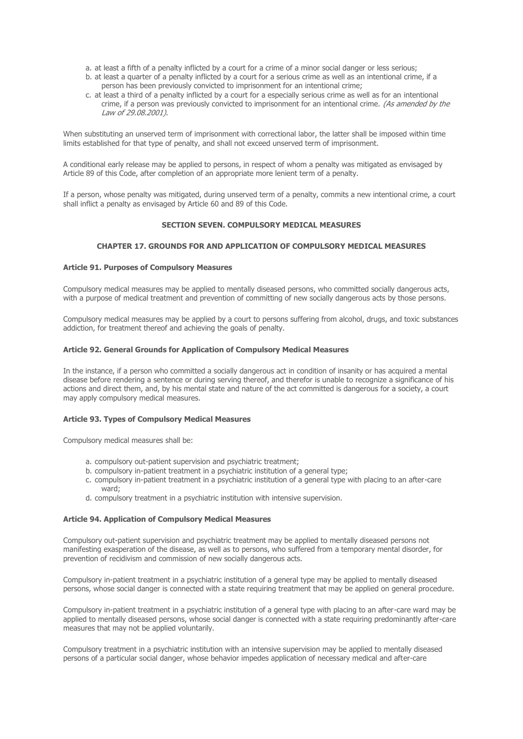- a. at least a fifth of a penalty inflicted by a court for a crime of a minor social danger or less serious;
- b. at least a quarter of a penalty inflicted by a court for a serious crime as well as an intentional crime, if a person has been previously convicted to imprisonment for an intentional crime;
- c. at least a third of a penalty inflicted by a court for a especially serious crime as well as for an intentional crime, if a person was previously convicted to imprisonment for an intentional crime. (As amended by the Law of 29.08.2001).

When substituting an unserved term of imprisonment with correctional labor, the latter shall be imposed within time limits established for that type of penalty, and shall not exceed unserved term of imprisonment.

A conditional early release may be applied to persons, in respect of whom a penalty was mitigated as envisaged by Article 89 of this Code, after completion of an appropriate more lenient term of a penalty.

If a person, whose penalty was mitigated, during unserved term of a penalty, commits a new intentional crime, a court shall inflict a penalty as envisaged by Article 60 and 89 of this Code.

## **SECTION SEVEN. COMPULSORY MEDICAL MEASURES**

# **CHAPTER 17. GROUNDS FOR AND APPLICATION OF COMPULSORY MEDICAL MEASURES**

## **Article 91. Purposes of Compulsory Measures**

Compulsory medical measures may be applied to mentally diseased persons, who committed socially dangerous acts, with a purpose of medical treatment and prevention of committing of new socially dangerous acts by those persons.

Compulsory medical measures may be applied by a court to persons suffering from alcohol, drugs, and toxic substances addiction, for treatment thereof and achieving the goals of penalty.

### **Article 92. General Grounds for Application of Compulsory Medical Measures**

In the instance, if a person who committed a socially dangerous act in condition of insanity or has acquired a mental disease before rendering a sentence or during serving thereof, and therefor is unable to recognize a significance of his actions and direct them, and, by his mental state and nature of the act committed is dangerous for a society, a court may apply compulsory medical measures.

## **Article 93. Types of Compulsory Medical Measures**

Compulsory medical measures shall be:

- a. compulsory out-patient supervision and psychiatric treatment;
- b. compulsory in-patient treatment in a psychiatric institution of a general type;
- c. compulsory in-patient treatment in a psychiatric institution of a general type with placing to an after-care ward;
- d. compulsory treatment in a psychiatric institution with intensive supervision.

#### **Article 94. Application of Compulsory Medical Measures**

Compulsory out-patient supervision and psychiatric treatment may be applied to mentally diseased persons not manifesting exasperation of the disease, as well as to persons, who suffered from a temporary mental disorder, for prevention of recidivism and commission of new socially dangerous acts.

Compulsory in-patient treatment in a psychiatric institution of a general type may be applied to mentally diseased persons, whose social danger is connected with a state requiring treatment that may be applied on general procedure.

Compulsory in-patient treatment in a psychiatric institution of a general type with placing to an after-care ward may be applied to mentally diseased persons, whose social danger is connected with a state requiring predominantly after-care measures that may not be applied voluntarily.

Compulsory treatment in a psychiatric institution with an intensive supervision may be applied to mentally diseased persons of a particular social danger, whose behavior impedes application of necessary medical and after-care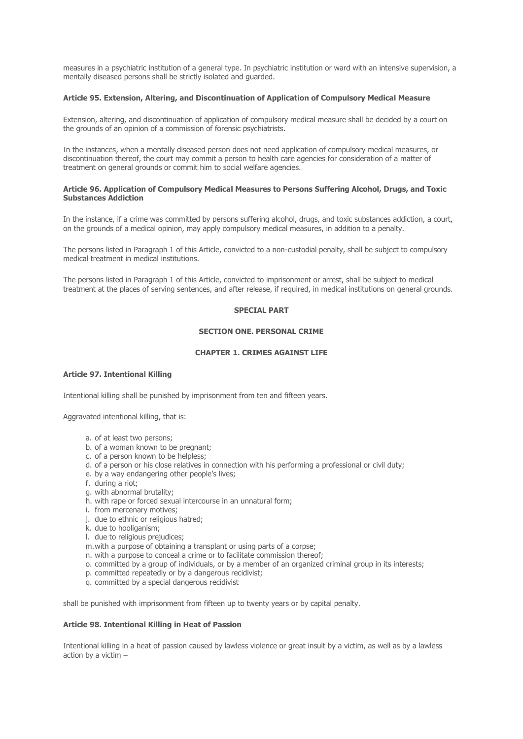measures in a psychiatric institution of a general type. In psychiatric institution or ward with an intensive supervision, a mentally diseased persons shall be strictly isolated and guarded.

### **Article 95. Extension, Altering, and Discontinuation of Application of Compulsory Medical Measure**

Extension, altering, and discontinuation of application of compulsory medical measure shall be decided by a court on the grounds of an opinion of a commission of forensic psychiatrists.

In the instances, when a mentally diseased person does not need application of compulsory medical measures, or discontinuation thereof, the court may commit a person to health care agencies for consideration of a matter of treatment on general grounds or commit him to social welfare agencies.

### **Article 96. Application of Compulsory Medical Measures to Persons Suffering Alcohol, Drugs, and Toxic Substances Addiction**

In the instance, if a crime was committed by persons suffering alcohol, drugs, and toxic substances addiction, a court, on the grounds of a medical opinion, may apply compulsory medical measures, in addition to a penalty.

The persons listed in Paragraph 1 of this Article, convicted to a non-custodial penalty, shall be subject to compulsory medical treatment in medical institutions.

The persons listed in Paragraph 1 of this Article, convicted to imprisonment or arrest, shall be subject to medical treatment at the places of serving sentences, and after release, if required, in medical institutions on general grounds.

## **SPECIAL PART**

## **SECTION ONE. PERSONAL CRIME**

## **CHAPTER 1. CRIMES AGAINST LIFE**

## **Article 97. Intentional Killing**

Intentional killing shall be punished by imprisonment from ten and fifteen years.

Aggravated intentional killing, that is:

- a. of at least two persons;
- b. of a woman known to be pregnant;
- c. of a person known to be helpless;
- d. of a person or his close relatives in connection with his performing a professional or civil duty;
- e. by a way endangering other people's lives;
- f. during a riot;
- g. with abnormal brutality;
- h. with rape or forced sexual intercourse in an unnatural form;
- i. from mercenary motives;
- j. due to ethnic or religious hatred;
- k. due to hooliganism;
- l. due to religious prejudices;
- m.with a purpose of obtaining a transplant or using parts of a corpse;
- n. with a purpose to conceal a crime or to facilitate commission thereof;
- o. committed by a group of individuals, or by a member of an organized criminal group in its interests;
- p. committed repeatedly or by a dangerous recidivist;
- q. committed by a special dangerous recidivist

shall be punished with imprisonment from fifteen up to twenty years or by capital penalty.

## **Article 98. Intentional Killing in Heat of Passion**

Intentional killing in a heat of passion caused by lawless violence or great insult by a victim, as well as by a lawless action by a victim –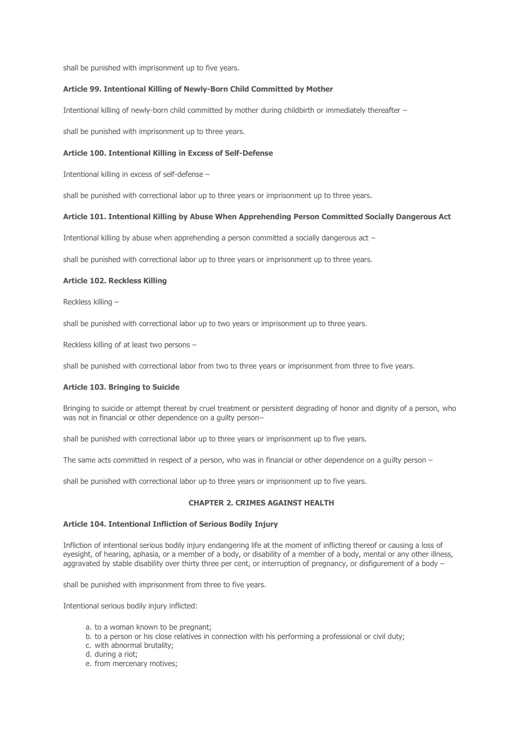shall be punished with imprisonment up to five years.

## **Article 99. Intentional Killing of Newly-Born Child Committed by Mother**

Intentional killing of newly-born child committed by mother during childbirth or immediately thereafter –

shall be punished with imprisonment up to three years.

### **Article 100. Intentional Killing in Excess of Self-Defense**

Intentional killing in excess of self-defense –

shall be punished with correctional labor up to three years or imprisonment up to three years.

## **Article 101. Intentional Killing by Abuse When Apprehending Person Committed Socially Dangerous Act**

Intentional killing by abuse when apprehending a person committed a socially dangerous act –

shall be punished with correctional labor up to three years or imprisonment up to three years.

### **Article 102. Reckless Killing**

Reckless killing –

shall be punished with correctional labor up to two years or imprisonment up to three years.

Reckless killing of at least two persons –

shall be punished with correctional labor from two to three years or imprisonment from three to five years.

## **Article 103. Bringing to Suicide**

Bringing to suicide or attempt thereat by cruel treatment or persistent degrading of honor and dignity of a person, who was not in financial or other dependence on a guilty person–

shall be punished with correctional labor up to three years or imprisonment up to five years.

The same acts committed in respect of a person, who was in financial or other dependence on a guilty person –

shall be punished with correctional labor up to three years or imprisonment up to five years.

#### **CHAPTER 2. CRIMES AGAINST HEALTH**

#### **Article 104. Intentional Infliction of Serious Bodily Injury**

Infliction of intentional serious bodily injury endangering life at the moment of inflicting thereof or causing a loss of eyesight, of hearing, aphasia, or a member of a body, or disability of a member of a body, mental or any other illness, aggravated by stable disability over thirty three per cent, or interruption of pregnancy, or disfigurement of a body –

shall be punished with imprisonment from three to five years.

Intentional serious bodily injury inflicted:

- a. to a woman known to be pregnant;
- b. to a person or his close relatives in connection with his performing a professional or civil duty;
- c. with abnormal brutality;
- d. during a riot;
- e. from mercenary motives;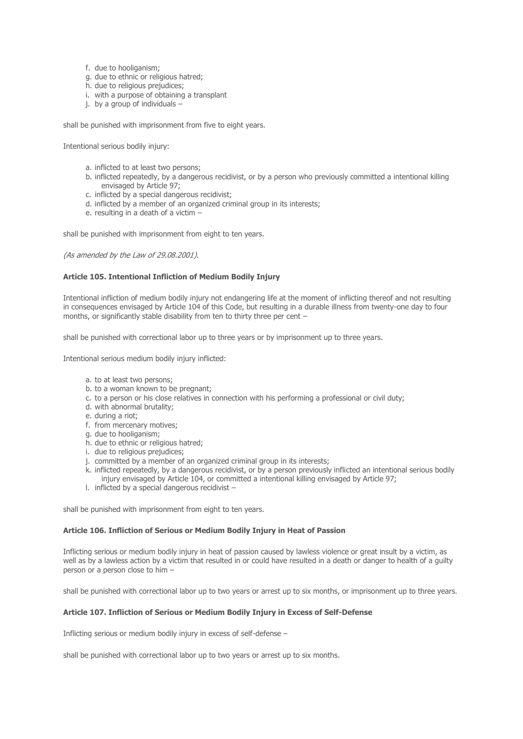- f. due to hooliganism;
- g. due to ethnic or religious hatred;
- h. due to religious prejudices;
- i. with a purpose of obtaining a transplant
- j. by a group of individuals –

shall be punished with imprisonment from five to eight years.

Intentional serious bodily injury:

- a. inflicted to at least two persons;
- b. inflicted repeatedly, by a dangerous recidivist, or by a person who previously committed a intentional killing envisaged by Article 97;
- c. inflicted by a special dangerous recidivist;
- d. inflicted by a member of an organized criminal group in its interests;
- e. resulting in a death of a victim –

shall be punished with imprisonment from eight to ten years.

(As amended by the Law of 29.08.2001).

## **Article 105. Intentional Infliction of Medium Bodily Injury**

Intentional infliction of medium bodily injury not endangering life at the moment of inflicting thereof and not resulting in consequences envisaged by Article 104 of this Code, but resulting in a durable illness from twenty-one day to four months, or significantly stable disability from ten to thirty three per cent –

shall be punished with correctional labor up to three years or by imprisonment up to three years.

Intentional serious medium bodily injury inflicted:

- a. to at least two persons;
- b. to a woman known to be pregnant;
- c. to a person or his close relatives in connection with his performing a professional or civil duty;
- d. with abnormal brutality;
- e. during a riot;
- f. from mercenary motives;
- g. due to hooliganism;
- h. due to ethnic or religious hatred;
- i. due to religious prejudices;
- j. committed by a member of an organized criminal group in its interests;
- k. inflicted repeatedly, by a dangerous recidivist, or by a person previously inflicted an intentional serious bodily injury envisaged by Article 104, or committed a intentional killing envisaged by Article 97;
- l. inflicted by a special dangerous recidivist –

shall be punished with imprisonment from eight to ten years.

## **Article 106. Infliction of Serious or Medium Bodily Injury in Heat of Passion**

Inflicting serious or medium bodily injury in heat of passion caused by lawless violence or great insult by a victim, as well as by a lawless action by a victim that resulted in or could have resulted in a death or danger to health of a guilty person or a person close to him –

shall be punished with correctional labor up to two years or arrest up to six months, or imprisonment up to three years.

## **Article 107. Infliction of Serious or Medium Bodily Injury in Excess of Self-Defense**

Inflicting serious or medium bodily injury in excess of self-defense –

shall be punished with correctional labor up to two years or arrest up to six months.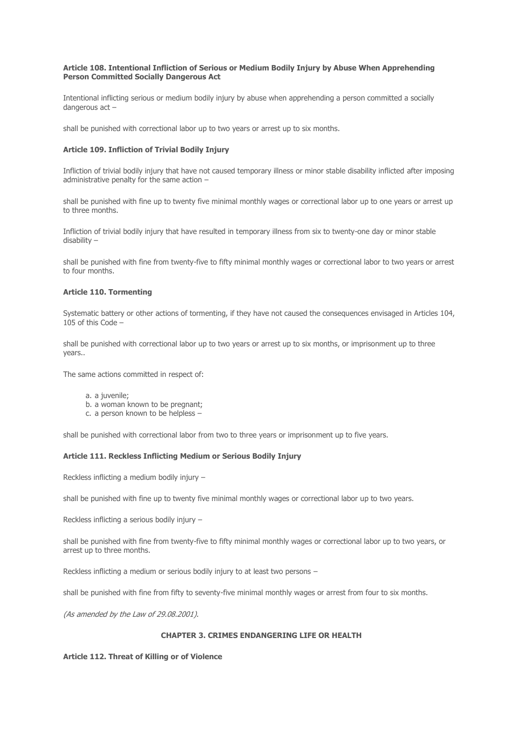## **Article 108. Intentional Infliction of Serious or Medium Bodily Injury by Abuse When Apprehending Person Committed Socially Dangerous Act**

Intentional inflicting serious or medium bodily injury by abuse when apprehending a person committed a socially dangerous act –

shall be punished with correctional labor up to two years or arrest up to six months.

## **Article 109. Infliction of Trivial Bodily Injury**

Infliction of trivial bodily injury that have not caused temporary illness or minor stable disability inflicted after imposing administrative penalty for the same action –

shall be punished with fine up to twenty five minimal monthly wages or correctional labor up to one years or arrest up to three months.

Infliction of trivial bodily injury that have resulted in temporary illness from six to twenty-one day or minor stable disability –

shall be punished with fine from twenty-five to fifty minimal monthly wages or correctional labor to two years or arrest to four months.

## **Article 110. Tormenting**

Systematic battery or other actions of tormenting, if they have not caused the consequences envisaged in Articles 104, 105 of this Code –

shall be punished with correctional labor up to two years or arrest up to six months, or imprisonment up to three years..

The same actions committed in respect of:

- a. a juvenile;
- b. a woman known to be pregnant;
- c. a person known to be helpless –

shall be punished with correctional labor from two to three years or imprisonment up to five years.

## **Article 111. Reckless Inflicting Medium or Serious Bodily Injury**

Reckless inflicting a medium bodily injury –

shall be punished with fine up to twenty five minimal monthly wages or correctional labor up to two years.

Reckless inflicting a serious bodily injury –

shall be punished with fine from twenty-five to fifty minimal monthly wages or correctional labor up to two years, or arrest up to three months.

Reckless inflicting a medium or serious bodily injury to at least two persons –

shall be punished with fine from fifty to seventy-five minimal monthly wages or arrest from four to six months.

(As amended by the Law of 29.08.2001).

## **CHAPTER 3. CRIMES ENDANGERING LIFE OR HEALTH**

## **Article 112. Threat of Killing or of Violence**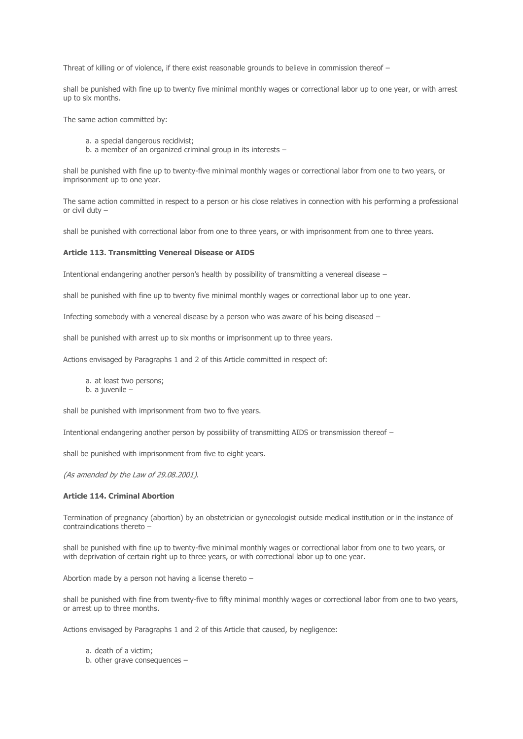Threat of killing or of violence, if there exist reasonable grounds to believe in commission thereof –

shall be punished with fine up to twenty five minimal monthly wages or correctional labor up to one year, or with arrest up to six months.

The same action committed by:

- a. a special dangerous recidivist;
- b. a member of an organized criminal group in its interests –

shall be punished with fine up to twenty-five minimal monthly wages or correctional labor from one to two years, or imprisonment up to one year.

The same action committed in respect to a person or his close relatives in connection with his performing a professional or civil duty –

shall be punished with correctional labor from one to three years, or with imprisonment from one to three years.

### **Article 113. Transmitting Venereal Disease or AIDS**

Intentional endangering another person's health by possibility of transmitting a venereal disease –

shall be punished with fine up to twenty five minimal monthly wages or correctional labor up to one year.

Infecting somebody with a venereal disease by a person who was aware of his being diseased –

shall be punished with arrest up to six months or imprisonment up to three years.

Actions envisaged by Paragraphs 1 and 2 of this Article committed in respect of:

- a. at least two persons;
- b. a juvenile –

shall be punished with imprisonment from two to five years.

Intentional endangering another person by possibility of transmitting AIDS or transmission thereof –

shall be punished with imprisonment from five to eight years.

(As amended by the Law of 29.08.2001).

## **Article 114. Criminal Abortion**

Termination of pregnancy (abortion) by an obstetrician or gynecologist outside medical institution or in the instance of contraindications thereto –

shall be punished with fine up to twenty-five minimal monthly wages or correctional labor from one to two years, or with deprivation of certain right up to three years, or with correctional labor up to one year.

Abortion made by a person not having a license thereto –

shall be punished with fine from twenty-five to fifty minimal monthly wages or correctional labor from one to two years, or arrest up to three months.

Actions envisaged by Paragraphs 1 and 2 of this Article that caused, by negligence:

a. death of a victim;

b. other grave consequences –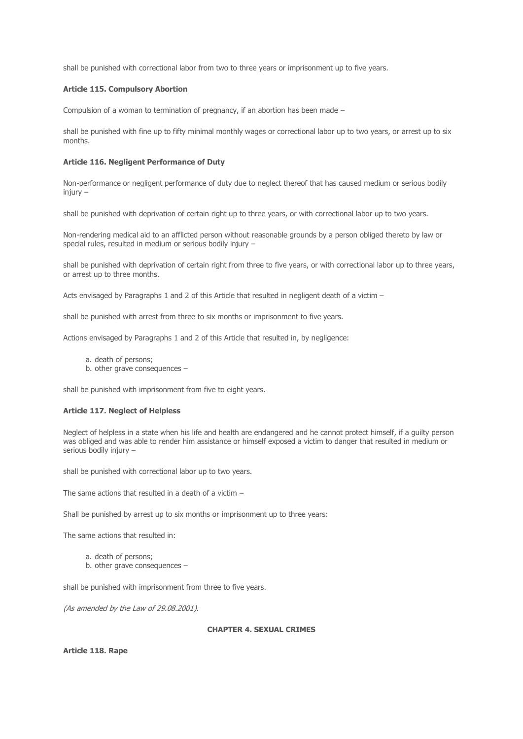shall be punished with correctional labor from two to three years or imprisonment up to five years.

### **Article 115. Compulsory Abortion**

Compulsion of a woman to termination of pregnancy, if an abortion has been made –

shall be punished with fine up to fifty minimal monthly wages or correctional labor up to two years, or arrest up to six months.

#### **Article 116. Negligent Performance of Duty**

Non-performance or negligent performance of duty due to neglect thereof that has caused medium or serious bodily  $ini$ urv –

shall be punished with deprivation of certain right up to three years, or with correctional labor up to two years.

Non-rendering medical aid to an afflicted person without reasonable grounds by a person obliged thereto by law or special rules, resulted in medium or serious bodily injury –

shall be punished with deprivation of certain right from three to five years, or with correctional labor up to three years, or arrest up to three months.

Acts envisaged by Paragraphs 1 and 2 of this Article that resulted in negligent death of a victim –

shall be punished with arrest from three to six months or imprisonment to five years.

Actions envisaged by Paragraphs 1 and 2 of this Article that resulted in, by negligence:

- a. death of persons;
- b. other grave consequences –

shall be punished with imprisonment from five to eight years.

### **Article 117. Neglect of Helpless**

Neglect of helpless in a state when his life and health are endangered and he cannot protect himself, if a guilty person was obliged and was able to render him assistance or himself exposed a victim to danger that resulted in medium or serious bodily injury –

shall be punished with correctional labor up to two years.

The same actions that resulted in a death of a victim –

Shall be punished by arrest up to six months or imprisonment up to three years:

The same actions that resulted in:

- a. death of persons;
- b. other grave consequences –

shall be punished with imprisonment from three to five years.

(As amended by the Law of 29.08.2001).

# **CHAPTER 4. SEXUAL CRIMES**

**Article 118. Rape**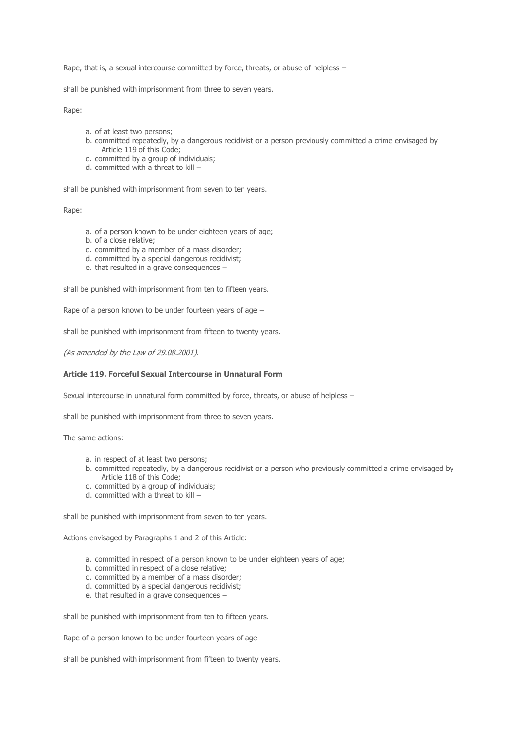Rape, that is, a sexual intercourse committed by force, threats, or abuse of helpless -

shall be punished with imprisonment from three to seven years.

Rape:

- a. of at least two persons;
- b. committed repeatedly, by a dangerous recidivist or a person previously committed a crime envisaged by Article 119 of this Code;
- c. committed by a group of individuals;
- d. committed with a threat to kill –

shall be punished with imprisonment from seven to ten years.

Rape:

- a. of a person known to be under eighteen years of age;
- b. of a close relative;
- c. committed by a member of a mass disorder;
- d. committed by a special dangerous recidivist;
- e. that resulted in a grave consequences –

shall be punished with imprisonment from ten to fifteen years.

Rape of a person known to be under fourteen years of age –

shall be punished with imprisonment from fifteen to twenty years.

(As amended by the Law of 29.08.2001).

## **Article 119. Forceful Sexual Intercourse in Unnatural Form**

Sexual intercourse in unnatural form committed by force, threats, or abuse of helpless –

shall be punished with imprisonment from three to seven years.

The same actions:

- a. in respect of at least two persons;
- b. committed repeatedly, by a dangerous recidivist or a person who previously committed a crime envisaged by Article 118 of this Code;
- c. committed by a group of individuals;
- d. committed with a threat to kill –

shall be punished with imprisonment from seven to ten years.

Actions envisaged by Paragraphs 1 and 2 of this Article:

- a. committed in respect of a person known to be under eighteen years of age;
- b. committed in respect of a close relative;
- c. committed by a member of a mass disorder;
- d. committed by a special dangerous recidivist;
- e. that resulted in a grave consequences –

shall be punished with imprisonment from ten to fifteen years.

Rape of a person known to be under fourteen years of age –

shall be punished with imprisonment from fifteen to twenty years.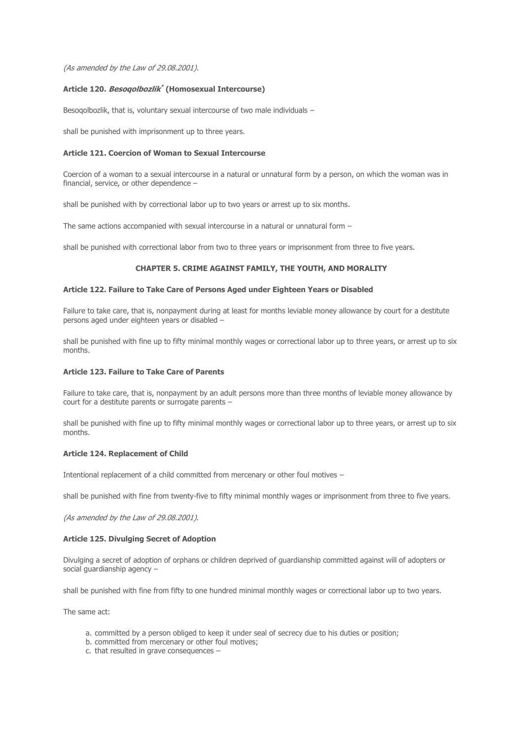(As amended by the Law of 29.08.2001).

## **Article 120. Besoqolbozlik \* (Homosexual Intercourse)**

Besoqolbozlik, that is, voluntary sexual intercourse of two male individuals -

shall be punished with imprisonment up to three years.

### **Article 121. Coercion of Woman to Sexual Intercourse**

Coercion of a woman to a sexual intercourse in a natural or unnatural form by a person, on which the woman was in financial, service, or other dependence –

shall be punished with by correctional labor up to two years or arrest up to six months.

The same actions accompanied with sexual intercourse in a natural or unnatural form –

shall be punished with correctional labor from two to three years or imprisonment from three to five years.

## **CHAPTER 5. CRIME AGAINST FAMILY, THE YOUTH, AND MORALITY**

### **Article 122. Failure to Take Care of Persons Aged under Eighteen Years or Disabled**

Failure to take care, that is, nonpayment during at least for months leviable money allowance by court for a destitute persons aged under eighteen years or disabled –

shall be punished with fine up to fifty minimal monthly wages or correctional labor up to three years, or arrest up to six months.

#### **Article 123. Failure to Take Care of Parents**

Failure to take care, that is, nonpayment by an adult persons more than three months of leviable money allowance by court for a destitute parents or surrogate parents –

shall be punished with fine up to fifty minimal monthly wages or correctional labor up to three years, or arrest up to six months.

### **Article 124. Replacement of Child**

Intentional replacement of a child committed from mercenary or other foul motives –

shall be punished with fine from twenty-five to fifty minimal monthly wages or imprisonment from three to five years.

(As amended by the Law of 29.08.2001).

#### **Article 125. Divulging Secret of Adoption**

Divulging a secret of adoption of orphans or children deprived of guardianship committed against will of adopters or social guardianship agency –

shall be punished with fine from fifty to one hundred minimal monthly wages or correctional labor up to two years.

The same act:

- a. committed by a person obliged to keep it under seal of secrecy due to his duties or position;
- b. committed from mercenary or other foul motives;
- c. that resulted in grave consequences –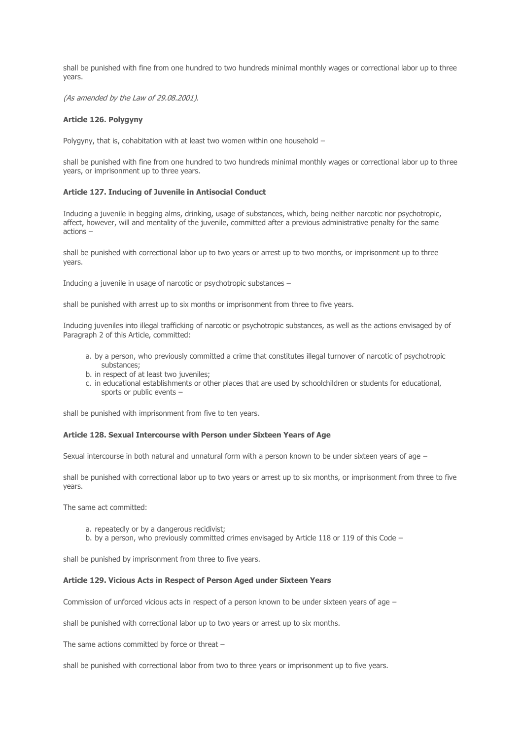shall be punished with fine from one hundred to two hundreds minimal monthly wages or correctional labor up to three years.

(As amended by the Law of 29.08.2001).

### **Article 126. Polygyny**

Polygyny, that is, cohabitation with at least two women within one household –

shall be punished with fine from one hundred to two hundreds minimal monthly wages or correctional labor up to three years, or imprisonment up to three years.

#### **Article 127. Inducing of Juvenile in Antisocial Conduct**

Inducing a juvenile in begging alms, drinking, usage of substances, which, being neither narcotic nor psychotropic, affect, however, will and mentality of the juvenile, committed after a previous administrative penalty for the same actions –

shall be punished with correctional labor up to two years or arrest up to two months, or imprisonment up to three years.

Inducing a juvenile in usage of narcotic or psychotropic substances –

shall be punished with arrest up to six months or imprisonment from three to five years.

Inducing juveniles into illegal trafficking of narcotic or psychotropic substances, as well as the actions envisaged by of Paragraph 2 of this Article, committed:

- a. by a person, who previously committed a crime that constitutes illegal turnover of narcotic of psychotropic substances;
- b. in respect of at least two juveniles;
- c. in educational establishments or other places that are used by schoolchildren or students for educational, sports or public events –

shall be punished with imprisonment from five to ten years.

#### **Article 128. Sexual Intercourse with Person under Sixteen Years of Age**

Sexual intercourse in both natural and unnatural form with a person known to be under sixteen years of age –

shall be punished with correctional labor up to two years or arrest up to six months, or imprisonment from three to five years.

The same act committed:

- a. repeatedly or by a dangerous recidivist;
- b. by a person, who previously committed crimes envisaged by Article 118 or 119 of this Code –

shall be punished by imprisonment from three to five years.

### **Article 129. Vicious Acts in Respect of Person Aged under Sixteen Years**

Commission of unforced vicious acts in respect of a person known to be under sixteen years of age –

shall be punished with correctional labor up to two years or arrest up to six months.

The same actions committed by force or threat –

shall be punished with correctional labor from two to three years or imprisonment up to five years.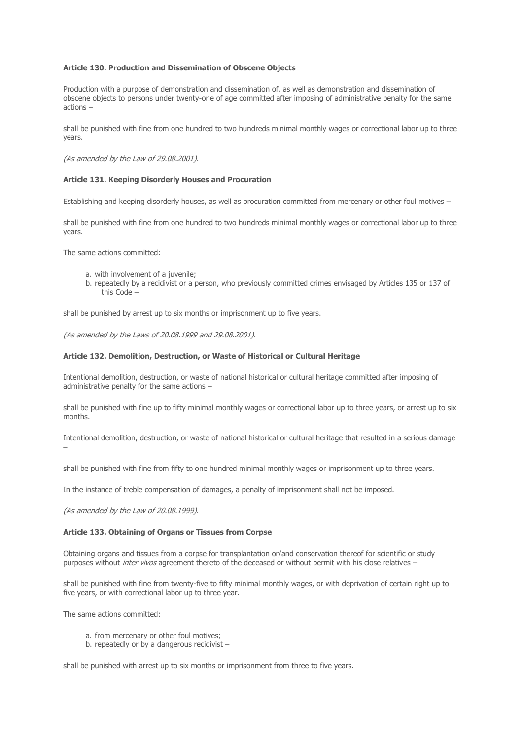### **Article 130. Production and Dissemination of Obscene Objects**

Production with a purpose of demonstration and dissemination of, as well as demonstration and dissemination of obscene objects to persons under twenty-one of age committed after imposing of administrative penalty for the same actions –

shall be punished with fine from one hundred to two hundreds minimal monthly wages or correctional labor up to three years.

(As amended by the Law of 29.08.2001).

### **Article 131. Keeping Disorderly Houses and Procuration**

Establishing and keeping disorderly houses, as well as procuration committed from mercenary or other foul motives –

shall be punished with fine from one hundred to two hundreds minimal monthly wages or correctional labor up to three years.

The same actions committed:

- a. with involvement of a juvenile;
- b. repeatedly by a recidivist or a person, who previously committed crimes envisaged by Articles 135 or 137 of this Code –

shall be punished by arrest up to six months or imprisonment up to five years.

(As amended by the Laws of 20.08.1999 and 29.08.2001).

### **Article 132. Demolition, Destruction, or Waste of Historical or Cultural Heritage**

Intentional demolition, destruction, or waste of national historical or cultural heritage committed after imposing of administrative penalty for the same actions –

shall be punished with fine up to fifty minimal monthly wages or correctional labor up to three years, or arrest up to six months.

Intentional demolition, destruction, or waste of national historical or cultural heritage that resulted in a serious damage –

shall be punished with fine from fifty to one hundred minimal monthly wages or imprisonment up to three years.

In the instance of treble compensation of damages, a penalty of imprisonment shall not be imposed.

(As amended by the Law of 20.08.1999).

## **Article 133. Obtaining of Organs or Tissues from Corpse**

Obtaining organs and tissues from a corpse for transplantation or/and conservation thereof for scientific or study purposes without inter vivos agreement thereto of the deceased or without permit with his close relatives –

shall be punished with fine from twenty-five to fifty minimal monthly wages, or with deprivation of certain right up to five years, or with correctional labor up to three year.

The same actions committed:

- a. from mercenary or other foul motives;
- b. repeatedly or by a dangerous recidivist –

shall be punished with arrest up to six months or imprisonment from three to five years.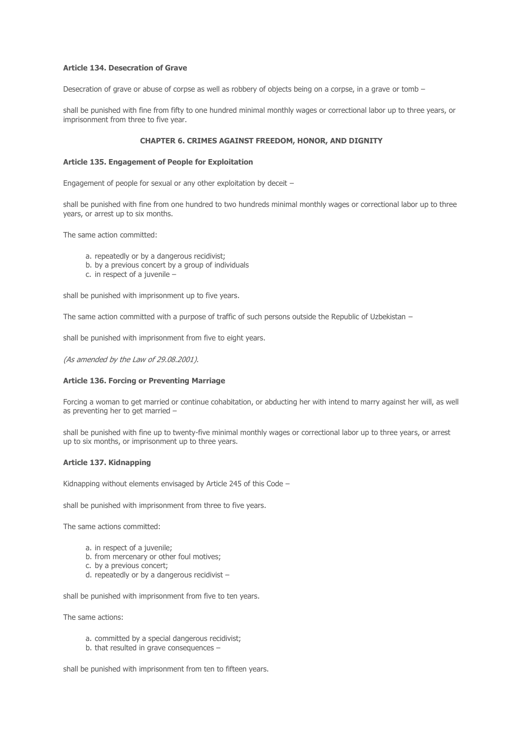## **Article 134. Desecration of Grave**

Desecration of grave or abuse of corpse as well as robbery of objects being on a corpse, in a grave or tomb –

shall be punished with fine from fifty to one hundred minimal monthly wages or correctional labor up to three years, or imprisonment from three to five year.

## **CHAPTER 6. CRIMES AGAINST FREEDOM, HONOR, AND DIGNITY**

### **Article 135. Engagement of People for Exploitation**

Engagement of people for sexual or any other exploitation by deceit –

shall be punished with fine from one hundred to two hundreds minimal monthly wages or correctional labor up to three years, or arrest up to six months.

The same action committed:

- a. repeatedly or by a dangerous recidivist;
- b. by a previous concert by a group of individuals
- c. in respect of a juvenile –

shall be punished with imprisonment up to five years.

The same action committed with a purpose of traffic of such persons outside the Republic of Uzbekistan –

shall be punished with imprisonment from five to eight years.

(As amended by the Law of 29.08.2001).

### **Article 136. Forcing or Preventing Marriage**

Forcing a woman to get married or continue cohabitation, or abducting her with intend to marry against her will, as well as preventing her to get married –

shall be punished with fine up to twenty-five minimal monthly wages or correctional labor up to three years, or arrest up to six months, or imprisonment up to three years.

#### **Article 137. Kidnapping**

Kidnapping without elements envisaged by Article 245 of this Code -

shall be punished with imprisonment from three to five years.

The same actions committed:

- a. in respect of a juvenile;
- b. from mercenary or other foul motives;
- c. by a previous concert;
- d. repeatedly or by a dangerous recidivist –

shall be punished with imprisonment from five to ten years.

The same actions:

- a. committed by a special dangerous recidivist;
- b. that resulted in grave consequences –

shall be punished with imprisonment from ten to fifteen years.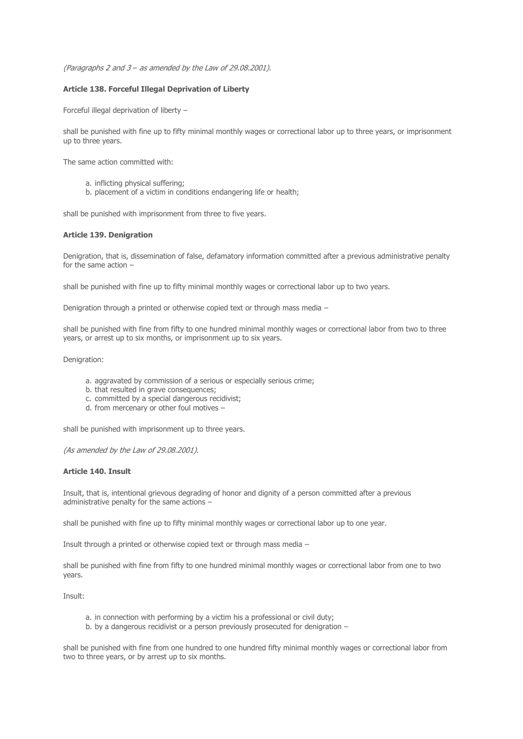(Paragraphs 2 and 3 – as amended by the Law of 29.08.2001).

## **Article 138. Forceful Illegal Deprivation of Liberty**

Forceful illegal deprivation of liberty –

shall be punished with fine up to fifty minimal monthly wages or correctional labor up to three years, or imprisonment up to three years.

The same action committed with:

- a. inflicting physical suffering;
- b. placement of a victim in conditions endangering life or health;

shall be punished with imprisonment from three to five years.

# **Article 139. Denigration**

Denigration, that is, dissemination of false, defamatory information committed after a previous administrative penalty for the same action –

shall be punished with fine up to fifty minimal monthly wages or correctional labor up to two years.

Denigration through a printed or otherwise copied text or through mass media –

shall be punished with fine from fifty to one hundred minimal monthly wages or correctional labor from two to three years, or arrest up to six months, or imprisonment up to six years.

Denigration:

- a. aggravated by commission of a serious or especially serious crime;
- b. that resulted in grave consequences;
- c. committed by a special dangerous recidivist;
- d. from mercenary or other foul motives –

shall be punished with imprisonment up to three years.

(As amended by the Law of 29.08.2001).

## **Article 140. Insult**

Insult, that is, intentional grievous degrading of honor and dignity of a person committed after a previous administrative penalty for the same actions –

shall be punished with fine up to fifty minimal monthly wages or correctional labor up to one year.

Insult through a printed or otherwise copied text or through mass media –

shall be punished with fine from fifty to one hundred minimal monthly wages or correctional labor from one to two years.

Insult:

- a. in connection with performing by a victim his a professional or civil duty;
- b. by a dangerous recidivist or a person previously prosecuted for denigration –

shall be punished with fine from one hundred to one hundred fifty minimal monthly wages or correctional labor from two to three years, or by arrest up to six months.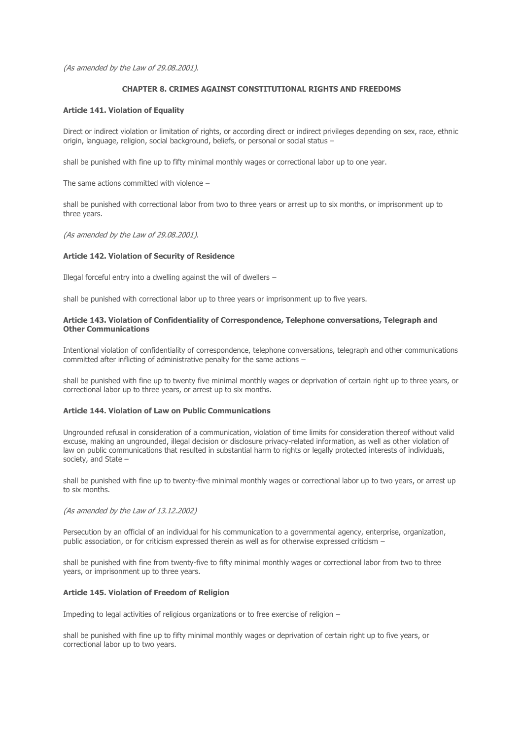(As amended by the Law of 29.08.2001).

## **CHAPTER 8. CRIMES AGAINST CONSTITUTIONAL RIGHTS AND FREEDOMS**

## **Article 141. Violation of Equality**

Direct or indirect violation or limitation of rights, or according direct or indirect privileges depending on sex, race, ethnic origin, language, religion, social background, beliefs, or personal or social status –

shall be punished with fine up to fifty minimal monthly wages or correctional labor up to one year.

The same actions committed with violence –

shall be punished with correctional labor from two to three years or arrest up to six months, or imprisonment up to three years.

(As amended by the Law of 29.08.2001).

### **Article 142. Violation of Security of Residence**

Illegal forceful entry into a dwelling against the will of dwellers  $-$ 

shall be punished with correctional labor up to three years or imprisonment up to five years.

### **Article 143. Violation of Confidentiality of Correspondence, Telephone conversations, Telegraph and Other Communications**

Intentional violation of confidentiality of correspondence, telephone conversations, telegraph and other communications committed after inflicting of administrative penalty for the same actions –

shall be punished with fine up to twenty five minimal monthly wages or deprivation of certain right up to three years, or correctional labor up to three years, or arrest up to six months.

### **Article 144. Violation of Law on Public Communications**

Ungrounded refusal in consideration of a communication, violation of time limits for consideration thereof without valid excuse, making an ungrounded, illegal decision or disclosure privacy-related information, as well as other violation of law on public communications that resulted in substantial harm to rights or legally protected interests of individuals, society, and State –

shall be punished with fine up to twenty-five minimal monthly wages or correctional labor up to two years, or arrest up to six months.

#### (As amended by the Law of 13.12.2002)

Persecution by an official of an individual for his communication to a governmental agency, enterprise, organization, public association, or for criticism expressed therein as well as for otherwise expressed criticism –

shall be punished with fine from twenty-five to fifty minimal monthly wages or correctional labor from two to three years, or imprisonment up to three years.

#### **Article 145. Violation of Freedom of Religion**

Impeding to legal activities of religious organizations or to free exercise of religion  $-$ 

shall be punished with fine up to fifty minimal monthly wages or deprivation of certain right up to five years, or correctional labor up to two years.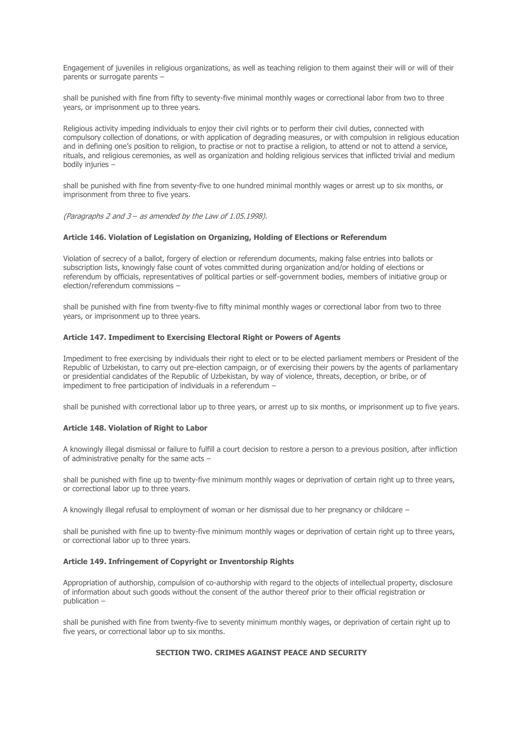Engagement of juveniles in religious organizations, as well as teaching religion to them against their will or will of their parents or surrogate parents –

shall be punished with fine from fifty to seventy-five minimal monthly wages or correctional labor from two to three years, or imprisonment up to three years.

Religious activity impeding individuals to enjoy their civil rights or to perform their civil duties, connected with compulsory collection of donations, or with application of degrading measures, or with compulsion in religious education and in defining one's position to religion, to practise or not to practise a religion, to attend or not to attend a service, rituals, and religious ceremonies, as well as organization and holding religious services that inflicted trivial and medium bodily injuries –

shall be punished with fine from seventy-five to one hundred minimal monthly wages or arrest up to six months, or imprisonment from three to five years.

(Paragraphs 2 and 3 – as amended by the Law of 1.05.1998).

### **Article 146. Violation of Legislation on Organizing, Holding of Elections or Referendum**

Violation of secrecy of a ballot, forgery of election or referendum documents, making false entries into ballots or subscription lists, knowingly false count of votes committed during organization and/or holding of elections or referendum by officials, representatives of political parties or self-government bodies, members of initiative group or election/referendum commissions –

shall be punished with fine from twenty-five to fifty minimal monthly wages or correctional labor from two to three years, or imprisonment up to three years.

### **Article 147. Impediment to Exercising Electoral Right or Powers of Agents**

Impediment to free exercising by individuals their right to elect or to be elected parliament members or President of the Republic of Uzbekistan, to carry out pre-election campaign, or of exercising their powers by the agents of parliamentary or presidential candidates of the Republic of Uzbekistan, by way of violence, threats, deception, or bribe, or of impediment to free participation of individuals in a referendum –

shall be punished with correctional labor up to three years, or arrest up to six months, or imprisonment up to five years.

#### **Article 148. Violation of Right to Labor**

A knowingly illegal dismissal or failure to fulfill a court decision to restore a person to a previous position, after infliction of administrative penalty for the same acts –

shall be punished with fine up to twenty-five minimum monthly wages or deprivation of certain right up to three years, or correctional labor up to three years.

A knowingly illegal refusal to employment of woman or her dismissal due to her pregnancy or childcare –

shall be punished with fine up to twenty-five minimum monthly wages or deprivation of certain right up to three years, or correctional labor up to three years.

## **Article 149. Infringement of Copyright or Inventorship Rights**

Appropriation of authorship, compulsion of co-authorship with regard to the objects of intellectual property, disclosure of information about such goods without the consent of the author thereof prior to their official registration or publication –

shall be punished with fine from twenty-five to seventy minimum monthly wages, or deprivation of certain right up to five years, or correctional labor up to six months.

#### **SECTION TWO. CRIMES AGAINST PEACE AND SECURITY**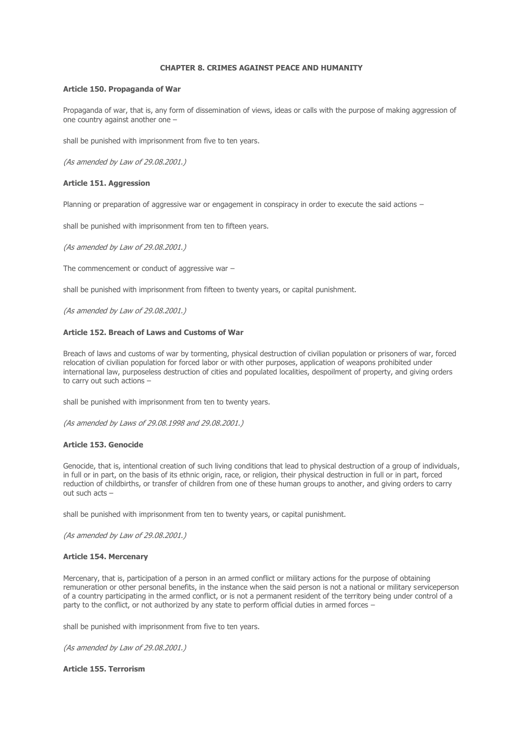# **CHAPTER 8. CRIMES AGAINST PEACE AND HUMANITY**

### **Article 150. Propaganda of War**

Propaganda of war, that is, any form of dissemination of views, ideas or calls with the purpose of making aggression of one country against another one –

shall be punished with imprisonment from five to ten years.

(As amended by Law of 29.08.2001.)

### **Article 151. Aggression**

Planning or preparation of aggressive war or engagement in conspiracy in order to execute the said actions –

shall be punished with imprisonment from ten to fifteen years.

(As amended by Law of 29.08.2001.)

The commencement or conduct of aggressive war –

shall be punished with imprisonment from fifteen to twenty years, or capital punishment.

(As amended by Law of 29.08.2001.)

### **Article 152. Breach of Laws and Customs of War**

Breach of laws and customs of war by tormenting, physical destruction of civilian population or prisoners of war, forced relocation of civilian population for forced labor or with other purposes, application of weapons prohibited under international law, purposeless destruction of cities and populated localities, despoilment of property, and giving orders to carry out such actions –

shall be punished with imprisonment from ten to twenty years.

(As amended by Laws of 29.08.1998 and 29.08.2001.)

# **Article 153. Genocide**

Genocide, that is, intentional creation of such living conditions that lead to physical destruction of a group of individuals, in full or in part, on the basis of its ethnic origin, race, or religion, their physical destruction in full or in part, forced reduction of childbirths, or transfer of children from one of these human groups to another, and giving orders to carry out such acts –

shall be punished with imprisonment from ten to twenty years, or capital punishment.

(As amended by Law of 29.08.2001.)

#### **Article 154. Mercenary**

Mercenary, that is, participation of a person in an armed conflict or military actions for the purpose of obtaining remuneration or other personal benefits, in the instance when the said person is not a national or military serviceperson of a country participating in the armed conflict, or is not a permanent resident of the territory being under control of a party to the conflict, or not authorized by any state to perform official duties in armed forces –

shall be punished with imprisonment from five to ten years.

(As amended by Law of 29.08.2001.)

# **Article 155. Terrorism**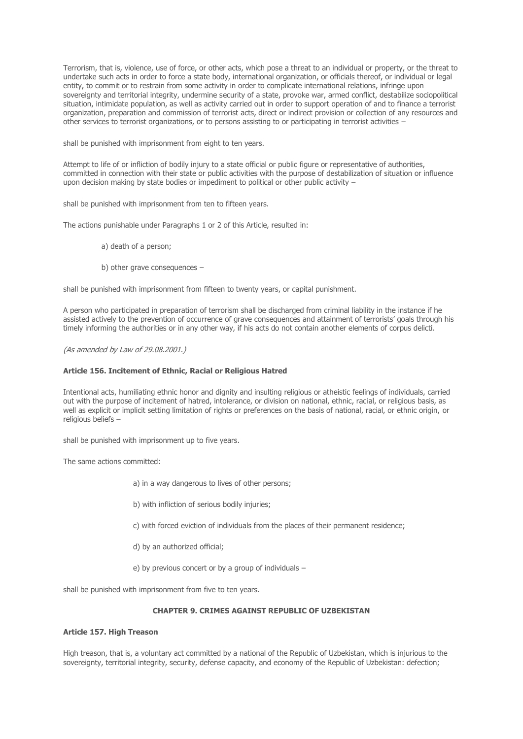Terrorism, that is, violence, use of force, or other acts, which pose a threat to an individual or property, or the threat to undertake such acts in order to force a state body, international organization, or officials thereof, or individual or legal entity, to commit or to restrain from some activity in order to complicate international relations, infringe upon sovereignty and territorial integrity, undermine security of a state, provoke war, armed conflict, destabilize sociopolitical situation, intimidate population, as well as activity carried out in order to support operation of and to finance a terrorist organization, preparation and commission of terrorist acts, direct or indirect provision or collection of any resources and other services to terrorist organizations, or to persons assisting to or participating in terrorist activities –

shall be punished with imprisonment from eight to ten years.

Attempt to life of or infliction of bodily injury to a state official or public figure or representative of authorities, committed in connection with their state or public activities with the purpose of destabilization of situation or influence upon decision making by state bodies or impediment to political or other public activity –

shall be punished with imprisonment from ten to fifteen years.

The actions punishable under Paragraphs 1 or 2 of this Article, resulted in:

- а) death of a person;
- b) other grave consequences –

shall be punished with imprisonment from fifteen to twenty years, or capital punishment.

A person who participated in preparation of terrorism shall be discharged from criminal liability in the instance if he assisted actively to the prevention of occurrence of grave consequences and attainment of terrorists' goals through his timely informing the authorities or in any other way, if his acts do not contain another elements of corpus delicti.

(As amended by Law of 29.08.2001.)

### **Article 156. Incitement of Ethnic, Racial or Religious Hatred**

Intentional acts, humiliating ethnic honor and dignity and insulting religious or atheistic feelings of individuals, carried out with the purpose of incitement of hatred, intolerance, or division on national, ethnic, racial, or religious basis, as well as explicit or implicit setting limitation of rights or preferences on the basis of national, racial, or ethnic origin, or religious beliefs –

shall be punished with imprisonment up to five years.

The same actions committed:

a) in a way dangerous to lives of other persons;

- b) with infliction of serious bodily injuries;
- c) with forced eviction of individuals from the places of their permanent residence;
- d) by an authorized official;
- e) by previous concert or by a group of individuals –

shall be punished with imprisonment from five to ten years.

# **CHAPTER 9. CRIMES AGAINST REPUBLIC OF UZBEKISTAN**

# **Article 157. High Treason**

High treason, that is, a voluntary act committed by a national of the Republic of Uzbekistan, which is injurious to the sovereignty, territorial integrity, security, defense capacity, and economy of the Republic of Uzbekistan: defection;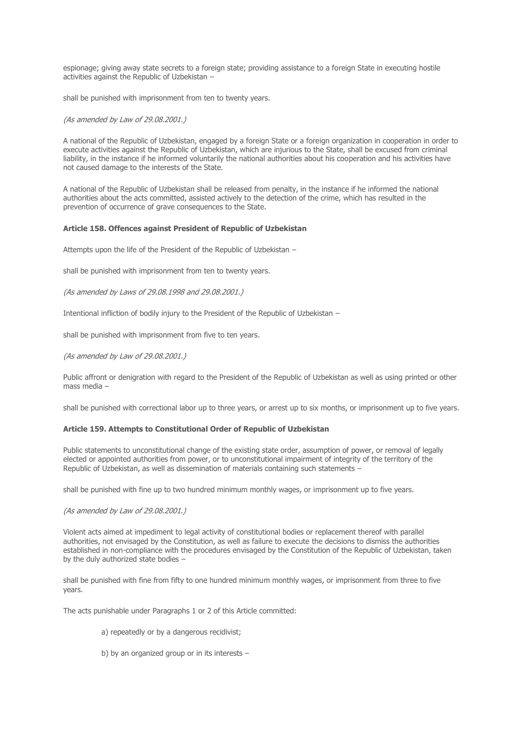espionage; giving away state secrets to a foreign state; providing assistance to a foreign State in executing hostile activities against the Republic of Uzbekistan –

shall be punished with imprisonment from ten to twenty years.

## (As amended by Law of 29.08.2001.)

A national of the Republic of Uzbekistan, engaged by a foreign State or a foreign organization in cooperation in order to execute activities against the Republic of Uzbekistan, which are injurious to the State, shall be excused from criminal liability, in the instance if he informed voluntarily the national authorities about his cooperation and his activities have not caused damage to the interests of the State.

A national of the Republic of Uzbekistan shall be released from penalty, in the instance if he informed the national authorities about the acts committed, assisted actively to the detection of the crime, which has resulted in the prevention of occurrence of grave consequences to the State.

### **Article 158. Offences against President of Republic of Uzbekistan**

Attempts upon the life of the President of the Republic of Uzbekistan –

shall be punished with imprisonment from ten to twenty years.

(As amended by Laws of 29.08.1998 and 29.08.2001.)

Intentional infliction of bodily injury to the President of the Republic of Uzbekistan –

shall be punished with imprisonment from five to ten years.

# (As amended by Law of 29.08.2001.)

Public affront or denigration with regard to the President of the Republic of Uzbekistan as well as using printed or other mass media –

shall be punished with correctional labor up to three years, or arrest up to six months, or imprisonment up to five years.

# **Article 159. Attempts to Constitutional Order of Republic of Uzbekistan**

Public statements to unconstitutional change of the existing state order, assumption of power, or removal of legally elected or appointed authorities from power, or to unconstitutional impairment of integrity of the territory of the Republic of Uzbekistan, as well as dissemination of materials containing such statements –

shall be punished with fine up to two hundred minimum monthly wages, or imprisonment up to five years.

#### (As amended by Law of 29.08.2001.)

Violent acts aimed at impediment to legal activity of constitutional bodies or replacement thereof with parallel authorities, not envisaged by the Constitution, as well as failure to execute the decisions to dismiss the authorities established in non-compliance with the procedures envisaged by the Constitution of the Republic of Uzbekistan, taken by the duly authorized state bodies –

shall be punished with fine from fifty to one hundred minimum monthly wages, or imprisonment from three to five years.

The acts punishable under Paragraphs 1 or 2 of this Article committed:

- а) repeatedly or by a dangerous recidivist;
- b) by an organized group or in its interests –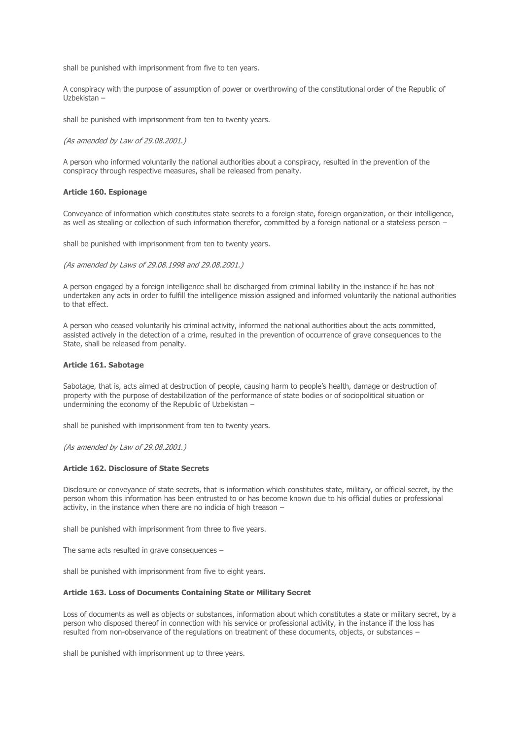shall be punished with imprisonment from five to ten years.

A conspiracy with the purpose of assumption of power or overthrowing of the constitutional order of the Republic of Uzbekistan –

shall be punished with imprisonment from ten to twenty years.

(As amended by Law of 29.08.2001.)

A person who informed voluntarily the national authorities about a conspiracy, resulted in the prevention of the conspiracy through respective measures, shall be released from penalty.

#### **Article 160. Espionage**

Conveyance of information which constitutes state secrets to a foreign state, foreign organization, or their intelligence, as well as stealing or collection of such information therefor, committed by a foreign national or a stateless person –

shall be punished with imprisonment from ten to twenty years.

(As amended by Laws of 29.08.1998 and 29.08.2001.)

A person engaged by a foreign intelligence shall be discharged from criminal liability in the instance if he has not undertaken any acts in order to fulfill the intelligence mission assigned and informed voluntarily the national authorities to that effect.

A person who ceased voluntarily his criminal activity, informed the national authorities about the acts committed, assisted actively in the detection of a crime, resulted in the prevention of occurrence of grave consequences to the State, shall be released from penalty.

#### **Article 161. Sabotage**

Sabotage, that is, acts aimed at destruction of people, causing harm to people's health, damage or destruction of property with the purpose of destabilization of the performance of state bodies or of sociopolitical situation or undermining the economy of the Republic of Uzbekistan –

shall be punished with imprisonment from ten to twenty years.

(As amended by Law of 29.08.2001.)

### **Article 162. Disclosure of State Secrets**

Disclosure or conveyance of state secrets, that is information which constitutes state, military, or official secret, by the person whom this information has been entrusted to or has become known due to his official duties or professional activity, in the instance when there are no indicia of high treason –

shall be punished with imprisonment from three to five years.

The same acts resulted in grave consequences –

shall be punished with imprisonment from five to eight years.

#### **Article 163. Loss of Documents Containing State or Military Secret**

Loss of documents as well as objects or substances, information about which constitutes a state or military secret, by a person who disposed thereof in connection with his service or professional activity, in the instance if the loss has resulted from non-observance of the regulations on treatment of these documents, objects, or substances –

shall be punished with imprisonment up to three years.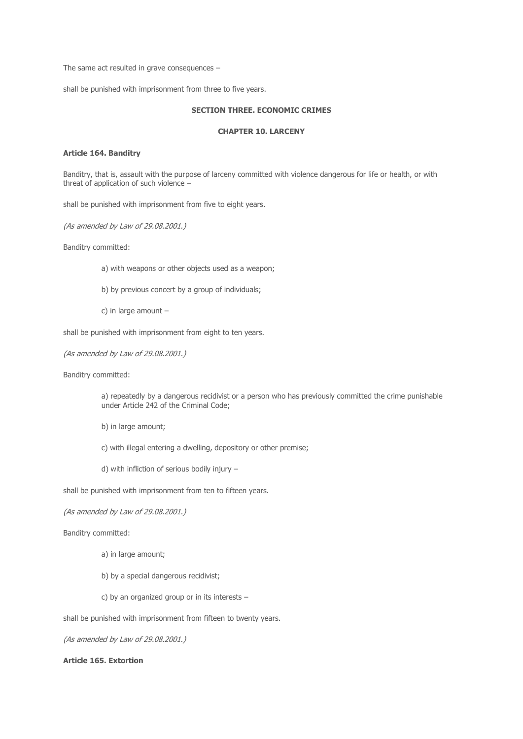The same act resulted in grave consequences –

shall be punished with imprisonment from three to five years.

# **SECTION THREE. ECONOMIC CRIMES**

# **CHAPTER 10. LARCENY**

# **Article 164. Banditry**

Banditry, that is, assault with the purpose of larceny committed with violence dangerous for life or health, or with threat of application of such violence –

shall be punished with imprisonment from five to eight years.

(As amended by Law of 29.08.2001.)

Banditry committed:

- а) with weapons or other objects used as a weapon;
- b) by previous concert by a group of individuals;
- c) in large amount –

shall be punished with imprisonment from eight to ten years.

```
(As amended by Law of 29.08.2001.)
```
Banditry committed:

а) repeatedly by a dangerous recidivist or a person who has previously committed the crime punishable under Article 242 of the Criminal Code;

- b) in large amount;
- c) with illegal entering a dwelling, depository or other premise;
- d) with infliction of serious bodily injury –

shall be punished with imprisonment from ten to fifteen years.

#### (As amended by Law of 29.08.2001.)

Banditry committed:

- а) in large amount;
- b) by a special dangerous recidivist;
- c) by an organized group or in its interests –

shall be punished with imprisonment from fifteen to twenty years.

(As amended by Law of 29.08.2001.)

# **Article 165. Extortion**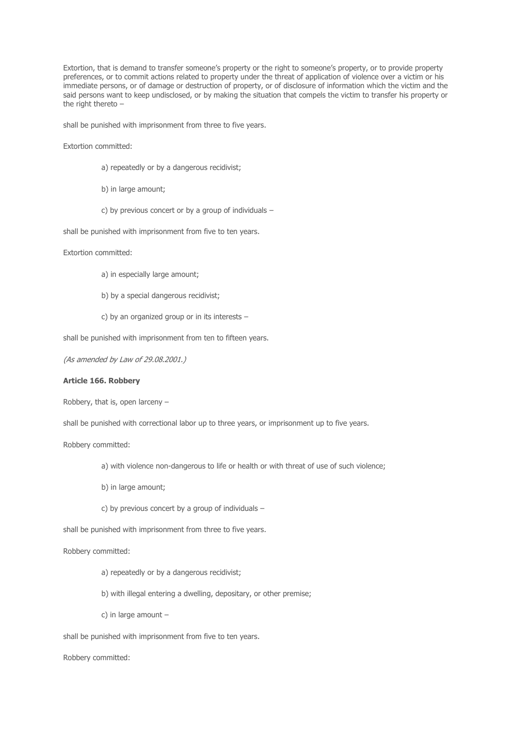Extortion, that is demand to transfer someone's property or the right to someone's property, or to provide property preferences, or to commit actions related to property under the threat of application of violence over a victim or his immediate persons, or of damage or destruction of property, or of disclosure of information which the victim and the said persons want to keep undisclosed, or by making the situation that compels the victim to transfer his property or the right thereto  $-$ 

shall be punished with imprisonment from three to five years.

Extortion committed:

- а) repeatedly or by a dangerous recidivist;
- b) in large amount;
- c) by previous concert or by a group of individuals –

shall be punished with imprisonment from five to ten years.

Extortion committed:

- а) in especially large amount;
- b) by a special dangerous recidivist;
- c) by an organized group or in its interests –

shall be punished with imprisonment from ten to fifteen years.

(As amended by Law of 29.08.2001.)

# **Article 166. Robbery**

Robbery, that is, open larceny –

shall be punished with correctional labor up to three years, or imprisonment up to five years.

Robbery committed:

- a) with violence non-dangerous to life or health or with threat of use of such violence;
- b) in large amount;
- c) by previous concert by a group of individuals –

shall be punished with imprisonment from three to five years.

Robbery committed:

- a) repeatedly or by a dangerous recidivist;
- b) with illegal entering a dwelling, depositary, or other premise;
- c) in large amount –

shall be punished with imprisonment from five to ten years.

Robbery committed: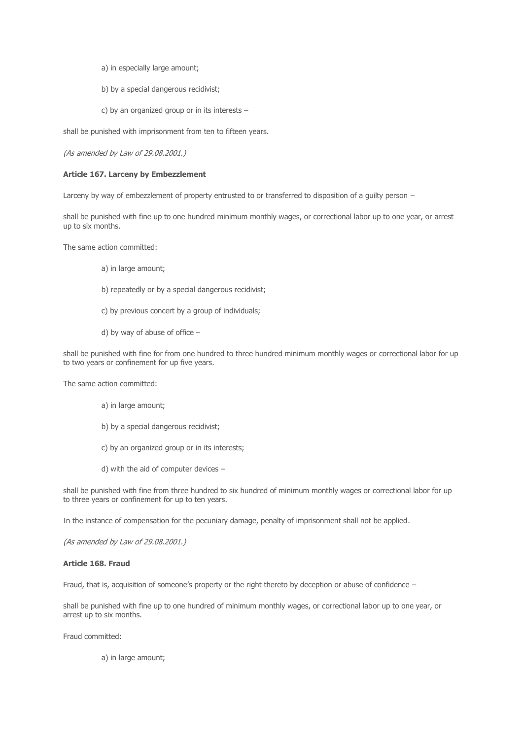- a) in especially large amount;
- b) by a special dangerous recidivist;
- c) by an organized group or in its interests –

shall be punished with imprisonment from ten to fifteen years.

(As amended by Law of 29.08.2001.)

### **Article 167. Larceny by Embezzlement**

Larceny by way of embezzlement of property entrusted to or transferred to disposition of a quilty person -

shall be punished with fine up to one hundred minimum monthly wages, or correctional labor up to one year, or arrest up to six months.

The same action committed:

- а) in large amount;
- b) repeatedly or by a special dangerous recidivist;
- c) by previous concert by a group of individuals;
- d) by way of abuse of office –

shall be punished with fine for from one hundred to three hundred minimum monthly wages or correctional labor for up to two years or confinement for up five years.

The same action committed:

- а) in large amount;
- b) by a special dangerous recidivist;
- c) by an organized group or in its interests;
- d) with the aid of computer devices –

shall be punished with fine from three hundred to six hundred of minimum monthly wages or correctional labor for up to three years or confinement for up to ten years.

In the instance of compensation for the pecuniary damage, penalty of imprisonment shall not be applied.

(As amended by Law of 29.08.2001.)

# **Article 168. Fraud**

Fraud, that is, acquisition of someone's property or the right thereto by deception or abuse of confidence –

shall be punished with fine up to one hundred of minimum monthly wages, or correctional labor up to one year, or arrest up to six months.

Fraud committed:

а) in large amount;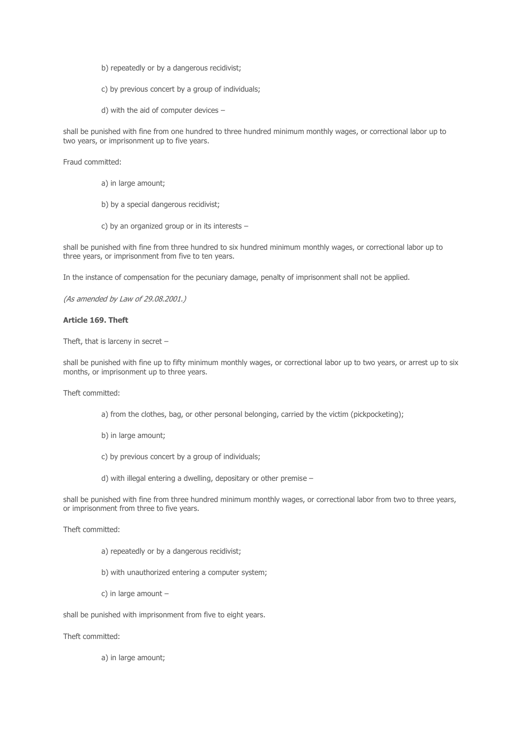- b) repeatedly or by a dangerous recidivist;
- c) by previous concert by a group of individuals;
- d) with the aid of computer devices –

shall be punished with fine from one hundred to three hundred minimum monthly wages, or correctional labor up to two years, or imprisonment up to five years.

Fraud committed:

- а) in large amount;
- b) by a special dangerous recidivist;
- c) by an organized group or in its interests –

shall be punished with fine from three hundred to six hundred minimum monthly wages, or correctional labor up to three years, or imprisonment from five to ten years.

In the instance of compensation for the pecuniary damage, penalty of imprisonment shall not be applied.

(As amended by Law of 29.08.2001.)

### **Article 169. Theft**

Theft, that is larceny in secret –

shall be punished with fine up to fifty minimum monthly wages, or correctional labor up to two years, or arrest up to six months, or imprisonment up to three years.

Theft committed:

- a) from the clothes, bag, or other personal belonging, carried by the victim (pickpocketing);
- b) in large amount;
- c) by previous concert by a group of individuals;
- d) with illegal entering a dwelling, depositary or other premise –

shall be punished with fine from three hundred minimum monthly wages, or correctional labor from two to three years, or imprisonment from three to five years.

Theft committed:

- а) repeatedly or by a dangerous recidivist;
- b) with unauthorized entering a computer system;
- c) in large amount –

shall be punished with imprisonment from five to eight years.

Theft committed:

а) in large amount;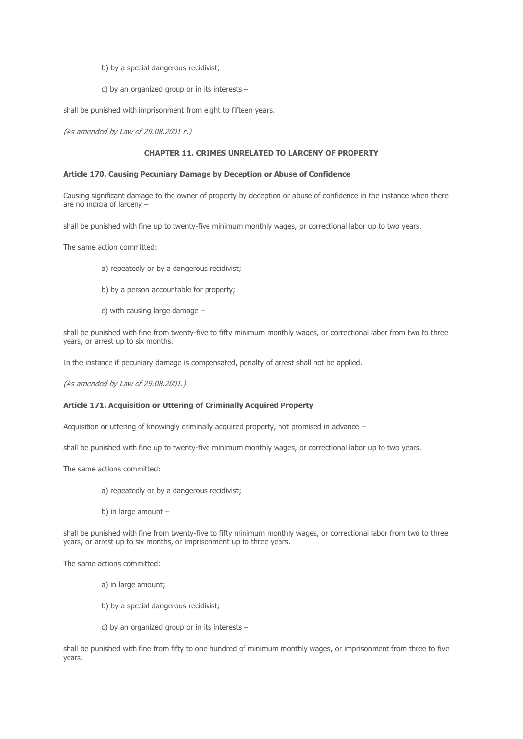- b) by a special dangerous recidivist;
- c) by an organized group or in its interests –

shall be punished with imprisonment from eight to fifteen years.

(As amended by Law of 29.08.2001 г.)

# **CHAPTER 11. CRIMES UNRELATED TO LARCENY OF PROPERTY**

#### **Article 170. Causing Pecuniary Damage by Deception or Abuse of Confidence**

Causing significant damage to the owner of property by deception or abuse of confidence in the instance when there are no indicia of larceny –

shall be punished with fine up to twenty-five minimum monthly wages, or correctional labor up to two years.

The same action committed:

- a) repeatedly or by a dangerous recidivist;
- b) by a person accountable for property;
- c) with causing large damage –

shall be punished with fine from twenty-five to fifty minimum monthly wages, or correctional labor from two to three years, or arrest up to six months.

In the instance if pecuniary damage is compensated, penalty of arrest shall not be applied.

(As amended by Law of 29.08.2001.)

### **Article 171. Acquisition or Uttering of Criminally Acquired Property**

Acquisition or uttering of knowingly criminally acquired property, not promised in advance –

shall be punished with fine up to twenty-five minimum monthly wages, or correctional labor up to two years.

The same actions committed:

- а) repeatedly or by a dangerous recidivist;
- b) in large amount –

shall be punished with fine from twenty-five to fifty minimum monthly wages, or correctional labor from two to three years, or arrest up to six months, or imprisonment up to three years.

The same actions committed:

- а) in large amount;
- b) by a special dangerous recidivist;
- c) by an organized group or in its interests –

shall be punished with fine from fifty to one hundred of minimum monthly wages, or imprisonment from three to five years.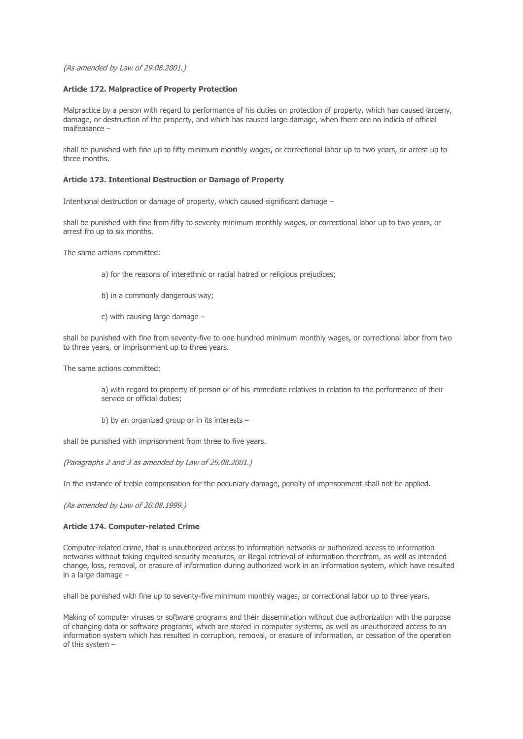(As amended by Law of 29.08.2001.)

# **Article 172. Malpractice of Property Protection**

Malpractice by a person with regard to performance of his duties on protection of property, which has caused larceny, damage, or destruction of the property, and which has caused large damage, when there are no indicia of official malfeasance –

shall be punished with fine up to fifty minimum monthly wages, or correctional labor up to two years, or arrest up to three months.

## **Article 173. Intentional Destruction or Damage of Property**

Intentional destruction or damage of property, which caused significant damage –

shall be punished with fine from fifty to seventy minimum monthly wages, or correctional labor up to two years, or arrest fro up to six months.

The same actions committed:

- a) for the reasons of interethnic or racial hatred or religious prejudices;
- b) in a commonly dangerous way;
- c) with causing large damage –

shall be punished with fine from seventy-five to one hundred minimum monthly wages, or correctional labor from two to three years, or imprisonment up to three years.

The same actions committed:

a) with regard to property of person or of his immediate relatives in relation to the performance of their service or official duties;

b) by an organized group or in its interests –

shall be punished with imprisonment from three to five years.

(Paragraphs 2 and 3 as amended by Law of 29.08.2001.)

In the instance of treble compensation for the pecuniary damage, penalty of imprisonment shall not be applied.

(As amended by Law of 20.08.1999.)

### **Article 174. Computer-related Crime**

Computer-related crime, that is unauthorized access to information networks or authorized access to information networks without taking required security measures, or illegal retrieval of information therefrom, as well as intended change, loss, removal, or erasure of information during authorized work in an information system, which have resulted in a large damage –

shall be punished with fine up to seventy-five minimum monthly wages, or correctional labor up to three years.

Making of computer viruses or software programs and their dissemination without due authorization with the purpose of changing data or software programs, which are stored in computer systems, as well as unauthorized access to an information system which has resulted in corruption, removal, or erasure of information, or cessation of the operation of this system –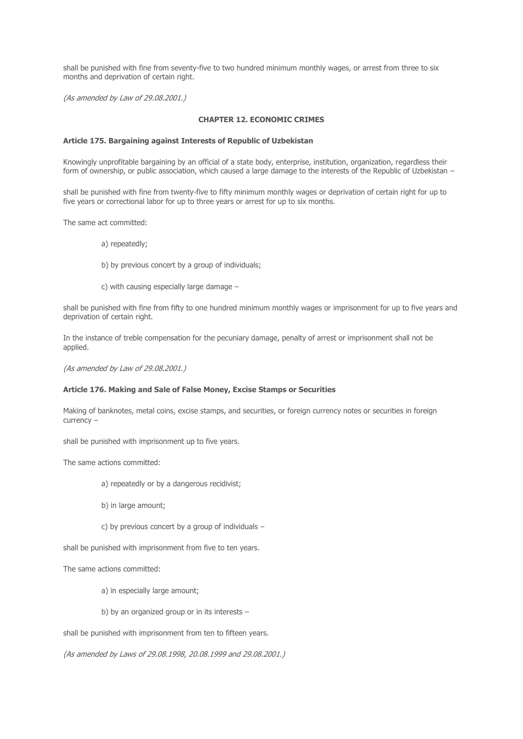shall be punished with fine from seventy-five to two hundred minimum monthly wages, or arrest from three to six months and deprivation of certain right.

(As amended by Law of 29.08.2001.)

# **CHAPTER 12. ECONOMIC CRIMES**

### **Article 175. Bargaining against Interests of Republic of Uzbekistan**

Knowingly unprofitable bargaining by an official of a state body, enterprise, institution, organization, regardless their form of ownership, or public association, which caused a large damage to the interests of the Republic of Uzbekistan –

shall be punished with fine from twenty-five to fifty minimum monthly wages or deprivation of certain right for up to five years or correctional labor for up to three years or arrest for up to six months.

The same act committed:

- а) repeatedly;
- b) by previous concert by a group of individuals;
- c) with causing especially large damage –

shall be punished with fine from fifty to one hundred minimum monthly wages or imprisonment for up to five years and deprivation of certain right.

In the instance of treble compensation for the pecuniary damage, penalty of arrest or imprisonment shall not be applied.

(As amended by Law of 29.08.2001.)

# **Article 176. Making and Sale of False Money, Excise Stamps or Securities**

Making of banknotes, metal coins, excise stamps, and securities, or foreign currency notes or securities in foreign currency –

shall be punished with imprisonment up to five years.

The same actions committed:

- а) repeatedly or by a dangerous recidivist;
- b) in large amount;
- c) by previous concert by a group of individuals –

shall be punished with imprisonment from five to ten years.

The same actions committed:

- а) in especially large amount;
- b) by an organized group or in its interests –

shall be punished with imprisonment from ten to fifteen years.

(As amended by Laws of 29.08.1998, 20.08.1999 and 29.08.2001.)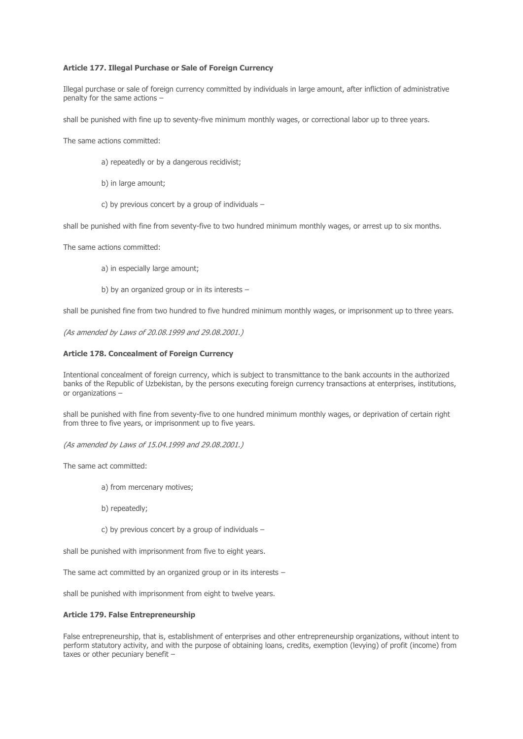### **Article 177. Illegal Purchase or Sale of Foreign Currency**

Illegal purchase or sale of foreign currency committed by individuals in large amount, after infliction of administrative penalty for the same actions –

shall be punished with fine up to seventy-five minimum monthly wages, or correctional labor up to three years.

The same actions committed:

- а) repeatedly or by a dangerous recidivist;
- b) in large amount;
- c) by previous concert by a group of individuals –

shall be punished with fine from seventy-five to two hundred minimum monthly wages, or arrest up to six months.

The same actions committed:

- а) in especially large amount;
- b) by an organized group or in its interests –

shall be punished fine from two hundred to five hundred minimum monthly wages, or imprisonment up to three years.

(As amended by Laws of 20.08.1999 and 29.08.2001.)

### **Article 178. Concealment of Foreign Currency**

Intentional concealment of foreign currency, which is subject to transmittance to the bank accounts in the authorized banks of the Republic of Uzbekistan, by the persons executing foreign currency transactions at enterprises, institutions, or organizations –

shall be punished with fine from seventy-five to one hundred minimum monthly wages, or deprivation of certain right from three to five years, or imprisonment up to five years.

(As amended by Laws of 15.04.1999 and 29.08.2001.)

The same act committed:

- а) from mercenary motives;
- b) repeatedly;
- c) by previous concert by a group of individuals –

shall be punished with imprisonment from five to eight years.

The same act committed by an organized group or in its interests –

shall be punished with imprisonment from eight to twelve years.

#### **Article 179. False Entrepreneurship**

False entrepreneurship, that is, establishment of enterprises and other entrepreneurship organizations, without intent to perform statutory activity, and with the purpose of obtaining loans, credits, exemption (levying) of profit (income) from taxes or other pecuniary benefit –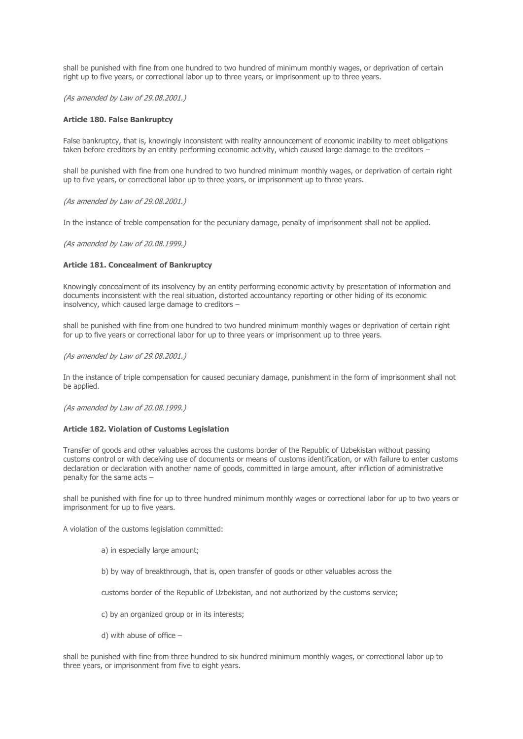shall be punished with fine from one hundred to two hundred of minimum monthly wages, or deprivation of certain right up to five years, or correctional labor up to three years, or imprisonment up to three years.

(As amended by Law of 29.08.2001.)

### **Article 180. False Bankruptcy**

False bankruptcy, that is, knowingly inconsistent with reality announcement of economic inability to meet obligations taken before creditors by an entity performing economic activity, which caused large damage to the creditors –

shall be punished with fine from one hundred to two hundred minimum monthly wages, or deprivation of certain right up to five years, or correctional labor up to three years, or imprisonment up to three years.

(As amended by Law of 29.08.2001.)

In the instance of treble compensation for the pecuniary damage, penalty of imprisonment shall not be applied.

(As amended by Law of 20.08.1999.)

### **Article 181. Concealment of Bankruptcy**

Knowingly concealment of its insolvency by an entity performing economic activity by presentation of information and documents inconsistent with the real situation, distorted accountancy reporting or other hiding of its economic insolvency, which caused large damage to creditors –

shall be punished with fine from one hundred to two hundred minimum monthly wages or deprivation of certain right for up to five years or correctional labor for up to three years or imprisonment up to three years.

(As amended by Law of 29.08.2001.)

In the instance of triple compensation for caused pecuniary damage, punishment in the form of imprisonment shall not be applied.

(As amended by Law of 20.08.1999.)

# **Article 182. Violation of Customs Legislation**

Transfer of goods and other valuables across the customs border of the Republic of Uzbekistan without passing customs control or with deceiving use of documents or means of customs identification, or with failure to enter customs declaration or declaration with another name of goods, committed in large amount, after infliction of administrative penalty for the same acts –

shall be punished with fine for up to three hundred minimum monthly wages or correctional labor for up to two years or imprisonment for up to five years.

A violation of the customs legislation committed:

- а) in especially large amount;
- b) by way of breakthrough, that is, open transfer of goods or other valuables across the

customs border of the Republic of Uzbekistan, and not authorized by the customs service;

- c) by an organized group or in its interests;
- d) with abuse of office –

shall be punished with fine from three hundred to six hundred minimum monthly wages, or correctional labor up to three years, or imprisonment from five to eight years.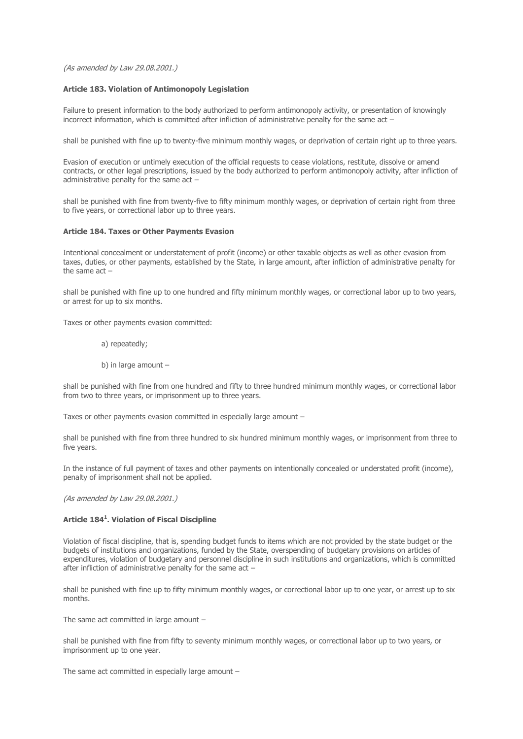(As amended by Law 29.08.2001.)

# **Article 183. Violation of Antimonopoly Legislation**

Failure to present information to the body authorized to perform antimonopoly activity, or presentation of knowingly incorrect information, which is committed after infliction of administrative penalty for the same act –

shall be punished with fine up to twenty-five minimum monthly wages, or deprivation of certain right up to three years.

Evasion of execution or untimely execution of the official requests to cease violations, restitute, dissolve or amend contracts, or other legal prescriptions, issued by the body authorized to perform antimonopoly activity, after infliction of administrative penalty for the same act –

shall be punished with fine from twenty-five to fifty minimum monthly wages, or deprivation of certain right from three to five years, or correctional labor up to three years.

# **Article 184. Taxes or Other Payments Evasion**

Intentional concealment or understatement of profit (income) or other taxable objects as well as other evasion from taxes, duties, or other payments, established by the State, in large amount, after infliction of administrative penalty for the same act –

shall be punished with fine up to one hundred and fifty minimum monthly wages, or correctional labor up to two years, or arrest for up to six months.

Taxes or other payments evasion committed:

- а) repeatedly;
- b) in large amount –

shall be punished with fine from one hundred and fifty to three hundred minimum monthly wages, or correctional labor from two to three years, or imprisonment up to three years.

Taxes or other payments evasion committed in especially large amount –

shall be punished with fine from three hundred to six hundred minimum monthly wages, or imprisonment from three to five years.

In the instance of full payment of taxes and other payments on intentionally concealed or understated profit (income), penalty of imprisonment shall not be applied.

(As amended by Law 29.08.2001.)

# **Article 184<sup>1</sup> . Violation of Fiscal Discipline**

Violation of fiscal discipline, that is, spending budget funds to items which are not provided by the state budget or the budgets of institutions and organizations, funded by the State, overspending of budgetary provisions on articles of expenditures, violation of budgetary and personnel discipline in such institutions and organizations, which is committed after infliction of administrative penalty for the same act –

shall be punished with fine up to fifty minimum monthly wages, or correctional labor up to one year, or arrest up to six months.

The same act committed in large amount –

shall be punished with fine from fifty to seventy minimum monthly wages, or correctional labor up to two years, or imprisonment up to one year.

The same act committed in especially large amount –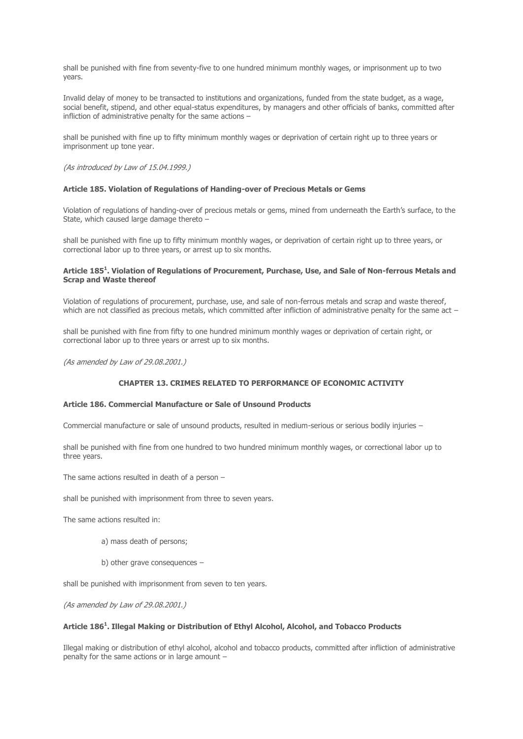shall be punished with fine from seventy-five to one hundred minimum monthly wages, or imprisonment up to two years.

Invalid delay of money to be transacted to institutions and organizations, funded from the state budget, as a wage, social benefit, stipend, and other equal-status expenditures, by managers and other officials of banks, committed after infliction of administrative penalty for the same actions –

shall be punished with fine up to fifty minimum monthly wages or deprivation of certain right up to three years or imprisonment up tone year.

(As introduced by Law of 15.04.1999.)

### **Article 185. Violation of Regulations of Handing-over of Precious Metals or Gems**

Violation of regulations of handing-over of precious metals or gems, mined from underneath the Earth's surface, to the State, which caused large damage thereto –

shall be punished with fine up to fifty minimum monthly wages, or deprivation of certain right up to three years, or correctional labor up to three years, or arrest up to six months.

# **Article 185<sup>1</sup> . Violation of Regulations of Procurement, Purchase, Use, and Sale of Non-ferrous Metals and Scrap and Waste thereof**

Violation of regulations of procurement, purchase, use, and sale of non-ferrous metals and scrap and waste thereof, which are not classified as precious metals, which committed after infliction of administrative penalty for the same act –

shall be punished with fine from fifty to one hundred minimum monthly wages or deprivation of certain right, or correctional labor up to three years or arrest up to six months.

(As amended by Law of 29.08.2001.)

# **CHAPTER 13. CRIMES RELATED TO PERFORMANCE OF ECONOMIC ACTIVITY**

#### **Article 186. Commercial Manufacture or Sale of Unsound Products**

Commercial manufacture or sale of unsound products, resulted in medium-serious or serious bodily injuries –

shall be punished with fine from one hundred to two hundred minimum monthly wages, or correctional labor up to three years.

The same actions resulted in death of a person –

shall be punished with imprisonment from three to seven years.

The same actions resulted in:

- а) mass death of persons;
- b) other grave consequences –

shall be punished with imprisonment from seven to ten years.

(As amended by Law of 29.08.2001.)

# **Article 186<sup>1</sup> . Illegal Making or Distribution of Ethyl Alcohol, Alcohol, and Tobacco Products**

Illegal making or distribution of ethyl alcohol, alcohol and tobacco products, committed after infliction of administrative penalty for the same actions or in large amount –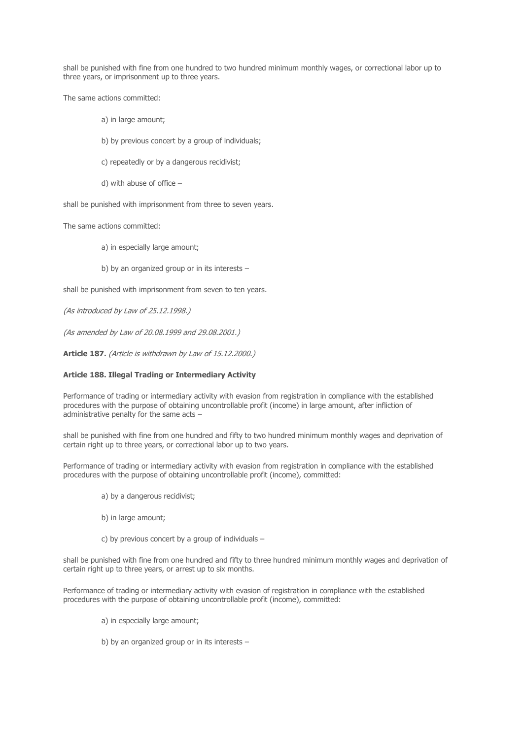shall be punished with fine from one hundred to two hundred minimum monthly wages, or correctional labor up to three years, or imprisonment up to three years.

The same actions committed:

- а) in large amount;
- b) by previous concert by a group of individuals;
- c) repeatedly or by a dangerous recidivist;
- d) with abuse of office –

shall be punished with imprisonment from three to seven years.

The same actions committed:

- а) in especially large amount;
- b) by an organized group or in its interests –

shall be punished with imprisonment from seven to ten years.

(As introduced by Law of 25.12.1998.)

(As amended by Law of 20.08.1999 and 29.08.2001.)

**Article 187.** (Article is withdrawn by Law of 15.12.2000.)

# **Article 188. Illegal Trading or Intermediary Activity**

Performance of trading or intermediary activity with evasion from registration in compliance with the established procedures with the purpose of obtaining uncontrollable profit (income) in large amount, after infliction of administrative penalty for the same acts –

shall be punished with fine from one hundred and fifty to two hundred minimum monthly wages and deprivation of certain right up to three years, or correctional labor up to two years.

Performance of trading or intermediary activity with evasion from registration in compliance with the established procedures with the purpose of obtaining uncontrollable profit (income), committed:

- а) by a dangerous recidivist;
- b) in large amount;
- c) by previous concert by a group of individuals –

shall be punished with fine from one hundred and fifty to three hundred minimum monthly wages and deprivation of certain right up to three years, or arrest up to six months.

Performance of trading or intermediary activity with evasion of registration in compliance with the established procedures with the purpose of obtaining uncontrollable profit (income), committed:

- a) in especially large amount;
- b) by an organized group or in its interests –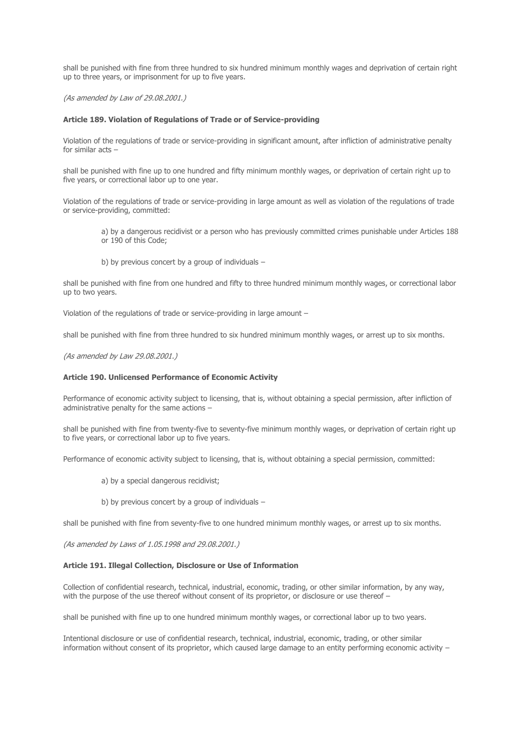shall be punished with fine from three hundred to six hundred minimum monthly wages and deprivation of certain right up to three years, or imprisonment for up to five years.

(As amended by Law of 29.08.2001.)

#### **Article 189. Violation of Regulations of Trade or of Service-providing**

Violation of the regulations of trade or service-providing in significant amount, after infliction of administrative penalty for similar acts –

shall be punished with fine up to one hundred and fifty minimum monthly wages, or deprivation of certain right up to five years, or correctional labor up to one year.

Violation of the regulations of trade or service-providing in large amount as well as violation of the regulations of trade or service-providing, committed:

а) by a dangerous recidivist or a person who has previously committed crimes punishable under Articles 188 or 190 of this Code;

b) by previous concert by a group of individuals –

shall be punished with fine from one hundred and fifty to three hundred minimum monthly wages, or correctional labor up to two years.

Violation of the regulations of trade or service-providing in large amount –

shall be punished with fine from three hundred to six hundred minimum monthly wages, or arrest up to six months.

(As amended by Law 29.08.2001.)

### **Article 190. Unlicensed Performance of Economic Activity**

Performance of economic activity subject to licensing, that is, without obtaining a special permission, after infliction of administrative penalty for the same actions –

shall be punished with fine from twenty-five to seventy-five minimum monthly wages, or deprivation of certain right up to five years, or correctional labor up to five years.

Performance of economic activity subject to licensing, that is, without obtaining a special permission, committed:

- а) by a special dangerous recidivist;
- b) by previous concert by a group of individuals –

shall be punished with fine from seventy-five to one hundred minimum monthly wages, or arrest up to six months.

(As amended by Laws of 1.05.1998 and 29.08.2001.)

#### **Article 191. Illegal Collection, Disclosure or Use of Information**

Collection of confidential research, technical, industrial, economic, trading, or other similar information, by any way, with the purpose of the use thereof without consent of its proprietor, or disclosure or use thereof -

shall be punished with fine up to one hundred minimum monthly wages, or correctional labor up to two years.

Intentional disclosure or use of confidential research, technical, industrial, economic, trading, or other similar information without consent of its proprietor, which caused large damage to an entity performing economic activity –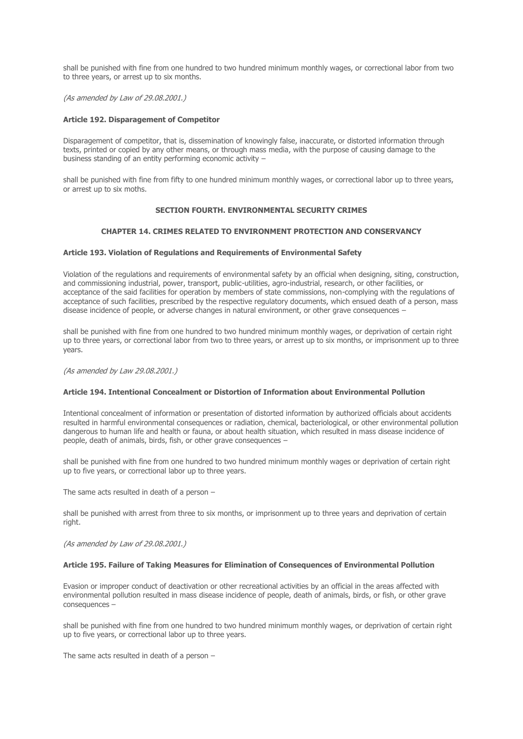shall be punished with fine from one hundred to two hundred minimum monthly wages, or correctional labor from two to three years, or arrest up to six months.

(As amended by Law of 29.08.2001.)

#### **Article 192. Disparagement of Competitor**

Disparagement of competitor, that is, dissemination of knowingly false, inaccurate, or distorted information through texts, printed or copied by any other means, or through mass media, with the purpose of causing damage to the business standing of an entity performing economic activity –

shall be punished with fine from fifty to one hundred minimum monthly wages, or correctional labor up to three years, or arrest up to six moths.

# **SECTION FOURTH. ENVIRONMENTAL SECURITY CRIMES**

### **CHAPTER 14. CRIMES RELATED TO ENVIRONMENT PROTECTION AND CONSERVANCY**

#### **Article 193. Violation of Regulations and Requirements of Environmental Safety**

Violation of the regulations and requirements of environmental safety by an official when designing, siting, construction, and commissioning industrial, power, transport, public-utilities, agro-industrial, research, or other facilities, or acceptance of the said facilities for operation by members of state commissions, non-complying with the regulations of acceptance of such facilities, prescribed by the respective regulatory documents, which ensued death of a person, mass disease incidence of people, or adverse changes in natural environment, or other grave consequences –

shall be punished with fine from one hundred to two hundred minimum monthly wages, or deprivation of certain right up to three years, or correctional labor from two to three years, or arrest up to six months, or imprisonment up to three years.

(As amended by Law 29.08.2001.)

#### **Article 194. Intentional Concealment or Distortion of Information about Environmental Pollution**

Intentional concealment of information or presentation of distorted information by authorized officials about accidents resulted in harmful environmental consequences or radiation, chemical, bacteriological, or other environmental pollution dangerous to human life and health or fauna, or about health situation, which resulted in mass disease incidence of people, death of animals, birds, fish, or other grave consequences –

shall be punished with fine from one hundred to two hundred minimum monthly wages or deprivation of certain right up to five years, or correctional labor up to three years.

The same acts resulted in death of a person –

shall be punished with arrest from three to six months, or imprisonment up to three years and deprivation of certain right.

(As amended by Law of 29.08.2001.)

#### **Article 195. Failure of Taking Measures for Elimination of Consequences of Environmental Pollution**

Evasion or improper conduct of deactivation or other recreational activities by an official in the areas affected with environmental pollution resulted in mass disease incidence of people, death of animals, birds, or fish, or other grave consequences –

shall be punished with fine from one hundred to two hundred minimum monthly wages, or deprivation of certain right up to five years, or correctional labor up to three years.

The same acts resulted in death of a person –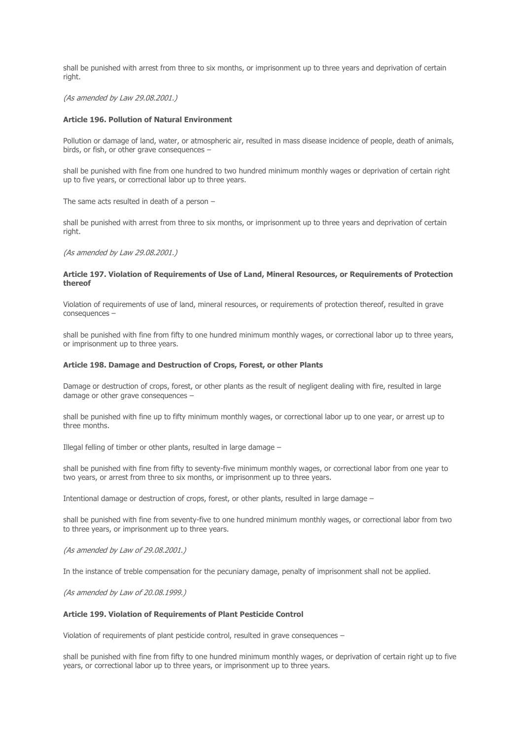shall be punished with arrest from three to six months, or imprisonment up to three years and deprivation of certain right.

#### (As amended by Law 29.08.2001.)

### **Article 196. Pollution of Natural Environment**

Pollution or damage of land, water, or atmospheric air, resulted in mass disease incidence of people, death of animals, birds, or fish, or other grave consequences –

shall be punished with fine from one hundred to two hundred minimum monthly wages or deprivation of certain right up to five years, or correctional labor up to three years.

The same acts resulted in death of a person –

shall be punished with arrest from three to six months, or imprisonment up to three years and deprivation of certain right.

(As amended by Law 29.08.2001.)

# **Article 197. Violation of Requirements of Use of Land, Mineral Resources, or Requirements of Protection thereof**

Violation of requirements of use of land, mineral resources, or requirements of protection thereof, resulted in grave consequences –

shall be punished with fine from fifty to one hundred minimum monthly wages, or correctional labor up to three years, or imprisonment up to three years.

#### **Article 198. Damage and Destruction of Crops, Forest, or other Plants**

Damage or destruction of crops, forest, or other plants as the result of negligent dealing with fire, resulted in large damage or other grave consequences –

shall be punished with fine up to fifty minimum monthly wages, or correctional labor up to one year, or arrest up to three months.

Illegal felling of timber or other plants, resulted in large damage –

shall be punished with fine from fifty to seventy-five minimum monthly wages, or correctional labor from one year to two years, or arrest from three to six months, or imprisonment up to three years.

Intentional damage or destruction of crops, forest, or other plants, resulted in large damage –

shall be punished with fine from seventy-five to one hundred minimum monthly wages, or correctional labor from two to three years, or imprisonment up to three years.

(As amended by Law of 29.08.2001.)

In the instance of treble compensation for the pecuniary damage, penalty of imprisonment shall not be applied.

(As amended by Law of 20.08.1999.)

#### **Article 199. Violation of Requirements of Plant Pesticide Control**

Violation of requirements of plant pesticide control, resulted in grave consequences –

shall be punished with fine from fifty to one hundred minimum monthly wages, or deprivation of certain right up to five years, or correctional labor up to three years, or imprisonment up to three years.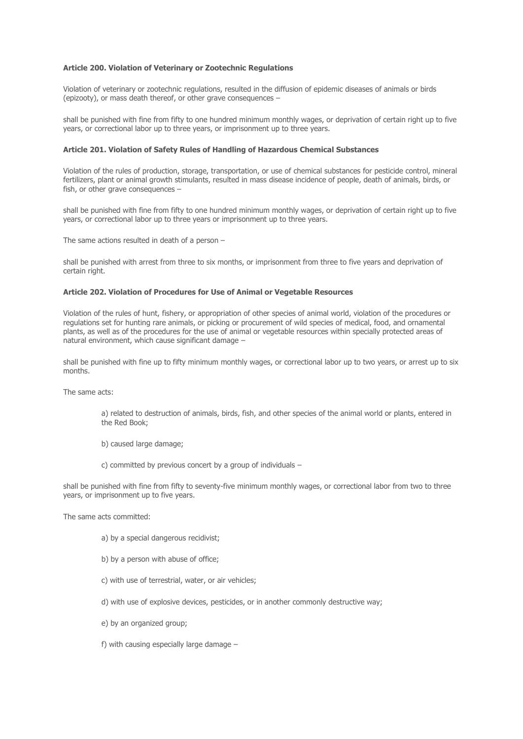### **Article 200. Violation of Veterinary or Zootechnic Regulations**

Violation of veterinary or zootechnic regulations, resulted in the diffusion of epidemic diseases of animals or birds (epizooty), or mass death thereof, or other grave consequences –

shall be punished with fine from fifty to one hundred minimum monthly wages, or deprivation of certain right up to five years, or correctional labor up to three years, or imprisonment up to three years.

# **Article 201. Violation of Safety Rules of Handling of Hazardous Chemical Substances**

Violation of the rules of production, storage, transportation, or use of chemical substances for pesticide control, mineral fertilizers, plant or animal growth stimulants, resulted in mass disease incidence of people, death of animals, birds, or fish, or other grave consequences –

shall be punished with fine from fifty to one hundred minimum monthly wages, or deprivation of certain right up to five years, or correctional labor up to three years or imprisonment up to three years.

The same actions resulted in death of a person –

shall be punished with arrest from three to six months, or imprisonment from three to five years and deprivation of certain right.

# **Article 202. Violation of Procedures for Use of Animal or Vegetable Resources**

Violation of the rules of hunt, fishery, or appropriation of other species of animal world, violation of the procedures or regulations set for hunting rare animals, or picking or procurement of wild species of medical, food, and ornamental plants, as well as of the procedures for the use of animal or vegetable resources within specially protected areas of natural environment, which cause significant damage –

shall be punished with fine up to fifty minimum monthly wages, or correctional labor up to two years, or arrest up to six months.

The same acts:

а) related to destruction of animals, birds, fish, and other species of the animal world or plants, entered in the Red Book;

- b) caused large damage;
- c) committed by previous concert by a group of individuals –

shall be punished with fine from fifty to seventy-five minimum monthly wages, or correctional labor from two to three years, or imprisonment up to five years.

The same acts committed:

- а) by a special dangerous recidivist;
- b) by a person with abuse of office;
- c) with use of terrestrial, water, or air vehicles;
- d) with use of explosive devices, pesticides, or in another commonly destructive way;
- e) by an organized group;
- f) with causing especially large damage –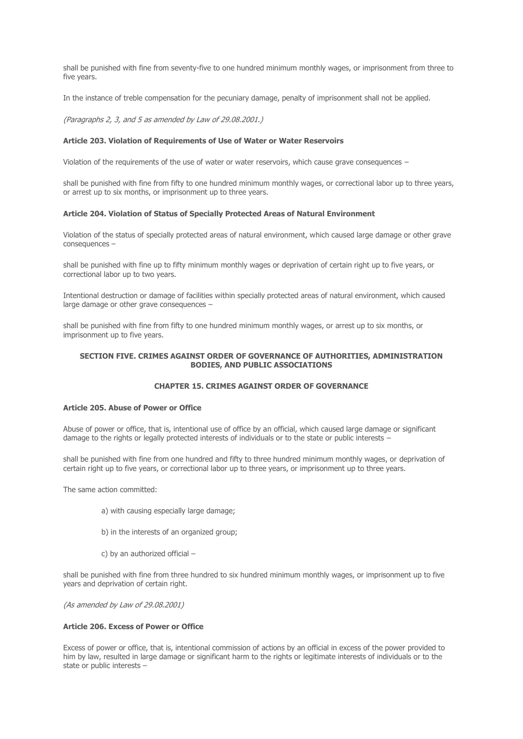shall be punished with fine from seventy-five to one hundred minimum monthly wages, or imprisonment from three to five years.

In the instance of treble compensation for the pecuniary damage, penalty of imprisonment shall not be applied.

(Paragraphs 2, 3, and 5 as amended by Law of 29.08.2001.)

### **Article 203. Violation of Requirements of Use of Water or Water Reservoirs**

Violation of the requirements of the use of water or water reservoirs, which cause grave consequences –

shall be punished with fine from fifty to one hundred minimum monthly wages, or correctional labor up to three years, or arrest up to six months, or imprisonment up to three years.

# **Article 204. Violation of Status of Specially Protected Areas of Natural Environment**

Violation of the status of specially protected areas of natural environment, which caused large damage or other grave consequences –

shall be punished with fine up to fifty minimum monthly wages or deprivation of certain right up to five years, or correctional labor up to two years.

Intentional destruction or damage of facilities within specially protected areas of natural environment, which caused large damage or other grave consequences –

shall be punished with fine from fifty to one hundred minimum monthly wages, or arrest up to six months, or imprisonment up to five years.

# **SECTION FIVE. CRIMES AGAINST ORDER OF GOVERNANCE OF AUTHORITIES, ADMINISTRATION BODIES, AND PUBLIC ASSOCIATIONS**

# **CHAPTER 15. CRIMES AGAINST ORDER OF GOVERNANCE**

# **Article 205. Abuse of Power or Office**

Abuse of power or office, that is, intentional use of office by an official, which caused large damage or significant damage to the rights or legally protected interests of individuals or to the state or public interests –

shall be punished with fine from one hundred and fifty to three hundred minimum monthly wages, or deprivation of certain right up to five years, or correctional labor up to three years, or imprisonment up to three years.

The same action committed:

- а) with causing especially large damage;
- b) in the interests of an organized group;
- c) by an authorized official –

shall be punished with fine from three hundred to six hundred minimum monthly wages, or imprisonment up to five years and deprivation of certain right.

(As amended by Law of 29.08.2001)

#### **Article 206. Excess of Power or Office**

Excess of power or office, that is, intentional commission of actions by an official in excess of the power provided to him by law, resulted in large damage or significant harm to the rights or legitimate interests of individuals or to the state or public interests –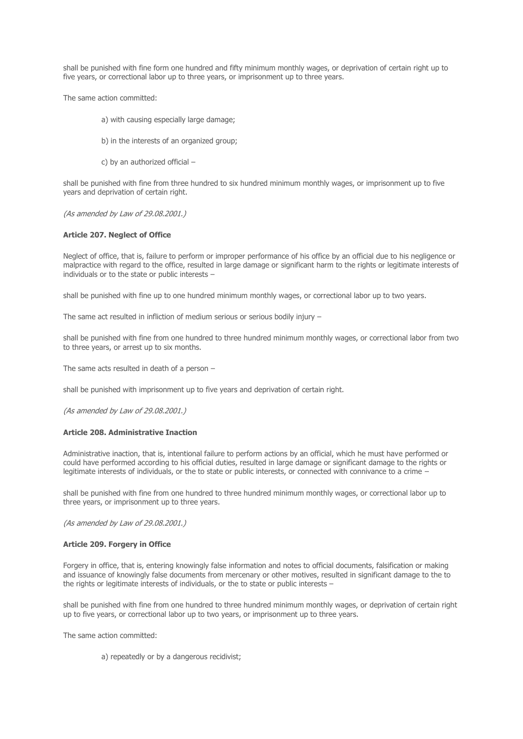shall be punished with fine form one hundred and fifty minimum monthly wages, or deprivation of certain right up to five years, or correctional labor up to three years, or imprisonment up to three years.

The same action committed:

- а) with causing especially large damage;
- b) in the interests of an organized group;
- c) by an authorized official –

shall be punished with fine from three hundred to six hundred minimum monthly wages, or imprisonment up to five years and deprivation of certain right.

(As amended by Law of 29.08.2001.)

# **Article 207. Neglect of Office**

Neglect of office, that is, failure to perform or improper performance of his office by an official due to his negligence or malpractice with regard to the office, resulted in large damage or significant harm to the rights or legitimate interests of individuals or to the state or public interests –

shall be punished with fine up to one hundred minimum monthly wages, or correctional labor up to two years.

The same act resulted in infliction of medium serious or serious bodily injury –

shall be punished with fine from one hundred to three hundred minimum monthly wages, or correctional labor from two to three years, or arrest up to six months.

The same acts resulted in death of a person –

shall be punished with imprisonment up to five years and deprivation of certain right.

(As amended by Law of 29.08.2001.)

#### **Article 208. Administrative Inaction**

Administrative inaction, that is, intentional failure to perform actions by an official, which he must have performed or could have performed according to his official duties, resulted in large damage or significant damage to the rights or legitimate interests of individuals, or the to state or public interests, or connected with connivance to a crime –

shall be punished with fine from one hundred to three hundred minimum monthly wages, or correctional labor up to three years, or imprisonment up to three years.

(As amended by Law of 29.08.2001.)

#### **Article 209. Forgery in Office**

Forgery in office, that is, entering knowingly false information and notes to official documents, falsification or making and issuance of knowingly false documents from mercenary or other motives, resulted in significant damage to the to the rights or legitimate interests of individuals, or the to state or public interests  $-$ 

shall be punished with fine from one hundred to three hundred minimum monthly wages, or deprivation of certain right up to five years, or correctional labor up to two years, or imprisonment up to three years.

The same action committed:

а) repeatedly or by a dangerous recidivist;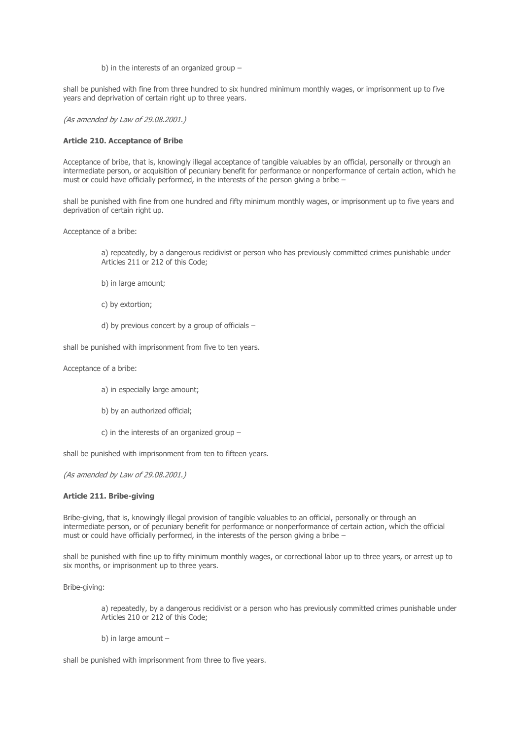b) in the interests of an organized group –

shall be punished with fine from three hundred to six hundred minimum monthly wages, or imprisonment up to five years and deprivation of certain right up to three years.

(As amended by Law of 29.08.2001.)

# **Article 210. Acceptance of Bribe**

Acceptance of bribe, that is, knowingly illegal acceptance of tangible valuables by an official, personally or through an intermediate person, or acquisition of pecuniary benefit for performance or nonperformance of certain action, which he must or could have officially performed, in the interests of the person giving a bribe –

shall be punished with fine from one hundred and fifty minimum monthly wages, or imprisonment up to five years and deprivation of certain right up.

Acceptance of a bribe:

а) repeatedly, by a dangerous recidivist or person who has previously committed crimes punishable under Articles 211 or 212 of this Code;

- b) in large amount;
- c) by extortion;
- d) by previous concert by a group of officials  $-$

shall be punished with imprisonment from five to ten years.

Acceptance of a bribe:

- а) in especially large amount;
- b) by an authorized official;
- c) in the interests of an organized group –

shall be punished with imprisonment from ten to fifteen years.

(As amended by Law of 29.08.2001.)

## **Article 211. Bribe-giving**

Bribe-giving, that is, knowingly illegal provision of tangible valuables to an official, personally or through an intermediate person, or of pecuniary benefit for performance or nonperformance of certain action, which the official must or could have officially performed, in the interests of the person giving a bribe –

shall be punished with fine up to fifty minimum monthly wages, or correctional labor up to three years, or arrest up to six months, or imprisonment up to three years.

Bribe-giving:

а) repeatedly, by a dangerous recidivist or a person who has previously committed crimes punishable under Articles 210 or 212 of this Code;

b) in large amount –

shall be punished with imprisonment from three to five years.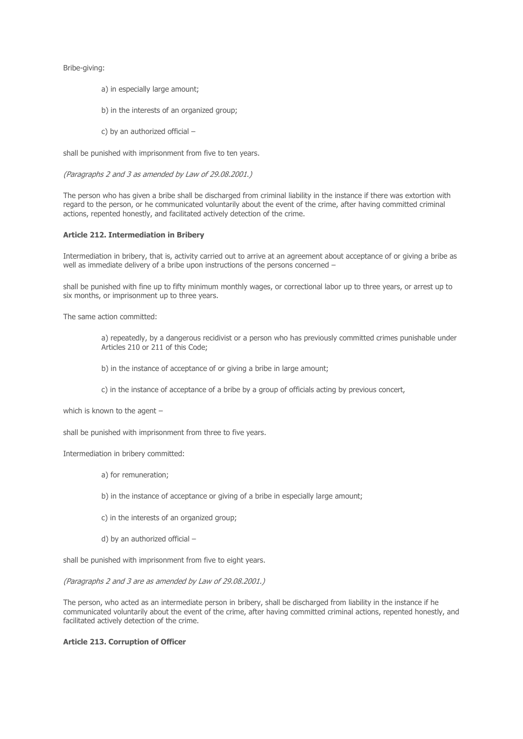Bribe-giving:

- а) in especially large amount;
- b) in the interests of an organized group;
- c) by an authorized official –

shall be punished with imprisonment from five to ten years.

(Paragraphs 2 and 3 as amended by Law of 29.08.2001.)

The person who has given a bribe shall be discharged from criminal liability in the instance if there was extortion with regard to the person, or he communicated voluntarily about the event of the crime, after having committed criminal actions, repented honestly, and facilitated actively detection of the crime.

# **Article 212. Intermediation in Bribery**

Intermediation in bribery, that is, activity carried out to arrive at an agreement about acceptance of or giving a bribe as well as immediate delivery of a bribe upon instructions of the persons concerned –

shall be punished with fine up to fifty minimum monthly wages, or correctional labor up to three years, or arrest up to six months, or imprisonment up to three years.

The same action committed:

a) repeatedly, by a dangerous recidivist or a person who has previously committed crimes punishable under Articles 210 or 211 of this Code;

- b) in the instance of acceptance of or giving a bribe in large amount;
- c) in the instance of acceptance of a bribe by a group of officials acting by previous concert,

which is known to the agent –

shall be punished with imprisonment from three to five years.

### Intermediation in bribery committed:

- а) for remuneration;
- b) in the instance of acceptance or giving of a bribe in especially large amount;
- c) in the interests of an organized group;
- d) by an authorized official –

shall be punished with imprisonment from five to eight years.

(Paragraphs 2 and 3 are as amended by Law of 29.08.2001.)

The person, who acted as an intermediate person in bribery, shall be discharged from liability in the instance if he communicated voluntarily about the event of the crime, after having committed criminal actions, repented honestly, and facilitated actively detection of the crime.

### **Article 213. Corruption of Officer**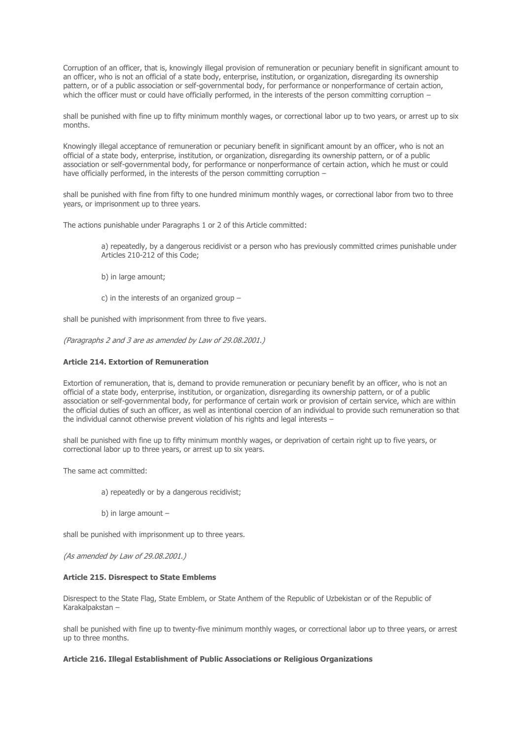Corruption of an officer, that is, knowingly illegal provision of remuneration or pecuniary benefit in significant amount to an officer, who is not an official of a state body, enterprise, institution, or organization, disregarding its ownership pattern, or of a public association or self-governmental body, for performance or nonperformance of certain action, which the officer must or could have officially performed, in the interests of the person committing corruption –

shall be punished with fine up to fifty minimum monthly wages, or correctional labor up to two years, or arrest up to six months.

Knowingly illegal acceptance of remuneration or pecuniary benefit in significant amount by an officer, who is not an official of a state body, enterprise, institution, or organization, disregarding its ownership pattern, or of a public association or self-governmental body, for performance or nonperformance of certain action, which he must or could have officially performed, in the interests of the person committing corruption –

shall be punished with fine from fifty to one hundred minimum monthly wages, or correctional labor from two to three years, or imprisonment up to three years.

The actions punishable under Paragraphs 1 or 2 of this Article committed:

а) repeatedly, by a dangerous recidivist or a person who has previously committed crimes punishable under Articles 210-212 of this Code;

- b) in large amount;
- c) in the interests of an organized group –

shall be punished with imprisonment from three to five years.

(Paragraphs 2 and 3 are as amended by Law of 29.08.2001.)

### **Article 214. Extortion of Remuneration**

Extortion of remuneration, that is, demand to provide remuneration or pecuniary benefit by an officer, who is not an official of a state body, enterprise, institution, or organization, disregarding its ownership pattern, or of a public association or self-governmental body, for performance of certain work or provision of certain service, which are within the official duties of such an officer, as well as intentional coercion of an individual to provide such remuneration so that the individual cannot otherwise prevent violation of his rights and legal interests –

shall be punished with fine up to fifty minimum monthly wages, or deprivation of certain right up to five years, or correctional labor up to three years, or arrest up to six years.

The same act committed:

- а) repeatedly or by a dangerous recidivist;
- b) in large amount –

shall be punished with imprisonment up to three years.

(As amended by Law of 29.08.2001.)

#### **Article 215. Disrespect to State Emblems**

Disrespect to the State Flag, State Emblem, or State Anthem of the Republic of Uzbekistan or of the Republic of Karakalpakstan –

shall be punished with fine up to twenty-five minimum monthly wages, or correctional labor up to three years, or arrest up to three months.

### **Article 216. Illegal Establishment of Public Associations or Religious Organizations**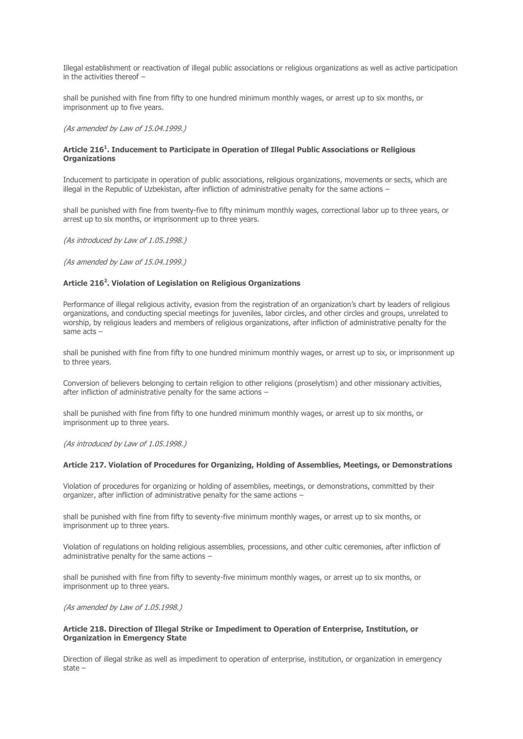Illegal establishment or reactivation of illegal public associations or religious organizations as well as active participation in the activities thereof –

shall be punished with fine from fifty to one hundred minimum monthly wages, or arrest up to six months, or imprisonment up to five years.

(As amended by Law of 15.04.1999.)

# **Article 216<sup>1</sup> . Inducement to Participate in Operation of Illegal Public Associations or Religious Organizations**

Inducement to participate in operation of public associations, religious organizations, movements or sects, which are illegal in the Republic of Uzbekistan, after infliction of administrative penalty for the same actions –

shall be punished with fine from twenty-five to fifty minimum monthly wages, correctional labor up to three years, or arrest up to six months, or imprisonment up to three years.

(As introduced by Law of 1.05.1998.)

(As amended by Law of 15.04.1999.)

# **Article 216<sup>2</sup> . Violation of Legislation on Religious Organizations**

Performance of illegal religious activity, evasion from the registration of an organization's chart by leaders of religious organizations, and conducting special meetings for juveniles, labor circles, and other circles and groups, unrelated to worship, by religious leaders and members of religious organizations, after infliction of administrative penalty for the same acts –

shall be punished with fine from fifty to one hundred minimum monthly wages, or arrest up to six, or imprisonment up to three years.

Conversion of believers belonging to certain religion to other religions (proselytism) and other missionary activities, after infliction of administrative penalty for the same actions –

shall be punished with fine from fifty to one hundred minimum monthly wages, or arrest up to six months, or imprisonment up to three years.

(As introduced by Law of 1.05.1998.)

# **Article 217. Violation of Procedures for Organizing, Holding of Assemblies, Meetings, or Demonstrations**

Violation of procedures for organizing or holding of assemblies, meetings, or demonstrations, committed by their organizer, after infliction of administrative penalty for the same actions –

shall be punished with fine from fifty to seventy-five minimum monthly wages, or arrest up to six months, or imprisonment up to three years.

Violation of regulations on holding religious assemblies, processions, and other cultic ceremonies, after infliction of administrative penalty for the same actions –

shall be punished with fine from fifty to seventy-five minimum monthly wages, or arrest up to six months, or imprisonment up to three years.

#### (As amended by Law of 1.05.1998.)

# **Article 218. Direction of Illegal Strike or Impediment to Operation of Enterprise, Institution, or Organization in Emergency State**

Direction of illegal strike as well as impediment to operation of enterprise, institution, or organization in emergency state –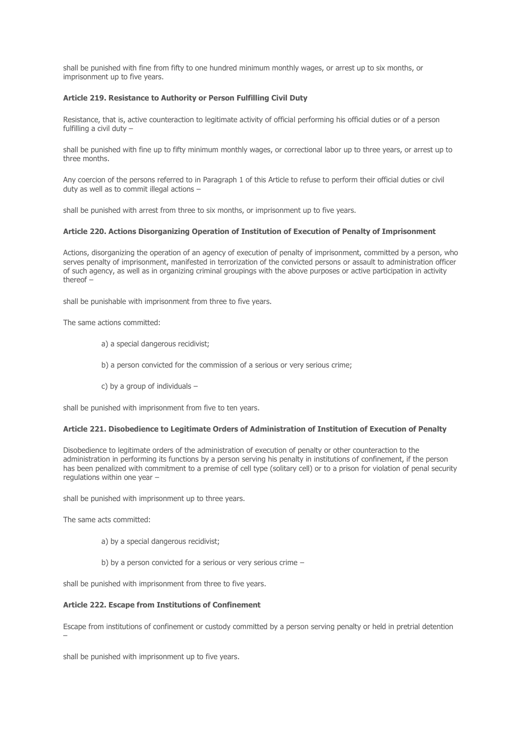shall be punished with fine from fifty to one hundred minimum monthly wages, or arrest up to six months, or imprisonment up to five years.

# **Article 219. Resistance to Authority or Person Fulfilling Civil Duty**

Resistance, that is, active counteraction to legitimate activity of official performing his official duties or of a person fulfilling a civil duty –

shall be punished with fine up to fifty minimum monthly wages, or correctional labor up to three years, or arrest up to three months.

Any coercion of the persons referred to in Paragraph 1 of this Article to refuse to perform their official duties or civil duty as well as to commit illegal actions –

shall be punished with arrest from three to six months, or imprisonment up to five years.

# **Article 220. Actions Disorganizing Operation of Institution of Execution of Penalty of Imprisonment**

Actions, disorganizing the operation of an agency of execution of penalty of imprisonment, committed by a person, who serves penalty of imprisonment, manifested in terrorization of the convicted persons or assault to administration officer of such agency, as well as in organizing criminal groupings with the above purposes or active participation in activity thereof –

shall be punishable with imprisonment from three to five years.

The same actions committed:

- а) a special dangerous recidivist;
- b) a person convicted for the commission of a serious or very serious crime;
- c) by a group of individuals –

shall be punished with imprisonment from five to ten years.

# **Article 221. Disobedience to Legitimate Orders of Administration of Institution of Execution of Penalty**

Disobedience to legitimate orders of the administration of execution of penalty or other counteraction to the administration in performing its functions by a person serving his penalty in institutions of confinement, if the person has been penalized with commitment to a premise of cell type (solitary cell) or to a prison for violation of penal security regulations within one year –

shall be punished with imprisonment up to three years.

The same acts committed:

- а) by a special dangerous recidivist;
- b) by a person convicted for a serious or very serious crime –

shall be punished with imprisonment from three to five years.

# **Article 222. Escape from Institutions of Confinement**

Escape from institutions of confinement or custody committed by a person serving penalty or held in pretrial detention –

shall be punished with imprisonment up to five years.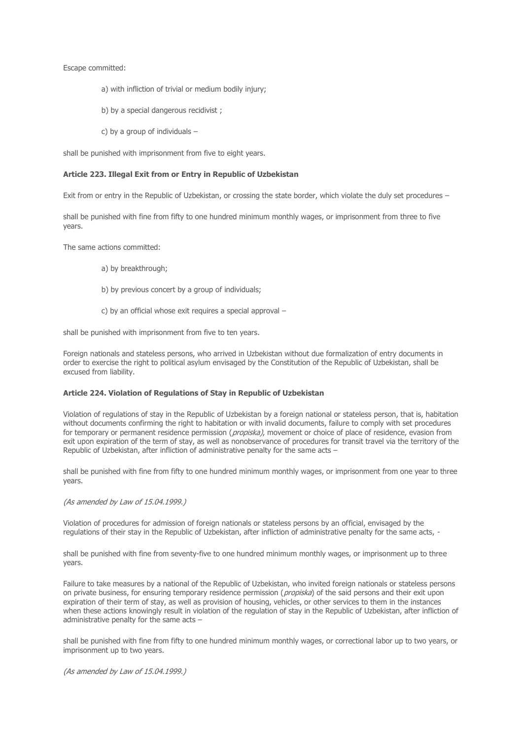Escape committed:

- а) with infliction of trivial or medium bodily injury;
- b) by a special dangerous recidivist;
- c) by a group of individuals –

shall be punished with imprisonment from five to eight years.

#### **Article 223. Illegal Exit from or Entry in Republic of Uzbekistan**

Exit from or entry in the Republic of Uzbekistan, or crossing the state border, which violate the duly set procedures –

shall be punished with fine from fifty to one hundred minimum monthly wages, or imprisonment from three to five years.

The same actions committed:

- а) by breakthrough;
- b) by previous concert by a group of individuals;
- c) by an official whose exit requires a special approval –

shall be punished with imprisonment from five to ten years.

Foreign nationals and stateless persons, who arrived in Uzbekistan without due formalization of entry documents in order to exercise the right to political asylum envisaged by the Constitution of the Republic of Uzbekistan, shall be excused from liability.

# **Article 224. Violation of Regulations of Stay in Republic of Uzbekistan**

Violation of regulations of stay in the Republic of Uzbekistan by a foreign national or stateless person, that is, habitation without documents confirming the right to habitation or with invalid documents, failure to comply with set procedures for temporary or permanent residence permission (propiska), movement or choice of place of residence, evasion from exit upon expiration of the term of stay, as well as nonobservance of procedures for transit travel via the territory of the Republic of Uzbekistan, after infliction of administrative penalty for the same acts –

shall be punished with fine from fifty to one hundred minimum monthly wages, or imprisonment from one year to three years.

#### (As amended by Law of 15.04.1999.)

Violation of procedures for admission of foreign nationals or stateless persons by an official, envisaged by the regulations of their stay in the Republic of Uzbekistan, after infliction of administrative penalty for the same acts, -

shall be punished with fine from seventy-five to one hundred minimum monthly wages, or imprisonment up to three years.

Failure to take measures by a national of the Republic of Uzbekistan, who invited foreign nationals or stateless persons on private business, for ensuring temporary residence permission (*propiska*) of the said persons and their exit upon expiration of their term of stay, as well as provision of housing, vehicles, or other services to them in the instances when these actions knowingly result in violation of the regulation of stay in the Republic of Uzbekistan, after infliction of administrative penalty for the same acts –

shall be punished with fine from fifty to one hundred minimum monthly wages, or correctional labor up to two years, or imprisonment up to two years.

(As amended by Law of 15.04.1999.)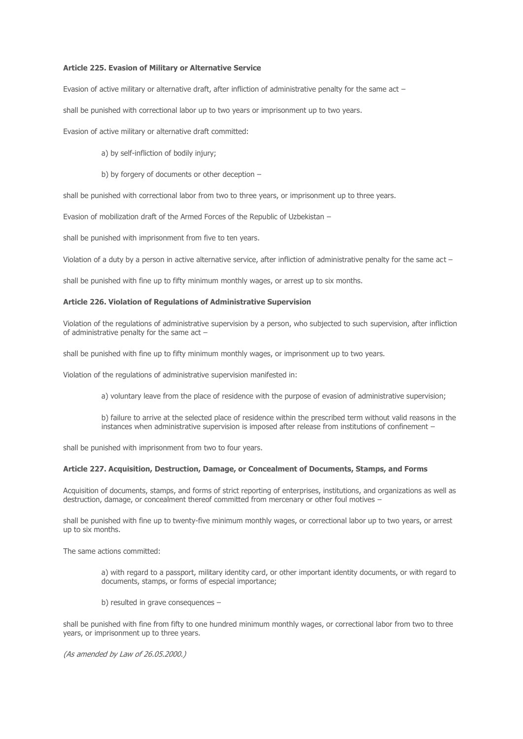### **Article 225. Evasion of Military or Alternative Service**

Evasion of active military or alternative draft, after infliction of administrative penalty for the same act –

shall be punished with correctional labor up to two years or imprisonment up to two years.

Evasion of active military or alternative draft committed:

- a) by self-infliction of bodily injury;
- b) by forgery of documents or other deception –

shall be punished with correctional labor from two to three years, or imprisonment up to three years.

Evasion of mobilization draft of the Armed Forces of the Republic of Uzbekistan –

shall be punished with imprisonment from five to ten years.

Violation of a duty by a person in active alternative service, after infliction of administrative penalty for the same act –

shall be punished with fine up to fifty minimum monthly wages, or arrest up to six months.

### **Article 226. Violation of Regulations of Administrative Supervision**

Violation of the regulations of administrative supervision by a person, who subjected to such supervision, after infliction of administrative penalty for the same act –

shall be punished with fine up to fifty minimum monthly wages, or imprisonment up to two years.

Violation of the regulations of administrative supervision manifested in:

а) voluntary leave from the place of residence with the purpose of evasion of administrative supervision;

b) failure to arrive at the selected place of residence within the prescribed term without valid reasons in the instances when administrative supervision is imposed after release from institutions of confinement –

shall be punished with imprisonment from two to four years.

#### **Article 227. Acquisition, Destruction, Damage, or Concealment of Documents, Stamps, and Forms**

Acquisition of documents, stamps, and forms of strict reporting of enterprises, institutions, and organizations as well as destruction, damage, or concealment thereof committed from mercenary or other foul motives –

shall be punished with fine up to twenty-five minimum monthly wages, or correctional labor up to two years, or arrest up to six months.

The same actions committed:

а) with regard to a passport, military identity card, or other important identity documents, or with regard to documents, stamps, or forms of especial importance;

b) resulted in grave consequences –

shall be punished with fine from fifty to one hundred minimum monthly wages, or correctional labor from two to three years, or imprisonment up to three years.

(As amended by Law of 26.05.2000.)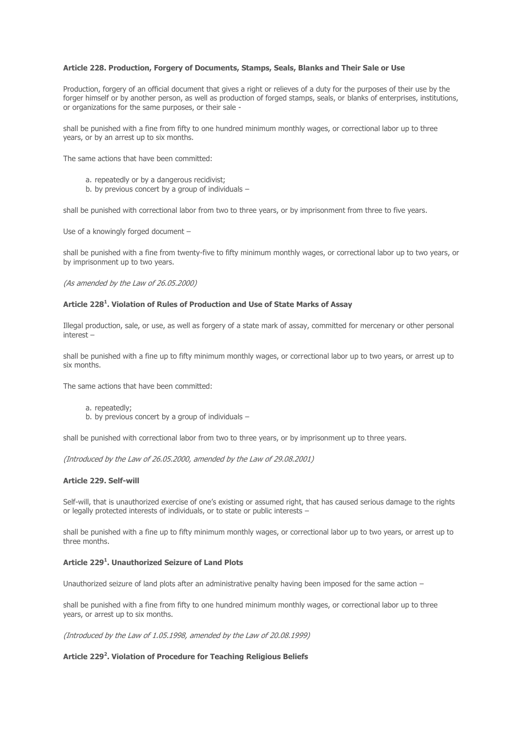### **Article 228. Production, Forgery of Documents, Stamps, Seals, Blanks and Their Sale or Use**

Production, forgery of an official document that gives a right or relieves of a duty for the purposes of their use by the forger himself or by another person, as well as production of forged stamps, seals, or blanks of enterprises, institutions, or organizations for the same purposes, or their sale -

shall be punished with a fine from fifty to one hundred minimum monthly wages, or correctional labor up to three years, or by an arrest up to six months.

The same actions that have been committed:

- a. repeatedly or by a dangerous recidivist;
- b. by previous concert by a group of individuals –

shall be punished with correctional labor from two to three years, or by imprisonment from three to five years.

Use of a knowingly forged document –

shall be punished with a fine from twenty-five to fifty minimum monthly wages, or correctional labor up to two years, or by imprisonment up to two years.

(As amended by the Law of 26.05.2000)

### **Article 228<sup>1</sup> . Violation of Rules of Production and Use of State Marks of Assay**

Illegal production, sale, or use, as well as forgery of a state mark of assay, committed for mercenary or other personal interest –

shall be punished with a fine up to fifty minimum monthly wages, or correctional labor up to two years, or arrest up to six months.

The same actions that have been committed:

- a. repeatedly;
- b. by previous concert by a group of individuals –

shall be punished with correctional labor from two to three years, or by imprisonment up to three years.

(Introduced by the Law of 26.05.2000, amended by the Law of 29.08.2001)

#### **Article 229. Self-will**

Self-will, that is unauthorized exercise of one's existing or assumed right, that has caused serious damage to the rights or legally protected interests of individuals, or to state or public interests –

shall be punished with a fine up to fifty minimum monthly wages, or correctional labor up to two years, or arrest up to three months.

# **Article 229<sup>1</sup> . Unauthorized Seizure of Land Plots**

Unauthorized seizure of land plots after an administrative penalty having been imposed for the same action –

shall be punished with a fine from fifty to one hundred minimum monthly wages, or correctional labor up to three years, or arrest up to six months.

(Introduced by the Law of 1.05.1998, amended by the Law of 20.08.1999)

# **Article 229<sup>2</sup> . Violation of Procedure for Teaching Religious Beliefs**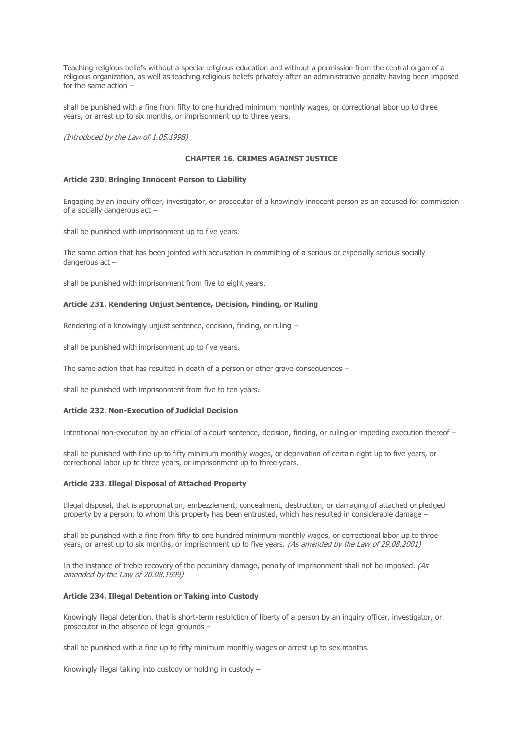Teaching religious beliefs without a special religious education and without a permission from the central organ of a religious organization, as well as teaching religious beliefs privately after an administrative penalty having been imposed for the same action –

shall be punished with a fine from fifty to one hundred minimum monthly wages, or correctional labor up to three years, or arrest up to six months, or imprisonment up to three years.

(Introduced by the Law of 1.05.1998)

# **CHAPTER 16. CRIMES AGAINST JUSTICE**

### **Article 230. Bringing Innocent Person to Liability**

Engaging by an inquiry officer, investigator, or prosecutor of a knowingly innocent person as an accused for commission of a socially dangerous act –

shall be punished with imprisonment up to five years.

The same action that has been jointed with accusation in committing of a serious or especially serious socially dangerous act –

shall be punished with imprisonment from five to eight years.

#### **Article 231. Rendering Unjust Sentence, Decision, Finding, or Ruling**

Rendering of a knowingly unjust sentence, decision, finding, or ruling –

shall be punished with imprisonment up to five years.

The same action that has resulted in death of a person or other grave consequences –

shall be punished with imprisonment from five to ten years.

#### **Article 232. Non-Execution of Judicial Decision**

Intentional non-execution by an official of a court sentence, decision, finding, or ruling or impeding execution thereof –

shall be punished with fine up to fifty minimum monthly wages, or deprivation of certain right up to five years, or correctional labor up to three years, or imprisonment up to three years.

#### **Article 233. Illegal Disposal of Attached Property**

Illegal disposal, that is appropriation, embezzlement, concealment, destruction, or damaging of attached or pledged property by a person, to whom this property has been entrusted, which has resulted in considerable damage –

shall be punished with a fine from fifty to one hundred minimum monthly wages, or correctional labor up to three years, or arrest up to six months, or imprisonment up to five years. (As amended by the Law of 29.08.2001)

In the instance of treble recovery of the pecuniary damage, penalty of imprisonment shall not be imposed. (As amended by the Law of 20.08.1999)

#### **Article 234. Illegal Detention or Taking into Custody**

Knowingly illegal detention, that is short-term restriction of liberty of a person by an inquiry officer, investigator, or prosecutor in the absence of legal grounds –

shall be punished with a fine up to fifty minimum monthly wages or arrest up to sex months.

Knowingly illegal taking into custody or holding in custody –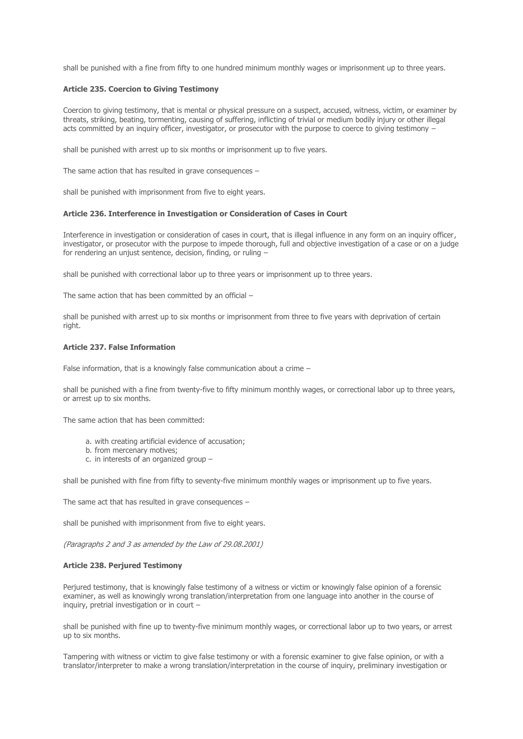shall be punished with a fine from fifty to one hundred minimum monthly wages or imprisonment up to three years.

# **Article 235. Coercion to Giving Testimony**

Coercion to giving testimony, that is mental or physical pressure on a suspect, accused, witness, victim, or examiner by threats, striking, beating, tormenting, causing of suffering, inflicting of trivial or medium bodily injury or other illegal acts committed by an inquiry officer, investigator, or prosecutor with the purpose to coerce to giving testimony –

shall be punished with arrest up to six months or imprisonment up to five years.

The same action that has resulted in grave consequences –

shall be punished with imprisonment from five to eight years.

### **Article 236. Interference in Investigation or Consideration of Cases in Court**

Interference in investigation or consideration of cases in court, that is illegal influence in any form on an inquiry officer, investigator, or prosecutor with the purpose to impede thorough, full and objective investigation of a case or on a judge for rendering an unjust sentence, decision, finding, or ruling –

shall be punished with correctional labor up to three years or imprisonment up to three years.

The same action that has been committed by an official –

shall be punished with arrest up to six months or imprisonment from three to five years with deprivation of certain right.

### **Article 237. False Information**

False information, that is a knowingly false communication about a crime –

shall be punished with a fine from twenty-five to fifty minimum monthly wages, or correctional labor up to three years, or arrest up to six months.

The same action that has been committed:

- a. with creating artificial evidence of accusation;
- b. from mercenary motives;
- c. in interests of an organized group –

shall be punished with fine from fifty to seventy-five minimum monthly wages or imprisonment up to five years.

The same act that has resulted in grave consequences –

shall be punished with imprisonment from five to eight years.

(Paragraphs 2 and 3 as amended by the Law of 29.08.2001)

#### **Article 238. Perjured Testimony**

Perjured testimony, that is knowingly false testimony of a witness or victim or knowingly false opinion of a forensic examiner, as well as knowingly wrong translation/interpretation from one language into another in the course of inquiry, pretrial investigation or in court –

shall be punished with fine up to twenty-five minimum monthly wages, or correctional labor up to two years, or arrest up to six months.

Tampering with witness or victim to give false testimony or with a forensic examiner to give false opinion, or with a translator/interpreter to make a wrong translation/interpretation in the course of inquiry, preliminary investigation or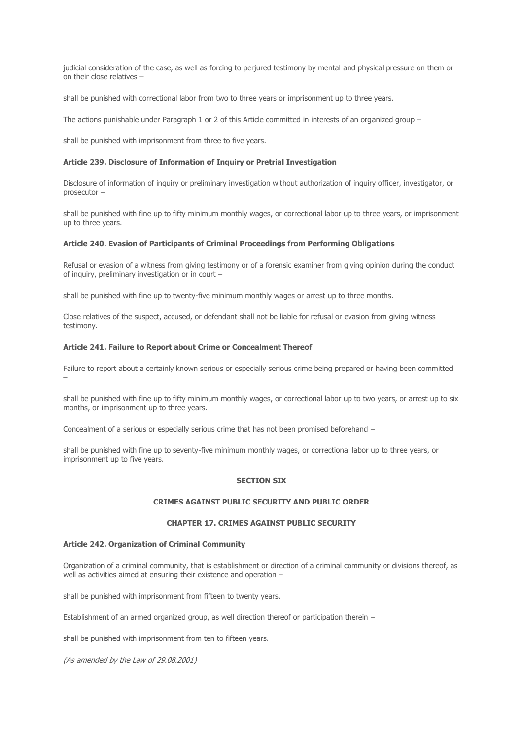judicial consideration of the case, as well as forcing to perjured testimony by mental and physical pressure on them or on their close relatives –

shall be punished with correctional labor from two to three years or imprisonment up to three years.

The actions punishable under Paragraph 1 or 2 of this Article committed in interests of an organized group –

shall be punished with imprisonment from three to five years.

### **Article 239. Disclosure of Information of Inquiry or Pretrial Investigation**

Disclosure of information of inquiry or preliminary investigation without authorization of inquiry officer, investigator, or prosecutor –

shall be punished with fine up to fifty minimum monthly wages, or correctional labor up to three years, or imprisonment up to three years.

# **Article 240. Evasion of Participants of Criminal Proceedings from Performing Obligations**

Refusal or evasion of a witness from giving testimony or of a forensic examiner from giving opinion during the conduct of inquiry, preliminary investigation or in court –

shall be punished with fine up to twenty-five minimum monthly wages or arrest up to three months.

Close relatives of the suspect, accused, or defendant shall not be liable for refusal or evasion from giving witness testimony.

### **Article 241. Failure to Report about Crime or Concealment Thereof**

Failure to report about a certainly known serious or especially serious crime being prepared or having been committed –

shall be punished with fine up to fifty minimum monthly wages, or correctional labor up to two years, or arrest up to six months, or imprisonment up to three years.

Concealment of a serious or especially serious crime that has not been promised beforehand –

shall be punished with fine up to seventy-five minimum monthly wages, or correctional labor up to three years, or imprisonment up to five years.

# **SECTION SIX**

# **CRIMES AGAINST PUBLIC SECURITY AND PUBLIC ORDER**

# **CHAPTER 17. CRIMES AGAINST PUBLIC SECURITY**

# **Article 242. Organization of Criminal Community**

Organization of a criminal community, that is establishment or direction of a criminal community or divisions thereof, as well as activities aimed at ensuring their existence and operation –

shall be punished with imprisonment from fifteen to twenty years.

Establishment of an armed organized group, as well direction thereof or participation therein –

shall be punished with imprisonment from ten to fifteen years.

(As amended by the Law of 29.08.2001)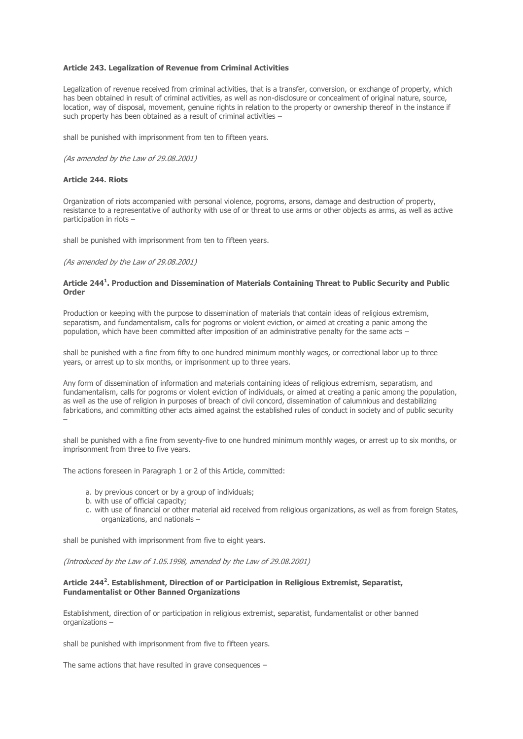### **Article 243. Legalization of Revenue from Criminal Activities**

Legalization of revenue received from criminal activities, that is a transfer, conversion, or exchange of property, which has been obtained in result of criminal activities, as well as non-disclosure or concealment of original nature, source, location, way of disposal, movement, genuine rights in relation to the property or ownership thereof in the instance if such property has been obtained as a result of criminal activities -

shall be punished with imprisonment from ten to fifteen years.

(As amended by the Law of 29.08.2001)

# **Article 244. Riots**

Organization of riots accompanied with personal violence, pogroms, arsons, damage and destruction of property, resistance to a representative of authority with use of or threat to use arms or other objects as arms, as well as active participation in riots –

shall be punished with imprisonment from ten to fifteen years.

(As amended by the Law of 29.08.2001)

### **Article 244<sup>1</sup> . Production and Dissemination of Materials Containing Threat to Public Security and Public Order**

Production or keeping with the purpose to dissemination of materials that contain ideas of religious extremism, separatism, and fundamentalism, calls for pogroms or violent eviction, or aimed at creating a panic among the population, which have been committed after imposition of an administrative penalty for the same acts –

shall be punished with a fine from fifty to one hundred minimum monthly wages, or correctional labor up to three years, or arrest up to six months, or imprisonment up to three years.

Any form of dissemination of information and materials containing ideas of religious extremism, separatism, and fundamentalism, calls for pogroms or violent eviction of individuals, or aimed at creating a panic among the population, as well as the use of religion in purposes of breach of civil concord, dissemination of calumnious and destabilizing fabrications, and committing other acts aimed against the established rules of conduct in society and of public security –

shall be punished with a fine from seventy-five to one hundred minimum monthly wages, or arrest up to six months, or imprisonment from three to five years.

The actions foreseen in Paragraph 1 or 2 of this Article, committed:

- a. by previous concert or by a group of individuals;
- b. with use of official capacity;
- c. with use of financial or other material aid received from religious organizations, as well as from foreign States, organizations, and nationals –

shall be punished with imprisonment from five to eight years.

(Introduced by the Law of 1.05.1998, amended by the Law of 29.08.2001)

# **Article 244<sup>2</sup> . Establishment, Direction of or Participation in Religious Extremist, Separatist, Fundamentalist or Other Banned Organizations**

Establishment, direction of or participation in religious extremist, separatist, fundamentalist or other banned organizations –

shall be punished with imprisonment from five to fifteen years.

The same actions that have resulted in grave consequences –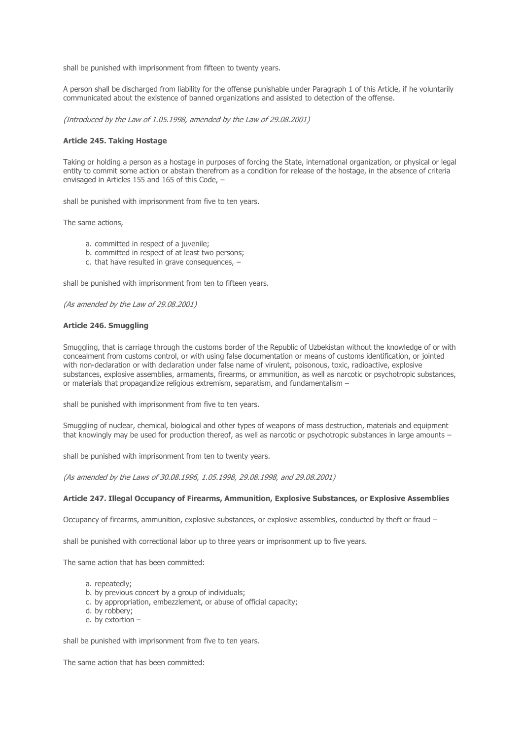shall be punished with imprisonment from fifteen to twenty years.

A person shall be discharged from liability for the offense punishable under Paragraph 1 of this Article, if he voluntarily communicated about the existence of banned organizations and assisted to detection of the offense.

(Introduced by the Law of 1.05.1998, amended by the Law of 29.08.2001)

#### **Article 245. Taking Hostage**

Taking or holding a person as a hostage in purposes of forcing the State, international organization, or physical or legal entity to commit some action or abstain therefrom as a condition for release of the hostage, in the absence of criteria envisaged in Articles 155 and 165 of this Code, –

shall be punished with imprisonment from five to ten years.

The same actions,

- a. committed in respect of a juvenile;
- b. committed in respect of at least two persons;
- c. that have resulted in grave consequences, –

shall be punished with imprisonment from ten to fifteen years.

(As amended by the Law of 29.08.2001)

### **Article 246. Smuggling**

Smuggling, that is carriage through the customs border of the Republic of Uzbekistan without the knowledge of or with concealment from customs control, or with using false documentation or means of customs identification, or jointed with non-declaration or with declaration under false name of virulent, poisonous, toxic, radioactive, explosive substances, explosive assemblies, armaments, firearms, or ammunition, as well as narcotic or psychotropic substances, or materials that propagandize religious extremism, separatism, and fundamentalism –

shall be punished with imprisonment from five to ten years.

Smuggling of nuclear, chemical, biological and other types of weapons of mass destruction, materials and equipment that knowingly may be used for production thereof, as well as narcotic or psychotropic substances in large amounts -

shall be punished with imprisonment from ten to twenty years.

(As amended by the Laws of 30.08.1996, 1.05.1998, 29.08.1998, and 29.08.2001)

#### **Article 247. Illegal Occupancy of Firearms, Ammunition, Explosive Substances, or Explosive Assemblies**

Occupancy of firearms, ammunition, explosive substances, or explosive assemblies, conducted by theft or fraud –

shall be punished with correctional labor up to three years or imprisonment up to five years.

The same action that has been committed:

- a repeatedly:
- b. by previous concert by a group of individuals;
- c. by appropriation, embezzlement, or abuse of official capacity;
- d. by robbery;
- e. by extortion –

shall be punished with imprisonment from five to ten years.

The same action that has been committed: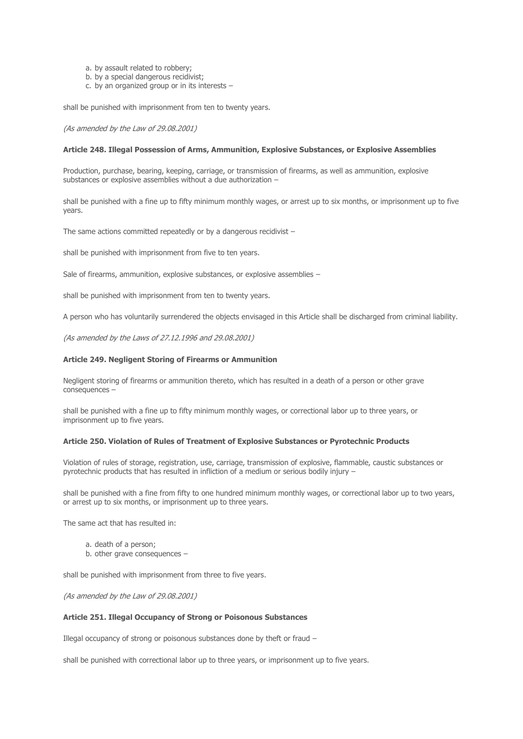- a. by assault related to robbery;
- b. by a special dangerous recidivist;
- c. by an organized group or in its interests –

shall be punished with imprisonment from ten to twenty years.

(As amended by the Law of 29.08.2001)

### **Article 248. Illegal Possession of Arms, Ammunition, Explosive Substances, or Explosive Assemblies**

Production, purchase, bearing, keeping, carriage, or transmission of firearms, as well as ammunition, explosive substances or explosive assemblies without a due authorization –

shall be punished with a fine up to fifty minimum monthly wages, or arrest up to six months, or imprisonment up to five years.

The same actions committed repeatedly or by a dangerous recidivist –

shall be punished with imprisonment from five to ten years.

Sale of firearms, ammunition, explosive substances, or explosive assemblies –

shall be punished with imprisonment from ten to twenty years.

A person who has voluntarily surrendered the objects envisaged in this Article shall be discharged from criminal liability.

(As amended by the Laws of 27.12.1996 and 29.08.2001)

### **Article 249. Negligent Storing of Firearms or Ammunition**

Negligent storing of firearms or ammunition thereto, which has resulted in a death of a person or other grave consequences –

shall be punished with a fine up to fifty minimum monthly wages, or correctional labor up to three years, or imprisonment up to five years.

#### **Article 250. Violation of Rules of Treatment of Explosive Substances or Pyrotechnic Products**

Violation of rules of storage, registration, use, carriage, transmission of explosive, flammable, caustic substances or pyrotechnic products that has resulted in infliction of a medium or serious bodily injury –

shall be punished with a fine from fifty to one hundred minimum monthly wages, or correctional labor up to two years, or arrest up to six months, or imprisonment up to three years.

The same act that has resulted in:

- a. death of a person;
- b. other grave consequences -

shall be punished with imprisonment from three to five years.

(As amended by the Law of 29.08.2001)

#### **Article 251. Illegal Occupancy of Strong or Poisonous Substances**

Illegal occupancy of strong or poisonous substances done by theft or fraud –

shall be punished with correctional labor up to three years, or imprisonment up to five years.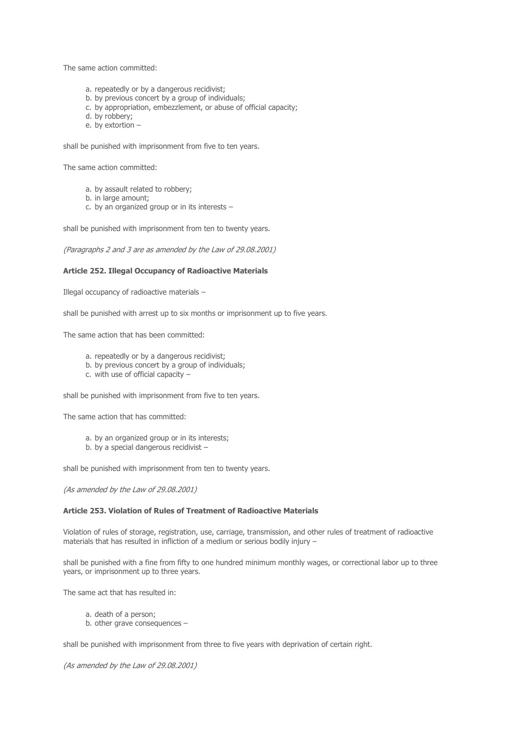The same action committed:

- a. repeatedly or by a dangerous recidivist;
- b. by previous concert by a group of individuals;
- c. by appropriation, embezzlement, or abuse of official capacity;
- d. by robbery;
- e. by extortion –

shall be punished with imprisonment from five to ten years.

The same action committed:

- a. by assault related to robbery;
- b. in large amount;
- c. by an organized group or in its interests –

shall be punished with imprisonment from ten to twenty years.

(Paragraphs 2 and 3 are as amended by the Law of 29.08.2001)

#### **Article 252. Illegal Occupancy of Radioactive Materials**

Illegal occupancy of radioactive materials –

shall be punished with arrest up to six months or imprisonment up to five years.

The same action that has been committed:

- a. repeatedly or by a dangerous recidivist;
- b. by previous concert by a group of individuals;
- c. with use of official capacity –

shall be punished with imprisonment from five to ten years.

The same action that has committed:

- a. by an organized group or in its interests;
- b. by a special dangerous recidivist –

shall be punished with imprisonment from ten to twenty years.

(As amended by the Law of 29.08.2001)

## **Article 253. Violation of Rules of Treatment of Radioactive Materials**

Violation of rules of storage, registration, use, carriage, transmission, and other rules of treatment of radioactive materials that has resulted in infliction of a medium or serious bodily injury –

shall be punished with a fine from fifty to one hundred minimum monthly wages, or correctional labor up to three years, or imprisonment up to three years.

The same act that has resulted in:

- a. death of a person;
- b. other grave consequences –

shall be punished with imprisonment from three to five years with deprivation of certain right.

(As amended by the Law of 29.08.2001)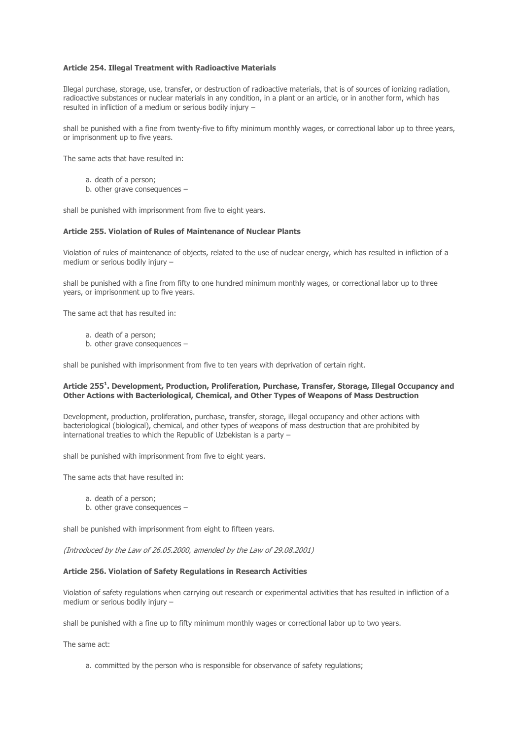### **Article 254. Illegal Treatment with Radioactive Materials**

Illegal purchase, storage, use, transfer, or destruction of radioactive materials, that is of sources of ionizing radiation, radioactive substances or nuclear materials in any condition, in a plant or an article, or in another form, which has resulted in infliction of a medium or serious bodily injury –

shall be punished with a fine from twenty-five to fifty minimum monthly wages, or correctional labor up to three years, or imprisonment up to five years.

The same acts that have resulted in:

- a. death of a person;
- b. other grave consequences –

shall be punished with imprisonment from five to eight years.

### **Article 255. Violation of Rules of Maintenance of Nuclear Plants**

Violation of rules of maintenance of objects, related to the use of nuclear energy, which has resulted in infliction of a medium or serious bodily injury –

shall be punished with a fine from fifty to one hundred minimum monthly wages, or correctional labor up to three years, or imprisonment up to five years.

The same act that has resulted in:

- a. death of a person;
- b. other grave consequences –

shall be punished with imprisonment from five to ten years with deprivation of certain right.

### **Article 255<sup>1</sup> . Development, Production, Proliferation, Purchase, Transfer, Storage, Illegal Occupancy and Other Actions with Bacteriological, Chemical, and Other Types of Weapons of Mass Destruction**

Development, production, proliferation, purchase, transfer, storage, illegal occupancy and other actions with bacteriological (biological), chemical, and other types of weapons of mass destruction that are prohibited by international treaties to which the Republic of Uzbekistan is a party –

shall be punished with imprisonment from five to eight years.

The same acts that have resulted in:

- a. death of a person;
- b. other grave consequences –

shall be punished with imprisonment from eight to fifteen years.

(Introduced by the Law of 26.05.2000, amended by the Law of 29.08.2001)

# **Article 256. Violation of Safety Regulations in Research Activities**

Violation of safety regulations when carrying out research or experimental activities that has resulted in infliction of a medium or serious bodily injury –

shall be punished with a fine up to fifty minimum monthly wages or correctional labor up to two years.

The same act:

a. committed by the person who is responsible for observance of safety regulations;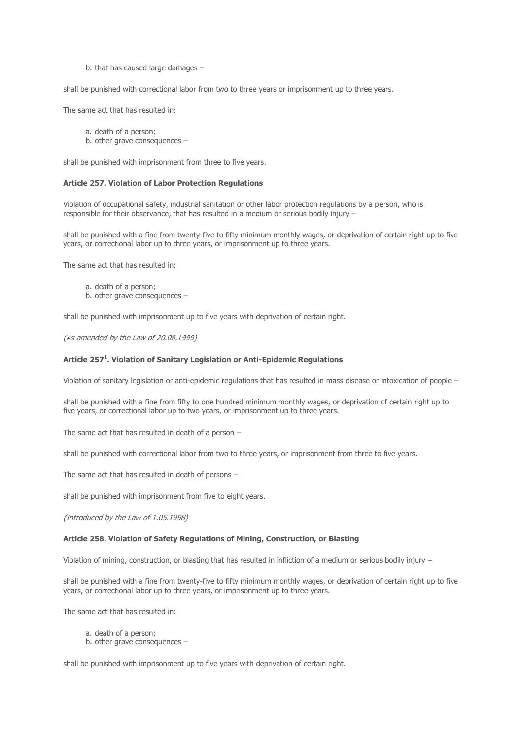b. that has caused large damages –

shall be punished with correctional labor from two to three years or imprisonment up to three years.

The same act that has resulted in:

a. death of a person;

b. other grave consequences –

shall be punished with imprisonment from three to five years.

### **Article 257. Violation of Labor Protection Regulations**

Violation of occupational safety, industrial sanitation or other labor protection regulations by a person, who is responsible for their observance, that has resulted in a medium or serious bodily injury –

shall be punished with a fine from twenty-five to fifty minimum monthly wages, or deprivation of certain right up to five years, or correctional labor up to three years, or imprisonment up to three years.

The same act that has resulted in:

- a. death of a person;
- b. other grave consequences –

shall be punished with imprisonment up to five years with deprivation of certain right.

(As amended by the Law of 20.08.1999)

#### **Article 257<sup>1</sup> . Violation of Sanitary Legislation or Anti-Epidemic Regulations**

Violation of sanitary legislation or anti-epidemic regulations that has resulted in mass disease or intoxication of people –

shall be punished with a fine from fifty to one hundred minimum monthly wages, or deprivation of certain right up to five years, or correctional labor up to two years, or imprisonment up to three years.

The same act that has resulted in death of a person –

shall be punished with correctional labor from two to three years, or imprisonment from three to five years.

The same act that has resulted in death of persons –

shall be punished with imprisonment from five to eight years.

(Introduced by the Law of 1.05.1998)

#### **Article 258. Violation of Safety Regulations of Mining, Construction, or Blasting**

Violation of mining, construction, or blasting that has resulted in infliction of a medium or serious bodily injury –

shall be punished with a fine from twenty-five to fifty minimum monthly wages, or deprivation of certain right up to five years, or correctional labor up to three years, or imprisonment up to three years.

The same act that has resulted in:

- a. death of a person;
- b. other grave consequences –

shall be punished with imprisonment up to five years with deprivation of certain right.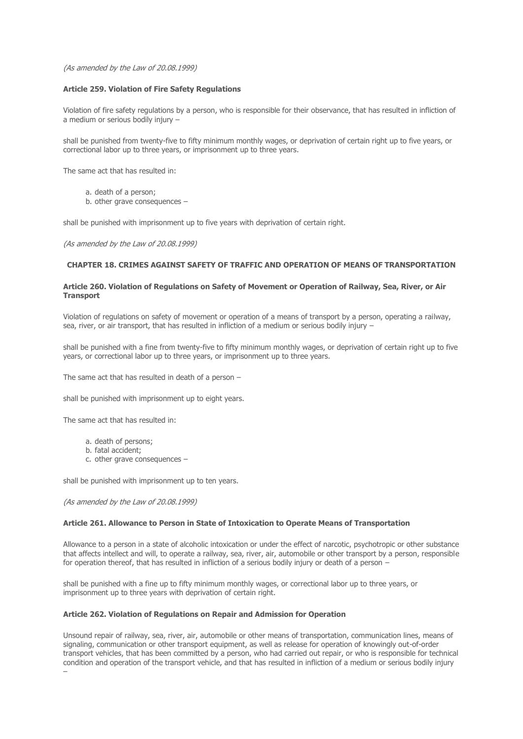### (As amended by the Law of 20.08.1999)

### **Article 259. Violation of Fire Safety Regulations**

Violation of fire safety regulations by a person, who is responsible for their observance, that has resulted in infliction of a medium or serious bodily injury –

shall be punished from twenty-five to fifty minimum monthly wages, or deprivation of certain right up to five years, or correctional labor up to three years, or imprisonment up to three years.

The same act that has resulted in:

- a. death of a person;
- b. other grave consequences –

shall be punished with imprisonment up to five years with deprivation of certain right.

(As amended by the Law of 20.08.1999)

# **CHAPTER 18. CRIMES AGAINST SAFETY OF TRAFFIC AND OPERATION OF MEANS OF TRANSPORTATION**

### **Article 260. Violation of Regulations on Safety of Movement or Operation of Railway, Sea, River, or Air Transport**

Violation of regulations on safety of movement or operation of a means of transport by a person, operating a railway, sea, river, or air transport, that has resulted in infliction of a medium or serious bodily injury –

shall be punished with a fine from twenty-five to fifty minimum monthly wages, or deprivation of certain right up to five years, or correctional labor up to three years, or imprisonment up to three years.

The same act that has resulted in death of a person –

shall be punished with imprisonment up to eight years.

The same act that has resulted in:

- a. death of persons;
- b. fatal accident;
- c. other grave consequences –

shall be punished with imprisonment up to ten years.

#### (As amended by the Law of 20.08.1999)

# **Article 261. Allowance to Person in State of Intoxication to Operate Means of Transportation**

Allowance to a person in a state of alcoholic intoxication or under the effect of narcotic, psychotropic or other substance that affects intellect and will, to operate a railway, sea, river, air, automobile or other transport by a person, responsible for operation thereof, that has resulted in infliction of a serious bodily injury or death of a person –

shall be punished with a fine up to fifty minimum monthly wages, or correctional labor up to three years, or imprisonment up to three years with deprivation of certain right.

### **Article 262. Violation of Regulations on Repair and Admission for Operation**

Unsound repair of railway, sea, river, air, automobile or other means of transportation, communication lines, means of signaling, communication or other transport equipment, as well as release for operation of knowingly out-of-order transport vehicles, that has been committed by a person, who had carried out repair, or who is responsible for technical condition and operation of the transport vehicle, and that has resulted in infliction of a medium or serious bodily injury –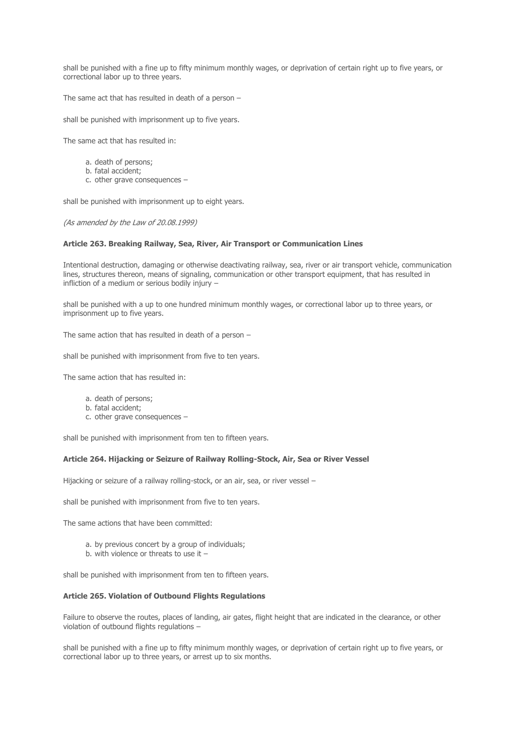shall be punished with a fine up to fifty minimum monthly wages, or deprivation of certain right up to five years, or correctional labor up to three years.

The same act that has resulted in death of a person –

shall be punished with imprisonment up to five years.

The same act that has resulted in:

- a. death of persons;
- b. fatal accident;
- c. other grave consequences –

shall be punished with imprisonment up to eight years.

(As amended by the Law of 20.08.1999)

## **Article 263. Breaking Railway, Sea, River, Air Transport or Communication Lines**

Intentional destruction, damaging or otherwise deactivating railway, sea, river or air transport vehicle, communication lines, structures thereon, means of signaling, communication or other transport equipment, that has resulted in infliction of a medium or serious bodily injury –

shall be punished with a up to one hundred minimum monthly wages, or correctional labor up to three years, or imprisonment up to five years.

The same action that has resulted in death of a person –

shall be punished with imprisonment from five to ten years.

The same action that has resulted in:

- a. death of persons;
- b. fatal accident;
- c. other grave consequences –

shall be punished with imprisonment from ten to fifteen years.

# **Article 264. Hijacking or Seizure of Railway Rolling-Stock, Air, Sea or River Vessel**

Hijacking or seizure of a railway rolling-stock, or an air, sea, or river vessel –

shall be punished with imprisonment from five to ten years.

The same actions that have been committed:

- a. by previous concert by a group of individuals;
- b. with violence or threats to use it  $-$

shall be punished with imprisonment from ten to fifteen years.

### **Article 265. Violation of Outbound Flights Regulations**

Failure to observe the routes, places of landing, air gates, flight height that are indicated in the clearance, or other violation of outbound flights regulations –

shall be punished with a fine up to fifty minimum monthly wages, or deprivation of certain right up to five years, or correctional labor up to three years, or arrest up to six months.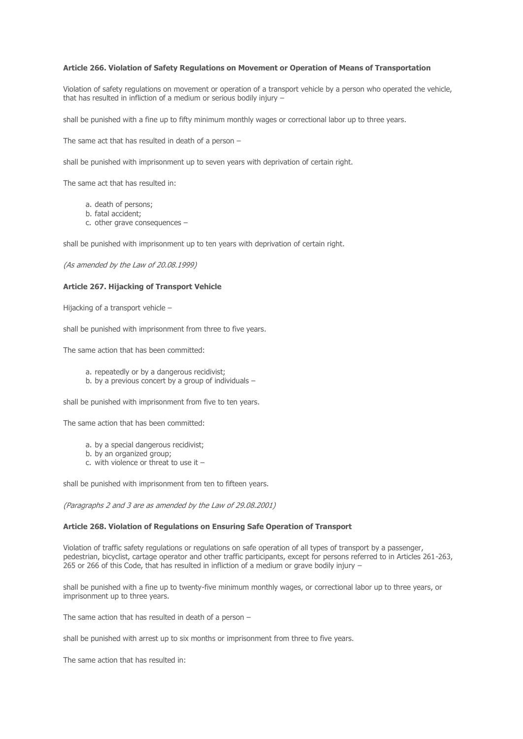### **Article 266. Violation of Safety Regulations on Movement or Operation of Means of Transportation**

Violation of safety regulations on movement or operation of a transport vehicle by a person who operated the vehicle, that has resulted in infliction of a medium or serious bodily injury –

shall be punished with a fine up to fifty minimum monthly wages or correctional labor up to three years.

The same act that has resulted in death of a person  $-$ 

shall be punished with imprisonment up to seven years with deprivation of certain right.

The same act that has resulted in:

- a. death of persons;
- b. fatal accident;
- c. other grave consequences –

shall be punished with imprisonment up to ten years with deprivation of certain right.

(As amended by the Law of 20.08.1999)

## **Article 267. Hijacking of Transport Vehicle**

Hijacking of a transport vehicle –

shall be punished with imprisonment from three to five years.

The same action that has been committed:

- a. repeatedly or by a dangerous recidivist;
- b. by a previous concert by a group of individuals –

shall be punished with imprisonment from five to ten years.

The same action that has been committed:

- a. by a special dangerous recidivist;
- b. by an organized group;
- c. with violence or threat to use it –

shall be punished with imprisonment from ten to fifteen years.

(Paragraphs 2 and 3 are as amended by the Law of 29.08.2001)

### **Article 268. Violation of Regulations on Ensuring Safe Operation of Transport**

Violation of traffic safety regulations or regulations on safe operation of all types of transport by a passenger, pedestrian, bicyclist, cartage operator and other traffic participants, except for persons referred to in Articles 261-263, 265 or 266 of this Code, that has resulted in infliction of a medium or grave bodily injury –

shall be punished with a fine up to twenty-five minimum monthly wages, or correctional labor up to three years, or imprisonment up to three years.

The same action that has resulted in death of a person –

shall be punished with arrest up to six months or imprisonment from three to five years.

The same action that has resulted in: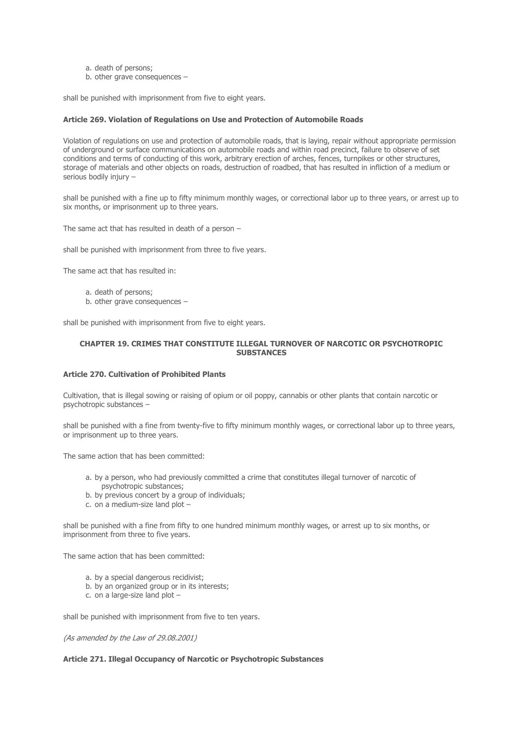- a. death of persons;
- b. other grave consequences –

shall be punished with imprisonment from five to eight years.

## **Article 269. Violation of Regulations on Use and Protection of Automobile Roads**

Violation of regulations on use and protection of automobile roads, that is laying, repair without appropriate permission of underground or surface communications on automobile roads and within road precinct, failure to observe of set conditions and terms of conducting of this work, arbitrary erection of arches, fences, turnpikes or other structures, storage of materials and other objects on roads, destruction of roadbed, that has resulted in infliction of a medium or serious bodily injury –

shall be punished with a fine up to fifty minimum monthly wages, or correctional labor up to three years, or arrest up to six months, or imprisonment up to three years.

The same act that has resulted in death of a person –

shall be punished with imprisonment from three to five years.

The same act that has resulted in:

- a. death of persons;
- b. other grave consequences –

shall be punished with imprisonment from five to eight years.

## **CHAPTER 19. CRIMES THAT CONSTITUTE ILLEGAL TURNOVER OF NARCOTIC OR PSYCHOTROPIC SUBSTANCES**

#### **Article 270. Cultivation of Prohibited Plants**

Cultivation, that is illegal sowing or raising of opium or oil poppy, cannabis or other plants that contain narcotic or psychotropic substances –

shall be punished with a fine from twenty-five to fifty minimum monthly wages, or correctional labor up to three years, or imprisonment up to three years.

The same action that has been committed:

- a. by a person, who had previously committed a crime that constitutes illegal turnover of narcotic of psychotropic substances;
- b. by previous concert by a group of individuals;
- c. on a medium-size land plot –

shall be punished with a fine from fifty to one hundred minimum monthly wages, or arrest up to six months, or imprisonment from three to five years.

The same action that has been committed:

- a. by a special dangerous recidivist;
- b. by an organized group or in its interests;
- c. on a large-size land plot –

shall be punished with imprisonment from five to ten years.

(As amended by the Law of 29.08.2001)

# **Article 271. Illegal Occupancy of Narcotic or Psychotropic Substances**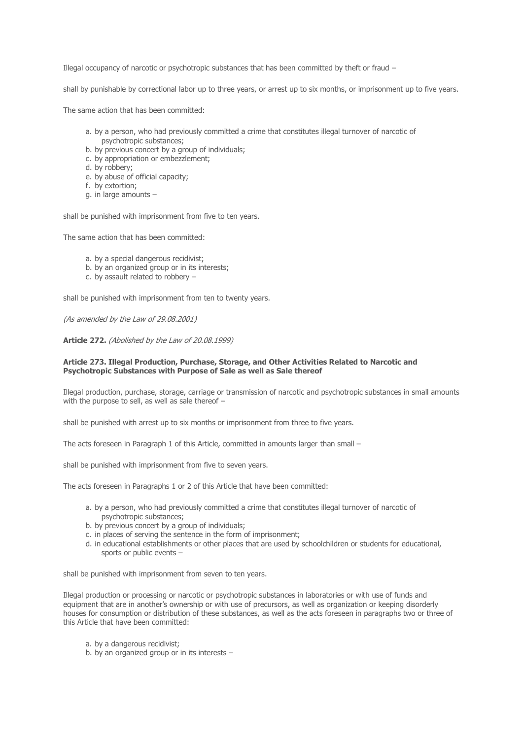Illegal occupancy of narcotic or psychotropic substances that has been committed by theft or fraud –

shall by punishable by correctional labor up to three years, or arrest up to six months, or imprisonment up to five years.

The same action that has been committed:

- a. by a person, who had previously committed a crime that constitutes illegal turnover of narcotic of psychotropic substances;
- b. by previous concert by a group of individuals;
- c. by appropriation or embezzlement;
- d. by robbery;
- e. by abuse of official capacity;
- f. by extortion;
- g. in large amounts –

shall be punished with imprisonment from five to ten years.

The same action that has been committed:

- a. by a special dangerous recidivist;
- b. by an organized group or in its interests;
- c. by assault related to robbery –

shall be punished with imprisonment from ten to twenty years.

(As amended by the Law of 29.08.2001)

**Article 272.** (Abolished by the Law of 20.08.1999)

## **Article 273. Illegal Production, Purchase, Storage, and Other Activities Related to Narcotic and Psychotropic Substances with Purpose of Sale as well as Sale thereof**

Illegal production, purchase, storage, carriage or transmission of narcotic and psychotropic substances in small amounts with the purpose to sell, as well as sale thereof –

shall be punished with arrest up to six months or imprisonment from three to five years.

The acts foreseen in Paragraph 1 of this Article, committed in amounts larger than small –

shall be punished with imprisonment from five to seven years.

The acts foreseen in Paragraphs 1 or 2 of this Article that have been committed:

- a. by a person, who had previously committed a crime that constitutes illegal turnover of narcotic of psychotropic substances;
- b. by previous concert by a group of individuals;
- c. in places of serving the sentence in the form of imprisonment;
- d. in educational establishments or other places that are used by schoolchildren or students for educational, sports or public events –

shall be punished with imprisonment from seven to ten years.

Illegal production or processing or narcotic or psychotropic substances in laboratories or with use of funds and equipment that are in another's ownership or with use of precursors, as well as organization or keeping disorderly houses for consumption or distribution of these substances, as well as the acts foreseen in paragraphs two or three of this Article that have been committed:

- a. by a dangerous recidivist;
- b. by an organized group or in its interests –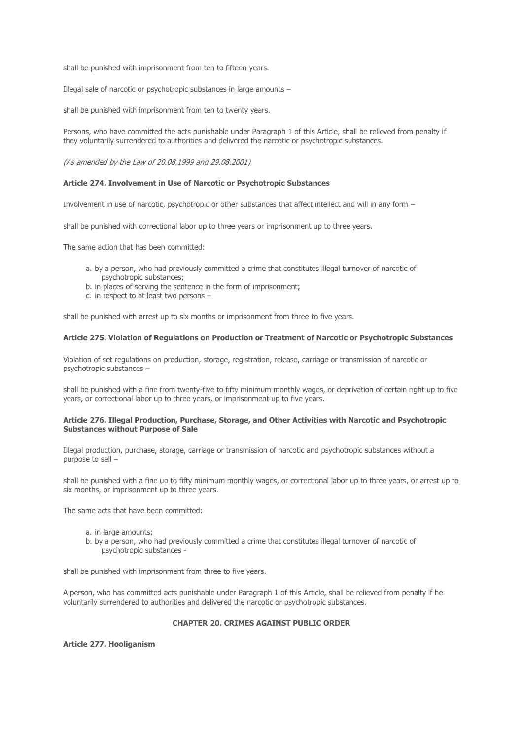shall be punished with imprisonment from ten to fifteen years.

Illegal sale of narcotic or psychotropic substances in large amounts –

shall be punished with imprisonment from ten to twenty years.

Persons, who have committed the acts punishable under Paragraph 1 of this Article, shall be relieved from penalty if they voluntarily surrendered to authorities and delivered the narcotic or psychotropic substances.

(As amended by the Law of 20.08.1999 and 29.08.2001)

### **Article 274. Involvement in Use of Narcotic or Psychotropic Substances**

Involvement in use of narcotic, psychotropic or other substances that affect intellect and will in any form –

shall be punished with correctional labor up to three years or imprisonment up to three years.

The same action that has been committed:

- a. by a person, who had previously committed a crime that constitutes illegal turnover of narcotic of psychotropic substances;
- b. in places of serving the sentence in the form of imprisonment;
- c. in respect to at least two persons –

shall be punished with arrest up to six months or imprisonment from three to five years.

#### **Article 275. Violation of Regulations on Production or Treatment of Narcotic or Psychotropic Substances**

Violation of set regulations on production, storage, registration, release, carriage or transmission of narcotic or psychotropic substances –

shall be punished with a fine from twenty-five to fifty minimum monthly wages, or deprivation of certain right up to five years, or correctional labor up to three years, or imprisonment up to five years.

## **Article 276. Illegal Production, Purchase, Storage, and Other Activities with Narcotic and Psychotropic Substances without Purpose of Sale**

Illegal production, purchase, storage, carriage or transmission of narcotic and psychotropic substances without a purpose to sell –

shall be punished with a fine up to fifty minimum monthly wages, or correctional labor up to three years, or arrest up to six months, or imprisonment up to three years.

The same acts that have been committed:

- a. in large amounts;
- b. by a person, who had previously committed a crime that constitutes illegal turnover of narcotic of psychotropic substances -

shall be punished with imprisonment from three to five years.

A person, who has committed acts punishable under Paragraph 1 of this Article, shall be relieved from penalty if he voluntarily surrendered to authorities and delivered the narcotic or psychotropic substances.

# **CHAPTER 20. CRIMES AGAINST PUBLIC ORDER**

**Article 277. Hooliganism**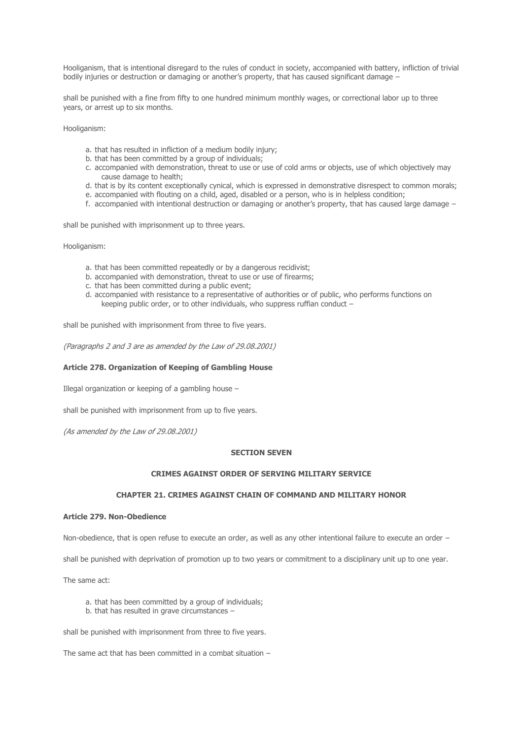Hooliganism, that is intentional disregard to the rules of conduct in society, accompanied with battery, infliction of trivial bodily injuries or destruction or damaging or another's property, that has caused significant damage –

shall be punished with a fine from fifty to one hundred minimum monthly wages, or correctional labor up to three years, or arrest up to six months.

Hooliganism:

- a. that has resulted in infliction of a medium bodily injury;
- b. that has been committed by a group of individuals;
- c. accompanied with demonstration, threat to use or use of cold arms or objects, use of which objectively may cause damage to health;
- d. that is by its content exceptionally cynical, which is expressed in demonstrative disrespect to common morals;
- e. accompanied with flouting on a child, aged, disabled or a person, who is in helpless condition;
- f. accompanied with intentional destruction or damaging or another's property, that has caused large damage –

shall be punished with imprisonment up to three years.

Hooliganism:

- a. that has been committed repeatedly or by a dangerous recidivist;
- b. accompanied with demonstration, threat to use or use of firearms;
- c. that has been committed during a public event;
- d. accompanied with resistance to a representative of authorities or of public, who performs functions on keeping public order, or to other individuals, who suppress ruffian conduct –

shall be punished with imprisonment from three to five years.

(Paragraphs 2 and 3 are as amended by the Law of 29.08.2001)

## **Article 278. Organization of Keeping of Gambling House**

Illegal organization or keeping of a gambling house –

shall be punished with imprisonment from up to five years.

(As amended by the Law of 29.08.2001)

#### **SECTION SEVEN**

# **CRIMES AGAINST ORDER OF SERVING MILITARY SERVICE**

# **CHAPTER 21. CRIMES AGAINST CHAIN OF COMMAND AND MILITARY HONOR**

## **Article 279. Non-Obedience**

Non-obedience, that is open refuse to execute an order, as well as any other intentional failure to execute an order –

shall be punished with deprivation of promotion up to two years or commitment to a disciplinary unit up to one year.

The same act:

- a. that has been committed by a group of individuals;
- b. that has resulted in grave circumstances –

shall be punished with imprisonment from three to five years.

The same act that has been committed in a combat situation –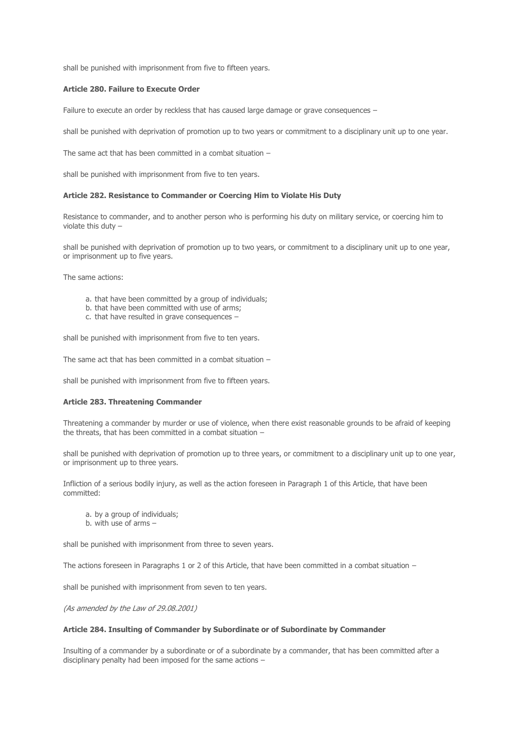shall be punished with imprisonment from five to fifteen years.

# **Article 280. Failure to Execute Order**

Failure to execute an order by reckless that has caused large damage or grave consequences -

shall be punished with deprivation of promotion up to two years or commitment to a disciplinary unit up to one year.

The same act that has been committed in a combat situation –

shall be punished with imprisonment from five to ten years.

#### **Article 282. Resistance to Commander or Coercing Him to Violate His Duty**

Resistance to commander, and to another person who is performing his duty on military service, or coercing him to violate this duty –

shall be punished with deprivation of promotion up to two years, or commitment to a disciplinary unit up to one year, or imprisonment up to five years.

The same actions:

- a. that have been committed by a group of individuals;
- b. that have been committed with use of arms;
- c. that have resulted in grave consequences –

shall be punished with imprisonment from five to ten years.

The same act that has been committed in a combat situation –

shall be punished with imprisonment from five to fifteen years.

### **Article 283. Threatening Commander**

Threatening a commander by murder or use of violence, when there exist reasonable grounds to be afraid of keeping the threats, that has been committed in a combat situation –

shall be punished with deprivation of promotion up to three years, or commitment to a disciplinary unit up to one year, or imprisonment up to three years.

Infliction of a serious bodily injury, as well as the action foreseen in Paragraph 1 of this Article, that have been committed:

- a. by a group of individuals;
- b. with use of arms  $-$

shall be punished with imprisonment from three to seven years.

The actions foreseen in Paragraphs 1 or 2 of this Article, that have been committed in a combat situation -

shall be punished with imprisonment from seven to ten years.

(As amended by the Law of 29.08.2001)

### **Article 284. Insulting of Commander by Subordinate or of Subordinate by Commander**

Insulting of a commander by a subordinate or of a subordinate by a commander, that has been committed after a disciplinary penalty had been imposed for the same actions –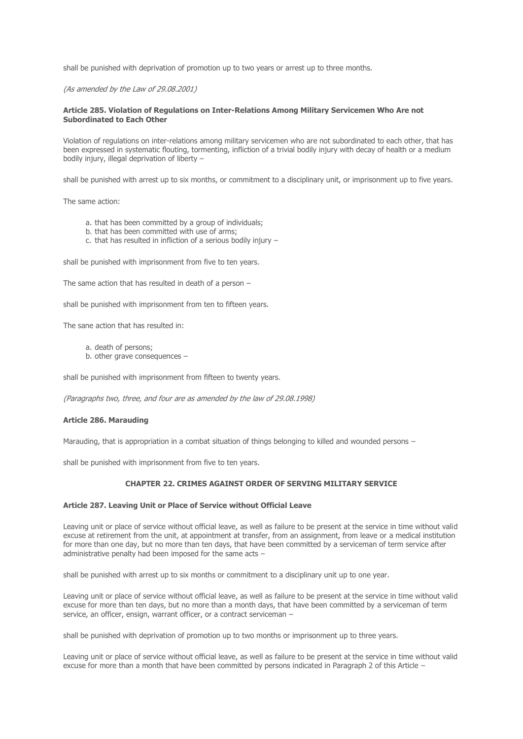shall be punished with deprivation of promotion up to two years or arrest up to three months.

(As amended by the Law of 29.08.2001)

## **Article 285. Violation of Regulations on Inter-Relations Among Military Servicemen Who Are not Subordinated to Each Other**

Violation of regulations on inter-relations among military servicemen who are not subordinated to each other, that has been expressed in systematic flouting, tormenting, infliction of a trivial bodily injury with decay of health or a medium bodily injury, illegal deprivation of liberty –

shall be punished with arrest up to six months, or commitment to a disciplinary unit, or imprisonment up to five years.

The same action:

- a. that has been committed by a group of individuals;
- b. that has been committed with use of arms;
- c. that has resulted in infliction of a serious bodily injury –

shall be punished with imprisonment from five to ten years.

The same action that has resulted in death of a person –

shall be punished with imprisonment from ten to fifteen years.

The sane action that has resulted in:

a. death of persons;

b. other grave consequences –

shall be punished with imprisonment from fifteen to twenty years.

(Paragraphs two, three, and four are as amended by the law of 29.08.1998)

#### **Article 286. Marauding**

Marauding, that is appropriation in a combat situation of things belonging to killed and wounded persons –

shall be punished with imprisonment from five to ten years.

# **CHAPTER 22. CRIMES AGAINST ORDER OF SERVING MILITARY SERVICE**

### **Article 287. Leaving Unit or Place of Service without Official Leave**

Leaving unit or place of service without official leave, as well as failure to be present at the service in time without valid excuse at retirement from the unit, at appointment at transfer, from an assignment, from leave or a medical institution for more than one day, but no more than ten days, that have been committed by a serviceman of term service after administrative penalty had been imposed for the same acts –

shall be punished with arrest up to six months or commitment to a disciplinary unit up to one year.

Leaving unit or place of service without official leave, as well as failure to be present at the service in time without valid excuse for more than ten days, but no more than a month days, that have been committed by a serviceman of term service, an officer, ensign, warrant officer, or a contract serviceman -

shall be punished with deprivation of promotion up to two months or imprisonment up to three years.

Leaving unit or place of service without official leave, as well as failure to be present at the service in time without valid excuse for more than a month that have been committed by persons indicated in Paragraph 2 of this Article –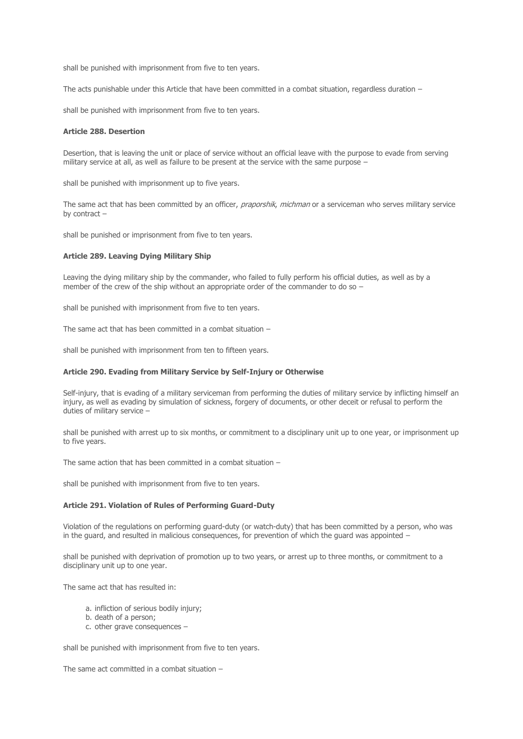shall be punished with imprisonment from five to ten years.

The acts punishable under this Article that have been committed in a combat situation, regardless duration –

shall be punished with imprisonment from five to ten years.

## **Article 288. Desertion**

Desertion, that is leaving the unit or place of service without an official leave with the purpose to evade from serving military service at all, as well as failure to be present at the service with the same purpose –

shall be punished with imprisonment up to five years.

The same act that has been committed by an officer, praporshik, michman or a serviceman who serves military service by contract –

shall be punished or imprisonment from five to ten years.

## **Article 289. Leaving Dying Military Ship**

Leaving the dying military ship by the commander, who failed to fully perform his official duties, as well as by a member of the crew of the ship without an appropriate order of the commander to do so –

shall be punished with imprisonment from five to ten years.

The same act that has been committed in a combat situation –

shall be punished with imprisonment from ten to fifteen years.

#### **Article 290. Evading from Military Service by Self-Injury or Otherwise**

Self-injury, that is evading of a military serviceman from performing the duties of military service by inflicting himself an injury, as well as evading by simulation of sickness, forgery of documents, or other deceit or refusal to perform the duties of military service –

shall be punished with arrest up to six months, or commitment to a disciplinary unit up to one year, or imprisonment up to five years.

The same action that has been committed in a combat situation –

shall be punished with imprisonment from five to ten years.

# **Article 291. Violation of Rules of Performing Guard-Duty**

Violation of the regulations on performing guard-duty (or watch-duty) that has been committed by a person, who was in the guard, and resulted in malicious consequences, for prevention of which the guard was appointed –

shall be punished with deprivation of promotion up to two years, or arrest up to three months, or commitment to a disciplinary unit up to one year.

The same act that has resulted in:

- a. infliction of serious bodily injury;
- b. death of a person;
- c. other grave consequences –

shall be punished with imprisonment from five to ten years.

The same act committed in a combat situation –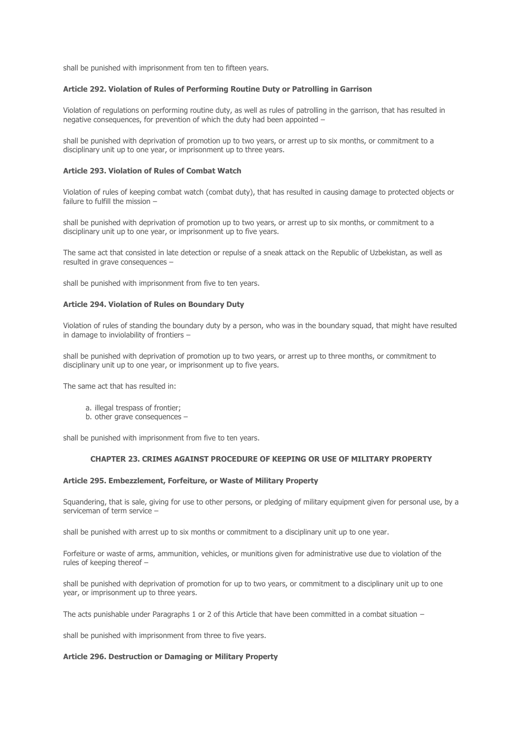shall be punished with imprisonment from ten to fifteen years.

### **Article 292. Violation of Rules of Performing Routine Duty or Patrolling in Garrison**

Violation of regulations on performing routine duty, as well as rules of patrolling in the garrison, that has resulted in negative consequences, for prevention of which the duty had been appointed –

shall be punished with deprivation of promotion up to two years, or arrest up to six months, or commitment to a disciplinary unit up to one year, or imprisonment up to three years.

### **Article 293. Violation of Rules of Combat Watch**

Violation of rules of keeping combat watch (combat duty), that has resulted in causing damage to protected objects or failure to fulfill the mission –

shall be punished with deprivation of promotion up to two years, or arrest up to six months, or commitment to a disciplinary unit up to one year, or imprisonment up to five years.

The same act that consisted in late detection or repulse of a sneak attack on the Republic of Uzbekistan, as well as resulted in grave consequences –

shall be punished with imprisonment from five to ten years.

#### **Article 294. Violation of Rules on Boundary Duty**

Violation of rules of standing the boundary duty by a person, who was in the boundary squad, that might have resulted in damage to inviolability of frontiers –

shall be punished with deprivation of promotion up to two years, or arrest up to three months, or commitment to disciplinary unit up to one year, or imprisonment up to five years.

The same act that has resulted in:

- a. illegal trespass of frontier;
- b. other grave consequences -

shall be punished with imprisonment from five to ten years.

## **CHAPTER 23. CRIMES AGAINST PROCEDURE OF KEEPING OR USE OF MILITARY PROPERTY**

### **Article 295. Embezzlement, Forfeiture, or Waste of Military Property**

Squandering, that is sale, giving for use to other persons, or pledging of military equipment given for personal use, by a serviceman of term service –

shall be punished with arrest up to six months or commitment to a disciplinary unit up to one year.

Forfeiture or waste of arms, ammunition, vehicles, or munitions given for administrative use due to violation of the rules of keeping thereof –

shall be punished with deprivation of promotion for up to two years, or commitment to a disciplinary unit up to one year, or imprisonment up to three years.

The acts punishable under Paragraphs 1 or 2 of this Article that have been committed in a combat situation  $-$ 

shall be punished with imprisonment from three to five years.

## **Article 296. Destruction or Damaging or Military Property**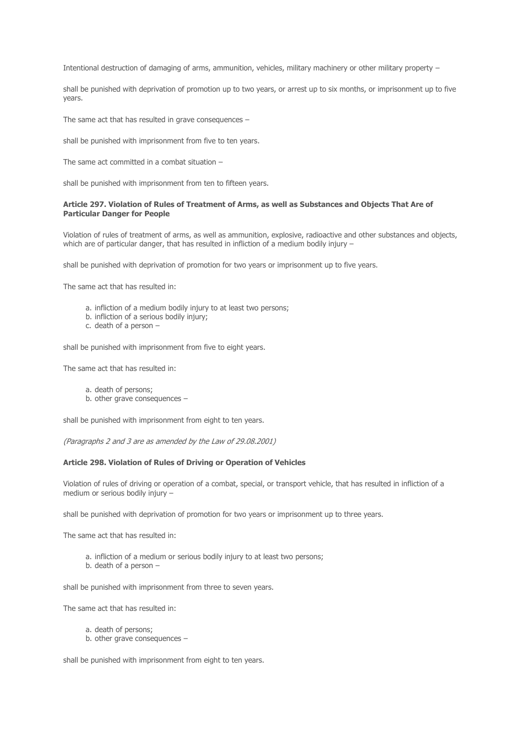Intentional destruction of damaging of arms, ammunition, vehicles, military machinery or other military property –

shall be punished with deprivation of promotion up to two years, or arrest up to six months, or imprisonment up to five years.

The same act that has resulted in grave consequences –

shall be punished with imprisonment from five to ten years.

The same act committed in a combat situation –

shall be punished with imprisonment from ten to fifteen years.

### **Article 297. Violation of Rules of Treatment of Arms, as well as Substances and Objects That Are of Particular Danger for People**

Violation of rules of treatment of arms, as well as ammunition, explosive, radioactive and other substances and objects, which are of particular danger, that has resulted in infliction of a medium bodily injury -

shall be punished with deprivation of promotion for two years or imprisonment up to five years.

The same act that has resulted in:

- a. infliction of a medium bodily injury to at least two persons;
- b. infliction of a serious bodily injury;
- c. death of a person –

shall be punished with imprisonment from five to eight years.

The same act that has resulted in:

- a. death of persons;
- b. other grave consequences –

shall be punished with imprisonment from eight to ten years.

(Paragraphs 2 and 3 are as amended by the Law of 29.08.2001)

### **Article 298. Violation of Rules of Driving or Operation of Vehicles**

Violation of rules of driving or operation of a combat, special, or transport vehicle, that has resulted in infliction of a medium or serious bodily injury –

shall be punished with deprivation of promotion for two years or imprisonment up to three years.

The same act that has resulted in:

- a. infliction of a medium or serious bodily injury to at least two persons;
- b. death of a person –

shall be punished with imprisonment from three to seven years.

The same act that has resulted in:

- a. death of persons;
- b. other grave consequences –

shall be punished with imprisonment from eight to ten years.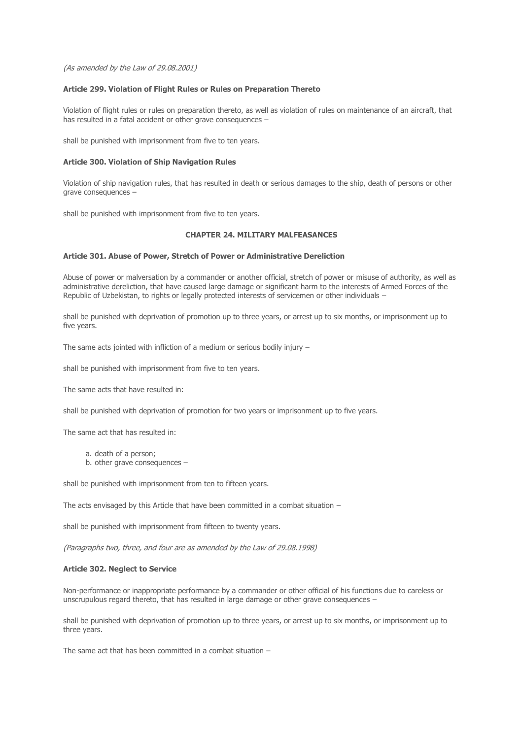(As amended by the Law of 29.08.2001)

## **Article 299. Violation of Flight Rules or Rules on Preparation Thereto**

Violation of flight rules or rules on preparation thereto, as well as violation of rules on maintenance of an aircraft, that has resulted in a fatal accident or other grave consequences –

shall be punished with imprisonment from five to ten years.

### **Article 300. Violation of Ship Navigation Rules**

Violation of ship navigation rules, that has resulted in death or serious damages to the ship, death of persons or other grave consequences –

shall be punished with imprisonment from five to ten years.

# **CHAPTER 24. MILITARY MALFEASANCES**

### **Article 301. Abuse of Power, Stretch of Power or Administrative Dereliction**

Abuse of power or malversation by a commander or another official, stretch of power or misuse of authority, as well as administrative dereliction, that have caused large damage or significant harm to the interests of Armed Forces of the Republic of Uzbekistan, to rights or legally protected interests of servicemen or other individuals –

shall be punished with deprivation of promotion up to three years, or arrest up to six months, or imprisonment up to five years.

The same acts jointed with infliction of a medium or serious bodily injury –

shall be punished with imprisonment from five to ten years.

The same acts that have resulted in:

shall be punished with deprivation of promotion for two years or imprisonment up to five years.

The same act that has resulted in:

a. death of a person;

b. other grave consequences –

shall be punished with imprisonment from ten to fifteen years.

The acts envisaged by this Article that have been committed in a combat situation –

shall be punished with imprisonment from fifteen to twenty years.

(Paragraphs two, three, and four are as amended by the Law of 29.08.1998)

#### **Article 302. Neglect to Service**

Non-performance or inappropriate performance by a commander or other official of his functions due to careless or unscrupulous regard thereto, that has resulted in large damage or other grave consequences –

shall be punished with deprivation of promotion up to three years, or arrest up to six months, or imprisonment up to three years.

The same act that has been committed in a combat situation  $-$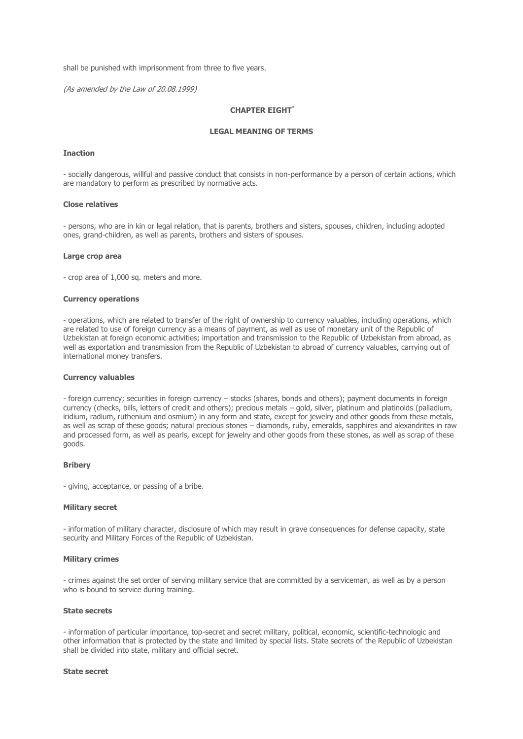shall be punished with imprisonment from three to five years.

(As amended by the Law of 20.08.1999)

# **CHAPTER EIGHT\***

### **LEGAL MEANING OF TERMS**

#### **Inaction**

- socially dangerous, willful and passive conduct that consists in non-performance by a person of certain actions, which are mandatory to perform as prescribed by normative acts.

#### **Close relatives**

- persons, who are in kin or legal relation, that is parents, brothers and sisters, spouses, children, including adopted ones, grand-children, as well as parents, brothers and sisters of spouses.

#### **Large crop area**

- crop area of 1,000 sq. meters and more.

#### **Currency operations**

- operations, which are related to transfer of the right of ownership to currency valuables, including operations, which are related to use of foreign currency as a means of payment, as well as use of monetary unit of the Republic of Uzbekistan at foreign economic activities; importation and transmission to the Republic of Uzbekistan from abroad, as well as exportation and transmission from the Republic of Uzbekistan to abroad of currency valuables, carrying out of international money transfers.

#### **Currency valuables**

- foreign currency; securities in foreign currency – stocks (shares, bonds and others); payment documents in foreign currency (checks, bills, letters of credit and others); precious metals – gold, silver, platinum and platinoids (palladium, iridium, radium, ruthenium and osmium) in any form and state, except for jewelry and other goods from these metals, as well as scrap of these goods; natural precious stones – diamonds, ruby, emeralds, sapphires and alexandrites in raw and processed form, as well as pearls, except for jewelry and other goods from these stones, as well as scrap of these goods.

### **Bribery**

- giving, acceptance, or passing of a bribe.

### **Military secret**

- information of military character, disclosure of which may result in grave consequences for defense capacity, state security and Military Forces of the Republic of Uzbekistan.

#### **Military crimes**

- crimes against the set order of serving military service that are committed by a serviceman, as well as by a person who is bound to service during training.

#### **State secrets**

- information of particular importance, top-secret and secret military, political, economic, scientific-technologic and other information that is protected by the state and limited by special lists. State secrets of the Republic of Uzbekistan shall be divided into state, military and official secret.

#### **State secret**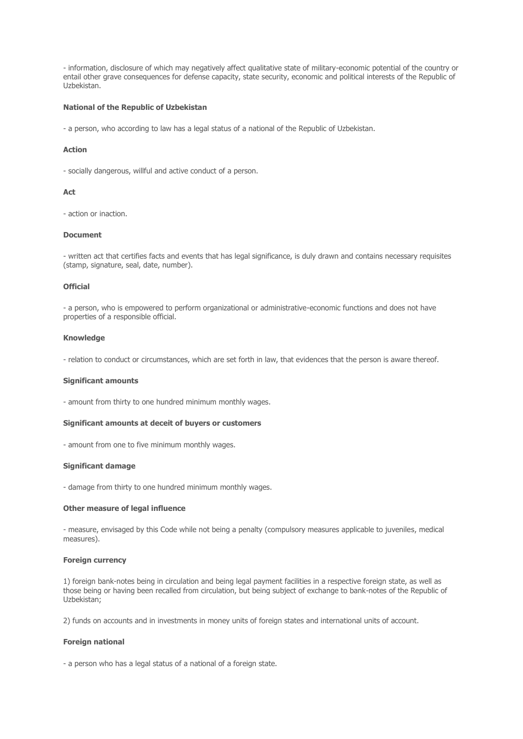- information, disclosure of which may negatively affect qualitative state of military-economic potential of the country or entail other grave consequences for defense capacity, state security, economic and political interests of the Republic of Uzbekistan.

### **National of the Republic of Uzbekistan**

- a person, who according to law has a legal status of a national of the Republic of Uzbekistan.

### **Action**

- socially dangerous, willful and active conduct of a person.

### **Act**

- action or inaction.

## **Document**

- written act that certifies facts and events that has legal significance, is duly drawn and contains necessary requisites (stamp, signature, seal, date, number).

### **Official**

- a person, who is empowered to perform organizational or administrative-economic functions and does not have properties of a responsible official.

#### **Knowledge**

- relation to conduct or circumstances, which are set forth in law, that evidences that the person is aware thereof.

### **Significant amounts**

- amount from thirty to one hundred minimum monthly wages.

#### **Significant amounts at deceit of buyers or customers**

- amount from one to five minimum monthly wages.

## **Significant damage**

- damage from thirty to one hundred minimum monthly wages.

### **Other measure of legal influence**

- measure, envisaged by this Code while not being a penalty (compulsory measures applicable to juveniles, medical measures).

### **Foreign currency**

1) foreign bank-notes being in circulation and being legal payment facilities in a respective foreign state, as well as those being or having been recalled from circulation, but being subject of exchange to bank-notes of the Republic of Uzbekistan;

2) funds on accounts and in investments in money units of foreign states and international units of account.

#### **Foreign national**

- a person who has a legal status of a national of a foreign state.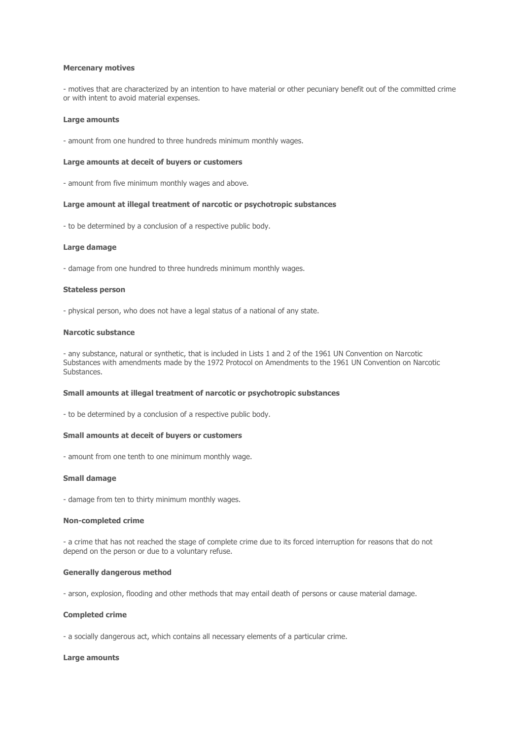#### **Mercenary motives**

- motives that are characterized by an intention to have material or other pecuniary benefit out of the committed crime or with intent to avoid material expenses.

#### **Large amounts**

- amount from one hundred to three hundreds minimum monthly wages.

#### **Large amounts at deceit of buyers or customers**

- amount from five minimum monthly wages and above.

#### **Large amount at illegal treatment of narcotic or psychotropic substances**

- to be determined by a conclusion of a respective public body.

### **Large damage**

- damage from one hundred to three hundreds minimum monthly wages.

#### **Stateless person**

- physical person, who does not have a legal status of a national of any state.

#### **Narcotic substance**

- any substance, natural or synthetic, that is included in Lists 1 and 2 of the 1961 UN Convention on Narcotic Substances with amendments made by the 1972 Protocol on Amendments to the 1961 UN Convention on Narcotic Substances.

#### **Small amounts at illegal treatment of narcotic or psychotropic substances**

- to be determined by a conclusion of a respective public body.

#### **Small amounts at deceit of buyers or customers**

- amount from one tenth to one minimum monthly wage.

## **Small damage**

- damage from ten to thirty minimum monthly wages.

#### **Non-completed crime**

- a crime that has not reached the stage of complete crime due to its forced interruption for reasons that do not depend on the person or due to a voluntary refuse.

## **Generally dangerous method**

- arson, explosion, flooding and other methods that may entail death of persons or cause material damage.

## **Completed crime**

- a socially dangerous act, which contains all necessary elements of a particular crime.

### **Large amounts**